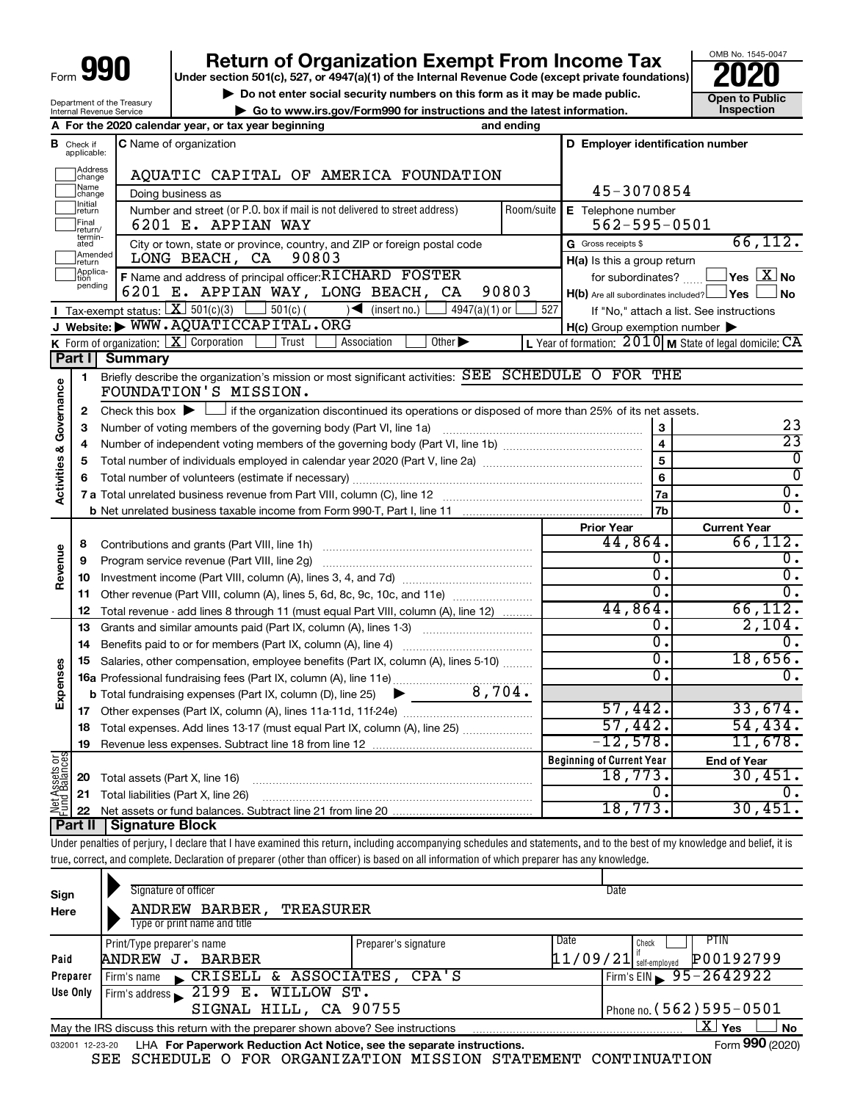# **990** Return of Organization Exempt From Income Tax <br>
Under section 501(c), 527, or 4947(a)(1) of the Internal Revenue Code (except private foundations)<br> **PO20**

▶ Do not enter social security numbers on this form as it may be made public.<br>
▶ Go to www.irs.gov/Form990 for instructions and the latest information. **Department in the latest** information. **| Go to www.irs.gov/Form990 for instructions and the latest information. Inspection**

OMB No. 1545-0047

Department of the Treasury Internal Revenue Service

|                                            |                               | A For the 2020 calendar year, or tax year beginning                                                                                                                                                                                                                                                                                                                                                                                                                                                                                                                                                                                                                                                                                                                                                                                                                                                                                                                                                                                                                                                                                                                                                                                                                                                                                                                                                                                                                                                                                                                                                                                                                                                                                                                                                                                                                                                                                                                                                                                                                                                                                                                                                                                                                                                                                                                                                                                                                                                                                                                                                                                                                                                                                                                                                                                                                                                                                                                                                                                                                                                                                                                                                                                                                                                                                                                                |                                                                          |  |  |
|--------------------------------------------|-------------------------------|------------------------------------------------------------------------------------------------------------------------------------------------------------------------------------------------------------------------------------------------------------------------------------------------------------------------------------------------------------------------------------------------------------------------------------------------------------------------------------------------------------------------------------------------------------------------------------------------------------------------------------------------------------------------------------------------------------------------------------------------------------------------------------------------------------------------------------------------------------------------------------------------------------------------------------------------------------------------------------------------------------------------------------------------------------------------------------------------------------------------------------------------------------------------------------------------------------------------------------------------------------------------------------------------------------------------------------------------------------------------------------------------------------------------------------------------------------------------------------------------------------------------------------------------------------------------------------------------------------------------------------------------------------------------------------------------------------------------------------------------------------------------------------------------------------------------------------------------------------------------------------------------------------------------------------------------------------------------------------------------------------------------------------------------------------------------------------------------------------------------------------------------------------------------------------------------------------------------------------------------------------------------------------------------------------------------------------------------------------------------------------------------------------------------------------------------------------------------------------------------------------------------------------------------------------------------------------------------------------------------------------------------------------------------------------------------------------------------------------------------------------------------------------------------------------------------------------------------------------------------------------------------------------------------------------------------------------------------------------------------------------------------------------------------------------------------------------------------------------------------------------------------------------------------------------------------------------------------------------------------------------------------------------------------------------------------------------------------------------------------------------|--------------------------------------------------------------------------|--|--|
|                                            | <b>B</b> Check if applicable: | C Name of organization                                                                                                                                                                                                                                                                                                                                                                                                                                                                                                                                                                                                                                                                                                                                                                                                                                                                                                                                                                                                                                                                                                                                                                                                                                                                                                                                                                                                                                                                                                                                                                                                                                                                                                                                                                                                                                                                                                                                                                                                                                                                                                                                                                                                                                                                                                                                                                                                                                                                                                                                                                                                                                                                                                                                                                                                                                                                                                                                                                                                                                                                                                                                                                                                                                                                                                                                                             |                                                                          |  |  |
|                                            | ]Address<br>]change           |                                                                                                                                                                                                                                                                                                                                                                                                                                                                                                                                                                                                                                                                                                                                                                                                                                                                                                                                                                                                                                                                                                                                                                                                                                                                                                                                                                                                                                                                                                                                                                                                                                                                                                                                                                                                                                                                                                                                                                                                                                                                                                                                                                                                                                                                                                                                                                                                                                                                                                                                                                                                                                                                                                                                                                                                                                                                                                                                                                                                                                                                                                                                                                                                                                                                                                                                                                                    |                                                                          |  |  |
|                                            | Name<br>change                | Doing business as                                                                                                                                                                                                                                                                                                                                                                                                                                                                                                                                                                                                                                                                                                                                                                                                                                                                                                                                                                                                                                                                                                                                                                                                                                                                                                                                                                                                                                                                                                                                                                                                                                                                                                                                                                                                                                                                                                                                                                                                                                                                                                                                                                                                                                                                                                                                                                                                                                                                                                                                                                                                                                                                                                                                                                                                                                                                                                                                                                                                                                                                                                                                                                                                                                                                                                                                                                  |                                                                          |  |  |
|                                            | ]Initial<br>]return           | D Employer identification number<br>AQUATIC CAPITAL OF AMERICA FOUNDATION<br>45-3070854<br>Number and street (or P.O. box if mail is not delivered to street address)<br>Room/suite<br>E Telephone number<br>$562 - 595 - 0501$<br>6201 E. APPIAN WAY<br>66, 112.<br>G Gross receipts \$<br>City or town, state or province, country, and ZIP or foreign postal code<br>90803<br>LONG BEACH, CA<br>H(a) Is this a group return<br>F Name and address of principal officer: RICHARD FOSTER<br>$\overline{\ }$ Yes $\overline{\ \text{X}}$ No<br>for subordinates?<br>90803<br>6201 E. APPIAN WAY, LONG BEACH, CA<br>$H(b)$ Are all subordinates included? $\Box$ Yes<br>∫ No<br><b>I</b> Tax-exempt status: $X \overline{X}$ 501(c)(3) $361(c)$ 501(c)(<br>$\bigcup$ (insert no.)<br>527<br>4947(a)(1) or<br>If "No," attach a list. See instructions<br>J Website: WWW.AQUATICCAPITAL.ORG<br>$H(c)$ Group exemption number $\blacktriangleright$<br>K Form of organization: $X$ Corporation<br>Trust<br>L Year of formation: $2010$ M State of legal domicile: $CA$<br>Association<br>Other $\blacktriangleright$<br>Summary<br>Briefly describe the organization's mission or most significant activities: SEE SCHEDULE O FOR THE<br>FOUNDATION'S MISSION.<br>Check this box $\blacktriangleright$ $\Box$ if the organization discontinued its operations or disposed of more than 25% of its net assets.<br>23<br>Number of voting members of the governing body (Part VI, line 1a)<br>3<br>$\overline{23}$<br>$\overline{4}$<br>$\overline{\mathfrak{o}}$<br>5<br>$\overline{\mathfrak{o}}$<br>6<br>$\overline{0}$ .<br>7a<br>$\overline{0}$ .<br>7b<br><b>Current Year</b><br><b>Prior Year</b><br>66, 112.<br>44,864.<br>0.<br>0.<br>$\overline{0}$ .<br>σ.<br>σ.<br>$\overline{0}$ .<br>Other revenue (Part VIII, column (A), lines 5, 6d, 8c, 9c, 10c, and 11e)<br>66,112.<br>44,864.<br>Total revenue - add lines 8 through 11 (must equal Part VIII, column (A), line 12)<br>2,104.<br>0.<br>Grants and similar amounts paid (Part IX, column (A), lines 1-3)<br>σ.<br>$\mathbf{0}$ .<br>18,656.<br>$\overline{\mathfrak{o}}$ .<br>Salaries, other compensation, employee benefits (Part IX, column (A), lines 5-10)<br>σ.<br>$\overline{0}$ .<br>16a Professional fundraising fees (Part IX, column (A), line 11e)<br>57,442.<br>33,674.<br>57,442.<br>54, 434.<br>18 Total expenses. Add lines 13-17 (must equal Part IX, column (A), line 25)<br>12,578.<br>11,678.<br>Revenue less expenses. Subtract line 18 from line 12<br><b>Beginning of Current Year</b><br><b>End of Year</b><br>18,773.<br>30,451.<br>0.<br>υ.<br>18,773.<br>30,451.<br>Under penalties of perjury, I declare that I have examined this return, including accompanying schedules and statements, and to the best of my knowledge and belief, it is<br>true, correct, and complete. Declaration of preparer (other than officer) is based on all information of which preparer has any knowledge.<br>Signature of officer<br>Date<br>ANDREW BARBER,<br><b>TREASURER</b><br>Type or print name and title<br>Date<br><b>PTIN</b><br>Check<br>Print/Type preparer's name<br>Preparer's signature<br>$\left[11/09/21\right]$ $_{\rm self-emploved}^{''}$<br>P00192799<br>ANDREW J. BARBER<br>CRISELL & ASSOCIATES, CPA'S<br>95-2642922<br>Firm's EIN<br>Firm's address $\angle$ 2199 E. WILLOW ST. |                                                                          |  |  |
|                                            | Final<br>return/              |                                                                                                                                                                                                                                                                                                                                                                                                                                                                                                                                                                                                                                                                                                                                                                                                                                                                                                                                                                                                                                                                                                                                                                                                                                                                                                                                                                                                                                                                                                                                                                                                                                                                                                                                                                                                                                                                                                                                                                                                                                                                                                                                                                                                                                                                                                                                                                                                                                                                                                                                                                                                                                                                                                                                                                                                                                                                                                                                                                                                                                                                                                                                                                                                                                                                                                                                                                                    | and ending<br>$p_{\text{hong no}}$ (562)595-0501<br>STGNAL HILL CA 90755 |  |  |
|                                            | termin-<br>ated               |                                                                                                                                                                                                                                                                                                                                                                                                                                                                                                                                                                                                                                                                                                                                                                                                                                                                                                                                                                                                                                                                                                                                                                                                                                                                                                                                                                                                                                                                                                                                                                                                                                                                                                                                                                                                                                                                                                                                                                                                                                                                                                                                                                                                                                                                                                                                                                                                                                                                                                                                                                                                                                                                                                                                                                                                                                                                                                                                                                                                                                                                                                                                                                                                                                                                                                                                                                                    |                                                                          |  |  |
|                                            | Amended<br>Ireturn            |                                                                                                                                                                                                                                                                                                                                                                                                                                                                                                                                                                                                                                                                                                                                                                                                                                                                                                                                                                                                                                                                                                                                                                                                                                                                                                                                                                                                                                                                                                                                                                                                                                                                                                                                                                                                                                                                                                                                                                                                                                                                                                                                                                                                                                                                                                                                                                                                                                                                                                                                                                                                                                                                                                                                                                                                                                                                                                                                                                                                                                                                                                                                                                                                                                                                                                                                                                                    |                                                                          |  |  |
|                                            | Applica-<br>tion<br>pending   |                                                                                                                                                                                                                                                                                                                                                                                                                                                                                                                                                                                                                                                                                                                                                                                                                                                                                                                                                                                                                                                                                                                                                                                                                                                                                                                                                                                                                                                                                                                                                                                                                                                                                                                                                                                                                                                                                                                                                                                                                                                                                                                                                                                                                                                                                                                                                                                                                                                                                                                                                                                                                                                                                                                                                                                                                                                                                                                                                                                                                                                                                                                                                                                                                                                                                                                                                                                    |                                                                          |  |  |
|                                            |                               |                                                                                                                                                                                                                                                                                                                                                                                                                                                                                                                                                                                                                                                                                                                                                                                                                                                                                                                                                                                                                                                                                                                                                                                                                                                                                                                                                                                                                                                                                                                                                                                                                                                                                                                                                                                                                                                                                                                                                                                                                                                                                                                                                                                                                                                                                                                                                                                                                                                                                                                                                                                                                                                                                                                                                                                                                                                                                                                                                                                                                                                                                                                                                                                                                                                                                                                                                                                    |                                                                          |  |  |
|                                            |                               |                                                                                                                                                                                                                                                                                                                                                                                                                                                                                                                                                                                                                                                                                                                                                                                                                                                                                                                                                                                                                                                                                                                                                                                                                                                                                                                                                                                                                                                                                                                                                                                                                                                                                                                                                                                                                                                                                                                                                                                                                                                                                                                                                                                                                                                                                                                                                                                                                                                                                                                                                                                                                                                                                                                                                                                                                                                                                                                                                                                                                                                                                                                                                                                                                                                                                                                                                                                    |                                                                          |  |  |
|                                            |                               |                                                                                                                                                                                                                                                                                                                                                                                                                                                                                                                                                                                                                                                                                                                                                                                                                                                                                                                                                                                                                                                                                                                                                                                                                                                                                                                                                                                                                                                                                                                                                                                                                                                                                                                                                                                                                                                                                                                                                                                                                                                                                                                                                                                                                                                                                                                                                                                                                                                                                                                                                                                                                                                                                                                                                                                                                                                                                                                                                                                                                                                                                                                                                                                                                                                                                                                                                                                    |                                                                          |  |  |
|                                            | Part I                        |                                                                                                                                                                                                                                                                                                                                                                                                                                                                                                                                                                                                                                                                                                                                                                                                                                                                                                                                                                                                                                                                                                                                                                                                                                                                                                                                                                                                                                                                                                                                                                                                                                                                                                                                                                                                                                                                                                                                                                                                                                                                                                                                                                                                                                                                                                                                                                                                                                                                                                                                                                                                                                                                                                                                                                                                                                                                                                                                                                                                                                                                                                                                                                                                                                                                                                                                                                                    |                                                                          |  |  |
|                                            |                               |                                                                                                                                                                                                                                                                                                                                                                                                                                                                                                                                                                                                                                                                                                                                                                                                                                                                                                                                                                                                                                                                                                                                                                                                                                                                                                                                                                                                                                                                                                                                                                                                                                                                                                                                                                                                                                                                                                                                                                                                                                                                                                                                                                                                                                                                                                                                                                                                                                                                                                                                                                                                                                                                                                                                                                                                                                                                                                                                                                                                                                                                                                                                                                                                                                                                                                                                                                                    |                                                                          |  |  |
|                                            | 1                             |                                                                                                                                                                                                                                                                                                                                                                                                                                                                                                                                                                                                                                                                                                                                                                                                                                                                                                                                                                                                                                                                                                                                                                                                                                                                                                                                                                                                                                                                                                                                                                                                                                                                                                                                                                                                                                                                                                                                                                                                                                                                                                                                                                                                                                                                                                                                                                                                                                                                                                                                                                                                                                                                                                                                                                                                                                                                                                                                                                                                                                                                                                                                                                                                                                                                                                                                                                                    |                                                                          |  |  |
| Activities & Governance                    | 2                             |                                                                                                                                                                                                                                                                                                                                                                                                                                                                                                                                                                                                                                                                                                                                                                                                                                                                                                                                                                                                                                                                                                                                                                                                                                                                                                                                                                                                                                                                                                                                                                                                                                                                                                                                                                                                                                                                                                                                                                                                                                                                                                                                                                                                                                                                                                                                                                                                                                                                                                                                                                                                                                                                                                                                                                                                                                                                                                                                                                                                                                                                                                                                                                                                                                                                                                                                                                                    |                                                                          |  |  |
|                                            | з                             |                                                                                                                                                                                                                                                                                                                                                                                                                                                                                                                                                                                                                                                                                                                                                                                                                                                                                                                                                                                                                                                                                                                                                                                                                                                                                                                                                                                                                                                                                                                                                                                                                                                                                                                                                                                                                                                                                                                                                                                                                                                                                                                                                                                                                                                                                                                                                                                                                                                                                                                                                                                                                                                                                                                                                                                                                                                                                                                                                                                                                                                                                                                                                                                                                                                                                                                                                                                    |                                                                          |  |  |
|                                            | 4                             |                                                                                                                                                                                                                                                                                                                                                                                                                                                                                                                                                                                                                                                                                                                                                                                                                                                                                                                                                                                                                                                                                                                                                                                                                                                                                                                                                                                                                                                                                                                                                                                                                                                                                                                                                                                                                                                                                                                                                                                                                                                                                                                                                                                                                                                                                                                                                                                                                                                                                                                                                                                                                                                                                                                                                                                                                                                                                                                                                                                                                                                                                                                                                                                                                                                                                                                                                                                    |                                                                          |  |  |
|                                            | 5                             |                                                                                                                                                                                                                                                                                                                                                                                                                                                                                                                                                                                                                                                                                                                                                                                                                                                                                                                                                                                                                                                                                                                                                                                                                                                                                                                                                                                                                                                                                                                                                                                                                                                                                                                                                                                                                                                                                                                                                                                                                                                                                                                                                                                                                                                                                                                                                                                                                                                                                                                                                                                                                                                                                                                                                                                                                                                                                                                                                                                                                                                                                                                                                                                                                                                                                                                                                                                    |                                                                          |  |  |
|                                            | 6                             |                                                                                                                                                                                                                                                                                                                                                                                                                                                                                                                                                                                                                                                                                                                                                                                                                                                                                                                                                                                                                                                                                                                                                                                                                                                                                                                                                                                                                                                                                                                                                                                                                                                                                                                                                                                                                                                                                                                                                                                                                                                                                                                                                                                                                                                                                                                                                                                                                                                                                                                                                                                                                                                                                                                                                                                                                                                                                                                                                                                                                                                                                                                                                                                                                                                                                                                                                                                    |                                                                          |  |  |
|                                            |                               |                                                                                                                                                                                                                                                                                                                                                                                                                                                                                                                                                                                                                                                                                                                                                                                                                                                                                                                                                                                                                                                                                                                                                                                                                                                                                                                                                                                                                                                                                                                                                                                                                                                                                                                                                                                                                                                                                                                                                                                                                                                                                                                                                                                                                                                                                                                                                                                                                                                                                                                                                                                                                                                                                                                                                                                                                                                                                                                                                                                                                                                                                                                                                                                                                                                                                                                                                                                    |                                                                          |  |  |
|                                            |                               |                                                                                                                                                                                                                                                                                                                                                                                                                                                                                                                                                                                                                                                                                                                                                                                                                                                                                                                                                                                                                                                                                                                                                                                                                                                                                                                                                                                                                                                                                                                                                                                                                                                                                                                                                                                                                                                                                                                                                                                                                                                                                                                                                                                                                                                                                                                                                                                                                                                                                                                                                                                                                                                                                                                                                                                                                                                                                                                                                                                                                                                                                                                                                                                                                                                                                                                                                                                    |                                                                          |  |  |
|                                            |                               |                                                                                                                                                                                                                                                                                                                                                                                                                                                                                                                                                                                                                                                                                                                                                                                                                                                                                                                                                                                                                                                                                                                                                                                                                                                                                                                                                                                                                                                                                                                                                                                                                                                                                                                                                                                                                                                                                                                                                                                                                                                                                                                                                                                                                                                                                                                                                                                                                                                                                                                                                                                                                                                                                                                                                                                                                                                                                                                                                                                                                                                                                                                                                                                                                                                                                                                                                                                    |                                                                          |  |  |
|                                            | 8                             | Contributions and grants (Part VIII, line 1h)                                                                                                                                                                                                                                                                                                                                                                                                                                                                                                                                                                                                                                                                                                                                                                                                                                                                                                                                                                                                                                                                                                                                                                                                                                                                                                                                                                                                                                                                                                                                                                                                                                                                                                                                                                                                                                                                                                                                                                                                                                                                                                                                                                                                                                                                                                                                                                                                                                                                                                                                                                                                                                                                                                                                                                                                                                                                                                                                                                                                                                                                                                                                                                                                                                                                                                                                      |                                                                          |  |  |
|                                            | 9                             | Program service revenue (Part VIII, line 2g)                                                                                                                                                                                                                                                                                                                                                                                                                                                                                                                                                                                                                                                                                                                                                                                                                                                                                                                                                                                                                                                                                                                                                                                                                                                                                                                                                                                                                                                                                                                                                                                                                                                                                                                                                                                                                                                                                                                                                                                                                                                                                                                                                                                                                                                                                                                                                                                                                                                                                                                                                                                                                                                                                                                                                                                                                                                                                                                                                                                                                                                                                                                                                                                                                                                                                                                                       |                                                                          |  |  |
|                                            | 10                            |                                                                                                                                                                                                                                                                                                                                                                                                                                                                                                                                                                                                                                                                                                                                                                                                                                                                                                                                                                                                                                                                                                                                                                                                                                                                                                                                                                                                                                                                                                                                                                                                                                                                                                                                                                                                                                                                                                                                                                                                                                                                                                                                                                                                                                                                                                                                                                                                                                                                                                                                                                                                                                                                                                                                                                                                                                                                                                                                                                                                                                                                                                                                                                                                                                                                                                                                                                                    |                                                                          |  |  |
|                                            | 11                            |                                                                                                                                                                                                                                                                                                                                                                                                                                                                                                                                                                                                                                                                                                                                                                                                                                                                                                                                                                                                                                                                                                                                                                                                                                                                                                                                                                                                                                                                                                                                                                                                                                                                                                                                                                                                                                                                                                                                                                                                                                                                                                                                                                                                                                                                                                                                                                                                                                                                                                                                                                                                                                                                                                                                                                                                                                                                                                                                                                                                                                                                                                                                                                                                                                                                                                                                                                                    |                                                                          |  |  |
|                                            | 12                            |                                                                                                                                                                                                                                                                                                                                                                                                                                                                                                                                                                                                                                                                                                                                                                                                                                                                                                                                                                                                                                                                                                                                                                                                                                                                                                                                                                                                                                                                                                                                                                                                                                                                                                                                                                                                                                                                                                                                                                                                                                                                                                                                                                                                                                                                                                                                                                                                                                                                                                                                                                                                                                                                                                                                                                                                                                                                                                                                                                                                                                                                                                                                                                                                                                                                                                                                                                                    |                                                                          |  |  |
|                                            | 13                            |                                                                                                                                                                                                                                                                                                                                                                                                                                                                                                                                                                                                                                                                                                                                                                                                                                                                                                                                                                                                                                                                                                                                                                                                                                                                                                                                                                                                                                                                                                                                                                                                                                                                                                                                                                                                                                                                                                                                                                                                                                                                                                                                                                                                                                                                                                                                                                                                                                                                                                                                                                                                                                                                                                                                                                                                                                                                                                                                                                                                                                                                                                                                                                                                                                                                                                                                                                                    |                                                                          |  |  |
|                                            | 14                            |                                                                                                                                                                                                                                                                                                                                                                                                                                                                                                                                                                                                                                                                                                                                                                                                                                                                                                                                                                                                                                                                                                                                                                                                                                                                                                                                                                                                                                                                                                                                                                                                                                                                                                                                                                                                                                                                                                                                                                                                                                                                                                                                                                                                                                                                                                                                                                                                                                                                                                                                                                                                                                                                                                                                                                                                                                                                                                                                                                                                                                                                                                                                                                                                                                                                                                                                                                                    |                                                                          |  |  |
|                                            | 15                            |                                                                                                                                                                                                                                                                                                                                                                                                                                                                                                                                                                                                                                                                                                                                                                                                                                                                                                                                                                                                                                                                                                                                                                                                                                                                                                                                                                                                                                                                                                                                                                                                                                                                                                                                                                                                                                                                                                                                                                                                                                                                                                                                                                                                                                                                                                                                                                                                                                                                                                                                                                                                                                                                                                                                                                                                                                                                                                                                                                                                                                                                                                                                                                                                                                                                                                                                                                                    |                                                                          |  |  |
|                                            |                               |                                                                                                                                                                                                                                                                                                                                                                                                                                                                                                                                                                                                                                                                                                                                                                                                                                                                                                                                                                                                                                                                                                                                                                                                                                                                                                                                                                                                                                                                                                                                                                                                                                                                                                                                                                                                                                                                                                                                                                                                                                                                                                                                                                                                                                                                                                                                                                                                                                                                                                                                                                                                                                                                                                                                                                                                                                                                                                                                                                                                                                                                                                                                                                                                                                                                                                                                                                                    |                                                                          |  |  |
|                                            |                               |                                                                                                                                                                                                                                                                                                                                                                                                                                                                                                                                                                                                                                                                                                                                                                                                                                                                                                                                                                                                                                                                                                                                                                                                                                                                                                                                                                                                                                                                                                                                                                                                                                                                                                                                                                                                                                                                                                                                                                                                                                                                                                                                                                                                                                                                                                                                                                                                                                                                                                                                                                                                                                                                                                                                                                                                                                                                                                                                                                                                                                                                                                                                                                                                                                                                                                                                                                                    |                                                                          |  |  |
|                                            |                               |                                                                                                                                                                                                                                                                                                                                                                                                                                                                                                                                                                                                                                                                                                                                                                                                                                                                                                                                                                                                                                                                                                                                                                                                                                                                                                                                                                                                                                                                                                                                                                                                                                                                                                                                                                                                                                                                                                                                                                                                                                                                                                                                                                                                                                                                                                                                                                                                                                                                                                                                                                                                                                                                                                                                                                                                                                                                                                                                                                                                                                                                                                                                                                                                                                                                                                                                                                                    |                                                                          |  |  |
| Revenue<br>Expenses<br>17<br>Net Assets or | 19                            |                                                                                                                                                                                                                                                                                                                                                                                                                                                                                                                                                                                                                                                                                                                                                                                                                                                                                                                                                                                                                                                                                                                                                                                                                                                                                                                                                                                                                                                                                                                                                                                                                                                                                                                                                                                                                                                                                                                                                                                                                                                                                                                                                                                                                                                                                                                                                                                                                                                                                                                                                                                                                                                                                                                                                                                                                                                                                                                                                                                                                                                                                                                                                                                                                                                                                                                                                                                    |                                                                          |  |  |
|                                            |                               |                                                                                                                                                                                                                                                                                                                                                                                                                                                                                                                                                                                                                                                                                                                                                                                                                                                                                                                                                                                                                                                                                                                                                                                                                                                                                                                                                                                                                                                                                                                                                                                                                                                                                                                                                                                                                                                                                                                                                                                                                                                                                                                                                                                                                                                                                                                                                                                                                                                                                                                                                                                                                                                                                                                                                                                                                                                                                                                                                                                                                                                                                                                                                                                                                                                                                                                                                                                    |                                                                          |  |  |
|                                            | 20                            | Total assets (Part X, line 16)                                                                                                                                                                                                                                                                                                                                                                                                                                                                                                                                                                                                                                                                                                                                                                                                                                                                                                                                                                                                                                                                                                                                                                                                                                                                                                                                                                                                                                                                                                                                                                                                                                                                                                                                                                                                                                                                                                                                                                                                                                                                                                                                                                                                                                                                                                                                                                                                                                                                                                                                                                                                                                                                                                                                                                                                                                                                                                                                                                                                                                                                                                                                                                                                                                                                                                                                                     |                                                                          |  |  |
|                                            | 21                            | Total liabilities (Part X, line 26)                                                                                                                                                                                                                                                                                                                                                                                                                                                                                                                                                                                                                                                                                                                                                                                                                                                                                                                                                                                                                                                                                                                                                                                                                                                                                                                                                                                                                                                                                                                                                                                                                                                                                                                                                                                                                                                                                                                                                                                                                                                                                                                                                                                                                                                                                                                                                                                                                                                                                                                                                                                                                                                                                                                                                                                                                                                                                                                                                                                                                                                                                                                                                                                                                                                                                                                                                |                                                                          |  |  |
|                                            | 22                            |                                                                                                                                                                                                                                                                                                                                                                                                                                                                                                                                                                                                                                                                                                                                                                                                                                                                                                                                                                                                                                                                                                                                                                                                                                                                                                                                                                                                                                                                                                                                                                                                                                                                                                                                                                                                                                                                                                                                                                                                                                                                                                                                                                                                                                                                                                                                                                                                                                                                                                                                                                                                                                                                                                                                                                                                                                                                                                                                                                                                                                                                                                                                                                                                                                                                                                                                                                                    |                                                                          |  |  |
|                                            | <b>Part II</b>                | <b>Signature Block</b>                                                                                                                                                                                                                                                                                                                                                                                                                                                                                                                                                                                                                                                                                                                                                                                                                                                                                                                                                                                                                                                                                                                                                                                                                                                                                                                                                                                                                                                                                                                                                                                                                                                                                                                                                                                                                                                                                                                                                                                                                                                                                                                                                                                                                                                                                                                                                                                                                                                                                                                                                                                                                                                                                                                                                                                                                                                                                                                                                                                                                                                                                                                                                                                                                                                                                                                                                             |                                                                          |  |  |
|                                            |                               |                                                                                                                                                                                                                                                                                                                                                                                                                                                                                                                                                                                                                                                                                                                                                                                                                                                                                                                                                                                                                                                                                                                                                                                                                                                                                                                                                                                                                                                                                                                                                                                                                                                                                                                                                                                                                                                                                                                                                                                                                                                                                                                                                                                                                                                                                                                                                                                                                                                                                                                                                                                                                                                                                                                                                                                                                                                                                                                                                                                                                                                                                                                                                                                                                                                                                                                                                                                    |                                                                          |  |  |
|                                            |                               |                                                                                                                                                                                                                                                                                                                                                                                                                                                                                                                                                                                                                                                                                                                                                                                                                                                                                                                                                                                                                                                                                                                                                                                                                                                                                                                                                                                                                                                                                                                                                                                                                                                                                                                                                                                                                                                                                                                                                                                                                                                                                                                                                                                                                                                                                                                                                                                                                                                                                                                                                                                                                                                                                                                                                                                                                                                                                                                                                                                                                                                                                                                                                                                                                                                                                                                                                                                    |                                                                          |  |  |
|                                            |                               |                                                                                                                                                                                                                                                                                                                                                                                                                                                                                                                                                                                                                                                                                                                                                                                                                                                                                                                                                                                                                                                                                                                                                                                                                                                                                                                                                                                                                                                                                                                                                                                                                                                                                                                                                                                                                                                                                                                                                                                                                                                                                                                                                                                                                                                                                                                                                                                                                                                                                                                                                                                                                                                                                                                                                                                                                                                                                                                                                                                                                                                                                                                                                                                                                                                                                                                                                                                    |                                                                          |  |  |
| Sign                                       |                               |                                                                                                                                                                                                                                                                                                                                                                                                                                                                                                                                                                                                                                                                                                                                                                                                                                                                                                                                                                                                                                                                                                                                                                                                                                                                                                                                                                                                                                                                                                                                                                                                                                                                                                                                                                                                                                                                                                                                                                                                                                                                                                                                                                                                                                                                                                                                                                                                                                                                                                                                                                                                                                                                                                                                                                                                                                                                                                                                                                                                                                                                                                                                                                                                                                                                                                                                                                                    |                                                                          |  |  |
| Here                                       |                               |                                                                                                                                                                                                                                                                                                                                                                                                                                                                                                                                                                                                                                                                                                                                                                                                                                                                                                                                                                                                                                                                                                                                                                                                                                                                                                                                                                                                                                                                                                                                                                                                                                                                                                                                                                                                                                                                                                                                                                                                                                                                                                                                                                                                                                                                                                                                                                                                                                                                                                                                                                                                                                                                                                                                                                                                                                                                                                                                                                                                                                                                                                                                                                                                                                                                                                                                                                                    |                                                                          |  |  |
|                                            |                               |                                                                                                                                                                                                                                                                                                                                                                                                                                                                                                                                                                                                                                                                                                                                                                                                                                                                                                                                                                                                                                                                                                                                                                                                                                                                                                                                                                                                                                                                                                                                                                                                                                                                                                                                                                                                                                                                                                                                                                                                                                                                                                                                                                                                                                                                                                                                                                                                                                                                                                                                                                                                                                                                                                                                                                                                                                                                                                                                                                                                                                                                                                                                                                                                                                                                                                                                                                                    |                                                                          |  |  |
| Paid                                       |                               |                                                                                                                                                                                                                                                                                                                                                                                                                                                                                                                                                                                                                                                                                                                                                                                                                                                                                                                                                                                                                                                                                                                                                                                                                                                                                                                                                                                                                                                                                                                                                                                                                                                                                                                                                                                                                                                                                                                                                                                                                                                                                                                                                                                                                                                                                                                                                                                                                                                                                                                                                                                                                                                                                                                                                                                                                                                                                                                                                                                                                                                                                                                                                                                                                                                                                                                                                                                    |                                                                          |  |  |
|                                            | Preparer                      | Firm's name                                                                                                                                                                                                                                                                                                                                                                                                                                                                                                                                                                                                                                                                                                                                                                                                                                                                                                                                                                                                                                                                                                                                                                                                                                                                                                                                                                                                                                                                                                                                                                                                                                                                                                                                                                                                                                                                                                                                                                                                                                                                                                                                                                                                                                                                                                                                                                                                                                                                                                                                                                                                                                                                                                                                                                                                                                                                                                                                                                                                                                                                                                                                                                                                                                                                                                                                                                        |                                                                          |  |  |
|                                            | Use Only                      |                                                                                                                                                                                                                                                                                                                                                                                                                                                                                                                                                                                                                                                                                                                                                                                                                                                                                                                                                                                                                                                                                                                                                                                                                                                                                                                                                                                                                                                                                                                                                                                                                                                                                                                                                                                                                                                                                                                                                                                                                                                                                                                                                                                                                                                                                                                                                                                                                                                                                                                                                                                                                                                                                                                                                                                                                                                                                                                                                                                                                                                                                                                                                                                                                                                                                                                                                                                    |                                                                          |  |  |
|                                            |                               |                                                                                                                                                                                                                                                                                                                                                                                                                                                                                                                                                                                                                                                                                                                                                                                                                                                                                                                                                                                                                                                                                                                                                                                                                                                                                                                                                                                                                                                                                                                                                                                                                                                                                                                                                                                                                                                                                                                                                                                                                                                                                                                                                                                                                                                                                                                                                                                                                                                                                                                                                                                                                                                                                                                                                                                                                                                                                                                                                                                                                                                                                                                                                                                                                                                                                                                                                                                    |                                                                          |  |  |

|                 | SIGNAL HILL, CA 90755                                                           | Phone no. ( 562 ) 595 – 0501 |              |                 |                 |
|-----------------|---------------------------------------------------------------------------------|------------------------------|--------------|-----------------|-----------------|
|                 | May the IRS discuss this return with the preparer shown above? See instructions |                              | $\mathbf{X}$ | 'Yes            | <sup>∃</sup> N∩ |
| 032001 12-23-20 | LHA For Paperwork Reduction Act Notice, see the separate instructions.          |                              |              | Form 990 (2020) |                 |

SEE SCHEDULE O FOR ORGANIZATION MISSION STATEMENT CONTINUATION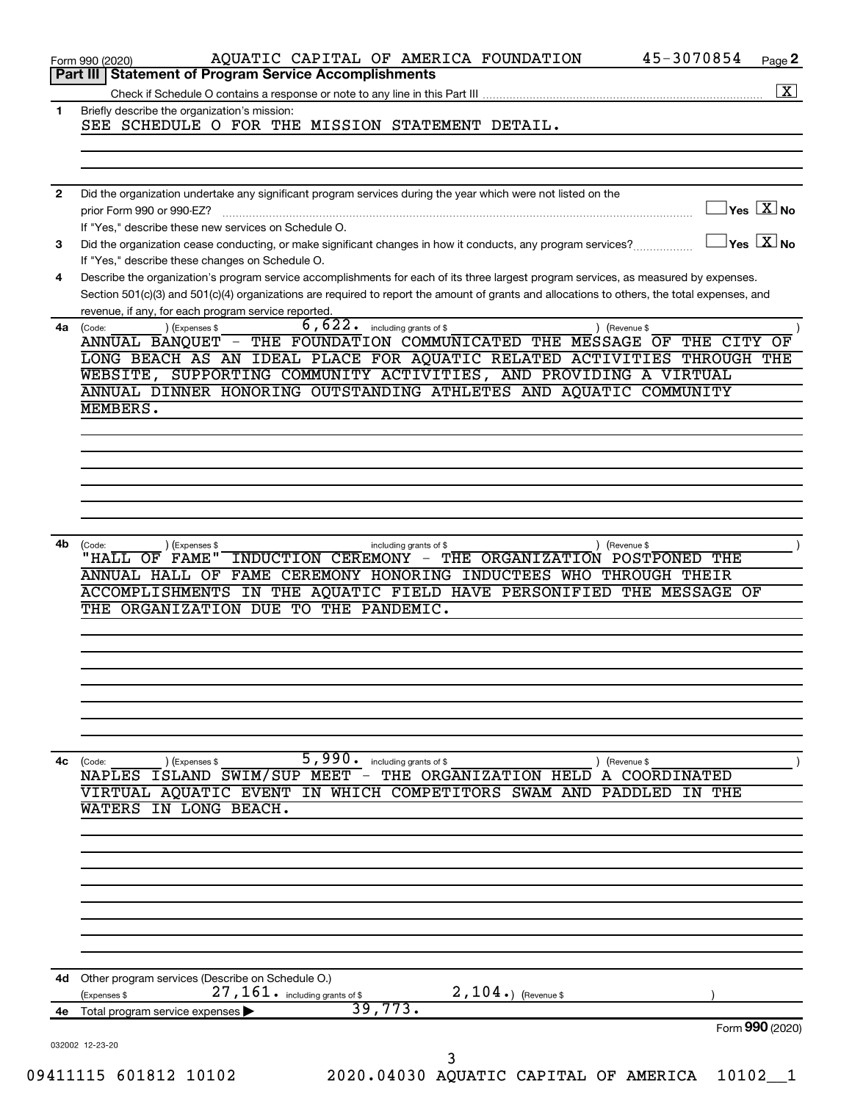|              | 45-3070854<br>AQUATIC CAPITAL OF AMERICA FOUNDATION<br>Page 2<br>Form 990 (2020)                                                                                                                                                                                                                                                              |
|--------------|-----------------------------------------------------------------------------------------------------------------------------------------------------------------------------------------------------------------------------------------------------------------------------------------------------------------------------------------------|
|              | <b>Statement of Program Service Accomplishments</b><br>Part III                                                                                                                                                                                                                                                                               |
| 1            | Briefly describe the organization's mission:<br>SEE SCHEDULE O FOR THE MISSION STATEMENT DETAIL.                                                                                                                                                                                                                                              |
|              |                                                                                                                                                                                                                                                                                                                                               |
| $\mathbf{2}$ | Did the organization undertake any significant program services during the year which were not listed on the                                                                                                                                                                                                                                  |
|              | $\sqrt{\mathsf{Yes}\ \mathbb{X}}$ No<br>prior Form 990 or 990-EZ?<br>If "Yes," describe these new services on Schedule O.                                                                                                                                                                                                                     |
| 3            | $\sqrt{}$ Yes $\sqrt{ \ \overline{\rm X}}$ No<br>Did the organization cease conducting, or make significant changes in how it conducts, any program services?<br>If "Yes," describe these changes on Schedule O.                                                                                                                              |
| 4            | Describe the organization's program service accomplishments for each of its three largest program services, as measured by expenses.<br>Section 501(c)(3) and 501(c)(4) organizations are required to report the amount of grants and allocations to others, the total expenses, and                                                          |
| 4a           | revenue, if any, for each program service reported.<br>6,622.<br>(Expenses \$<br>including grants of \$<br>(Revenue \$<br>(Code:                                                                                                                                                                                                              |
|              | ANNUAL BANOUET - THE FOUNDATION COMMUNICATED THE MESSAGE OF<br>THE CITY<br>OF<br>LONG BEACH AS AN IDEAL PLACE FOR AQUATIC RELATED ACTIVITIES THROUGH THE<br>WEBSITE, SUPPORTING COMMUNITY ACTIVITIES, AND PROVIDING A VIRTUAL<br>ANNUAL DINNER HONORING OUTSTANDING ATHLETES AND AQUATIC COMMUNITY                                            |
|              | MEMBERS.                                                                                                                                                                                                                                                                                                                                      |
|              |                                                                                                                                                                                                                                                                                                                                               |
|              |                                                                                                                                                                                                                                                                                                                                               |
|              |                                                                                                                                                                                                                                                                                                                                               |
|              |                                                                                                                                                                                                                                                                                                                                               |
|              |                                                                                                                                                                                                                                                                                                                                               |
| 4b           | (Expenses \$<br>Revenue \$<br>(Code:<br>including grants of \$<br>"HALL OF<br>THE ORGANIZATION POSTPONED THE<br><b>FAME"</b><br>INDUCTION CEREMONY -<br>FAME CEREMONY HONORING INDUCTEES WHO THROUGH THEIR<br>ANNUAL HALL OF<br>ACCOMPLISHMENTS IN THE AQUATIC FIELD HAVE PERSONIFIED THE MESSAGE OF<br>THE ORGANIZATION DUE TO THE PANDEMIC. |
|              |                                                                                                                                                                                                                                                                                                                                               |
|              |                                                                                                                                                                                                                                                                                                                                               |
|              |                                                                                                                                                                                                                                                                                                                                               |
| 4с           | 5,990.<br>including grants of \$<br>) (Revenue \$<br>(Code:<br>) (Expenses \$                                                                                                                                                                                                                                                                 |
|              | THE ORGANIZATION HELD<br>ISLAND SWIM/SUP MEET -<br><b>NAPLES</b><br>COORDINATED<br>A<br>VIRTUAL AQUATIC EVENT IN WHICH COMPETITORS SWAM AND<br>PADDLED<br>THE<br>ΙN<br>IN LONG BEACH.<br>WATERS                                                                                                                                               |
|              |                                                                                                                                                                                                                                                                                                                                               |
|              |                                                                                                                                                                                                                                                                                                                                               |
|              |                                                                                                                                                                                                                                                                                                                                               |
|              |                                                                                                                                                                                                                                                                                                                                               |
| 4d           | Other program services (Describe on Schedule O.)<br>27, 161. including grants of \$<br>$2,104.$ (Revenue \$<br>(Expenses \$                                                                                                                                                                                                                   |
| 4е           | 39,773.<br>Total program service expenses                                                                                                                                                                                                                                                                                                     |
|              |                                                                                                                                                                                                                                                                                                                                               |
|              | Form 990 (2020)<br>032002 12-23-20                                                                                                                                                                                                                                                                                                            |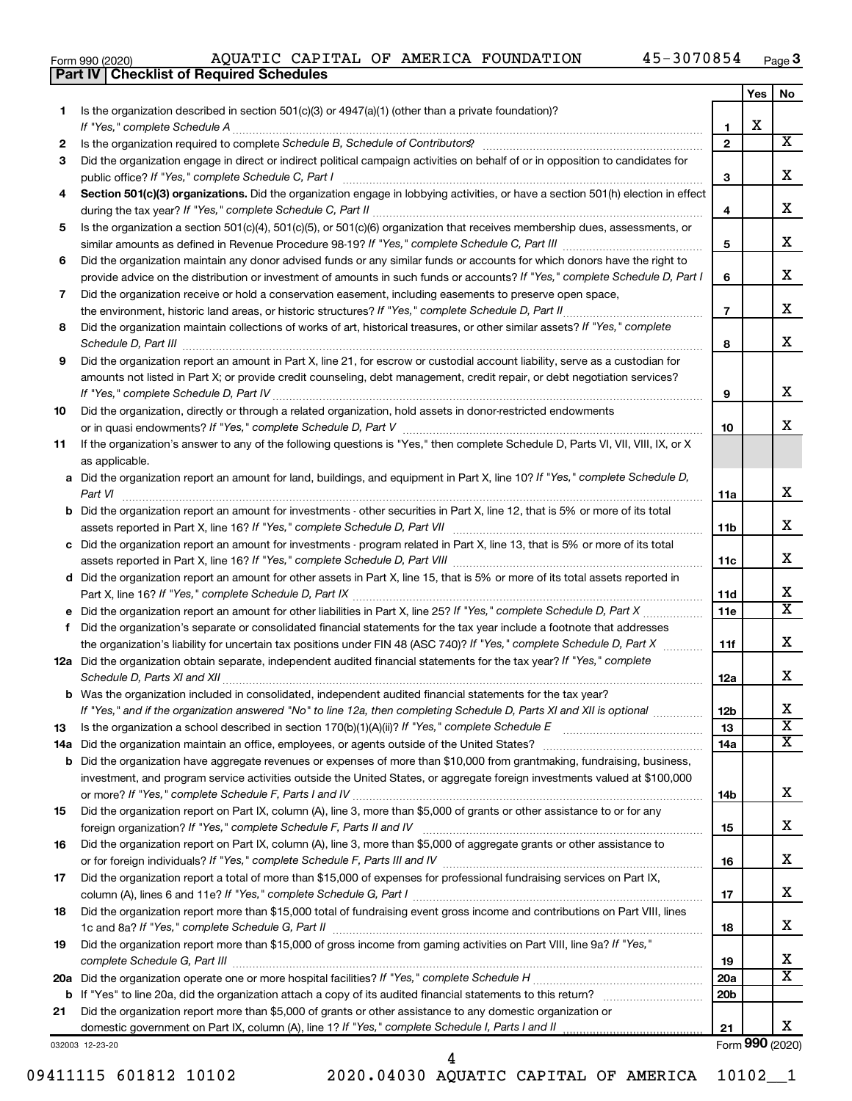|  | Form 990 (2020) |
|--|-----------------|
|  |                 |

**Part IV Checklist of Required Schedules**

|        |                                                                                                                                                 |                   | Yes | No                      |
|--------|-------------------------------------------------------------------------------------------------------------------------------------------------|-------------------|-----|-------------------------|
| 1.     | Is the organization described in section $501(c)(3)$ or $4947(a)(1)$ (other than a private foundation)?                                         |                   |     |                         |
|        | If "Yes," complete Schedule A                                                                                                                   | 1<br>$\mathbf{2}$ | x   | x                       |
| 2<br>3 | Did the organization engage in direct or indirect political campaign activities on behalf of or in opposition to candidates for                 |                   |     |                         |
|        | public office? If "Yes," complete Schedule C, Part I                                                                                            | 3                 |     | x                       |
| 4      | Section 501(c)(3) organizations. Did the organization engage in lobbying activities, or have a section 501(h) election in effect                |                   |     |                         |
|        |                                                                                                                                                 | 4                 |     | x                       |
| 5      | Is the organization a section 501(c)(4), 501(c)(5), or 501(c)(6) organization that receives membership dues, assessments, or                    |                   |     |                         |
|        |                                                                                                                                                 | 5                 |     | x                       |
| 6      | Did the organization maintain any donor advised funds or any similar funds or accounts for which donors have the right to                       |                   |     |                         |
|        | provide advice on the distribution or investment of amounts in such funds or accounts? If "Yes," complete Schedule D, Part I                    | 6                 |     | x                       |
| 7      | Did the organization receive or hold a conservation easement, including easements to preserve open space,                                       |                   |     |                         |
|        |                                                                                                                                                 | $\overline{7}$    |     | x                       |
| 8      | Did the organization maintain collections of works of art, historical treasures, or other similar assets? If "Yes," complete                    |                   |     |                         |
|        |                                                                                                                                                 | 8                 |     | x                       |
| 9      | Did the organization report an amount in Part X, line 21, for escrow or custodial account liability, serve as a custodian for                   |                   |     |                         |
|        | amounts not listed in Part X; or provide credit counseling, debt management, credit repair, or debt negotiation services?                       |                   |     |                         |
|        |                                                                                                                                                 | 9                 |     | x                       |
| 10     | Did the organization, directly or through a related organization, hold assets in donor-restricted endowments                                    |                   |     |                         |
|        |                                                                                                                                                 | 10                |     | x.                      |
| 11     | If the organization's answer to any of the following questions is "Yes," then complete Schedule D, Parts VI, VII, VIII, IX, or X                |                   |     |                         |
|        | as applicable.<br>a Did the organization report an amount for land, buildings, and equipment in Part X, line 10? If "Yes," complete Schedule D, |                   |     |                         |
|        | Part VI                                                                                                                                         | <b>11a</b>        |     | x                       |
|        | <b>b</b> Did the organization report an amount for investments - other securities in Part X, line 12, that is 5% or more of its total           |                   |     |                         |
|        |                                                                                                                                                 | 11 <sub>b</sub>   |     | x                       |
|        | c Did the organization report an amount for investments - program related in Part X, line 13, that is 5% or more of its total                   |                   |     |                         |
|        |                                                                                                                                                 | 11c               |     | x                       |
|        | d Did the organization report an amount for other assets in Part X, line 15, that is 5% or more of its total assets reported in                 |                   |     |                         |
|        |                                                                                                                                                 | 11d               |     | x                       |
|        | e Did the organization report an amount for other liabilities in Part X, line 25? If "Yes," complete Schedule D, Part X                         | 11e               |     | $\overline{\texttt{x}}$ |
| f.     | Did the organization's separate or consolidated financial statements for the tax year include a footnote that addresses                         |                   |     |                         |
|        | the organization's liability for uncertain tax positions under FIN 48 (ASC 740)? If "Yes," complete Schedule D, Part X                          | 11f               |     | x                       |
|        | 12a Did the organization obtain separate, independent audited financial statements for the tax year? If "Yes," complete                         |                   |     | x.                      |
|        | Schedule D, Parts XI and XII<br>b Was the organization included in consolidated, independent audited financial statements for the tax year?     | 12a               |     |                         |
|        | If "Yes," and if the organization answered "No" to line 12a, then completing Schedule D, Parts XI and XII is optional www.                      | 12 <sub>b</sub>   |     | х                       |
| 13     | Is the organization a school described in section $170(b)(1)(A)(ii)?$ If "Yes," complete Schedule E                                             | 13                |     | $\overline{\textbf{x}}$ |
|        | 14a Did the organization maintain an office, employees, or agents outside of the United States?                                                 | 14a               |     | x                       |
|        | <b>b</b> Did the organization have aggregate revenues or expenses of more than \$10,000 from grantmaking, fundraising, business,                |                   |     |                         |
|        | investment, and program service activities outside the United States, or aggregate foreign investments valued at \$100,000                      |                   |     |                         |
|        |                                                                                                                                                 | 14b               |     | x                       |
| 15     | Did the organization report on Part IX, column (A), line 3, more than \$5,000 of grants or other assistance to or for any                       |                   |     |                         |
|        |                                                                                                                                                 | 15                |     | x                       |
| 16     | Did the organization report on Part IX, column (A), line 3, more than \$5,000 of aggregate grants or other assistance to                        |                   |     |                         |
|        | or for foreign individuals? If "Yes," complete Schedule F, Parts III and IV [11] mann and intermal manufacture                                  | 16                |     | x                       |
| 17     | Did the organization report a total of more than \$15,000 of expenses for professional fundraising services on Part IX,                         |                   |     |                         |
|        |                                                                                                                                                 | 17                |     | x                       |
| 18     | Did the organization report more than \$15,000 total of fundraising event gross income and contributions on Part VIII, lines                    | 18                |     | x                       |
| 19     | Did the organization report more than \$15,000 of gross income from gaming activities on Part VIII, line 9a? If "Yes,"                          |                   |     |                         |
|        |                                                                                                                                                 | 19                |     | x                       |
|        |                                                                                                                                                 | <b>20a</b>        |     | x                       |
|        |                                                                                                                                                 | 20 <sub>b</sub>   |     |                         |
| 21     | Did the organization report more than \$5,000 of grants or other assistance to any domestic organization or                                     |                   |     |                         |
|        |                                                                                                                                                 | 21                |     | X.                      |
|        | 032003 12-23-20                                                                                                                                 |                   |     | Form 990 (2020)         |

032003 12-23-20

09411115 601812 10102 2020.04030 AQUATIC CAPITAL OF AMERICA 10102\_\_1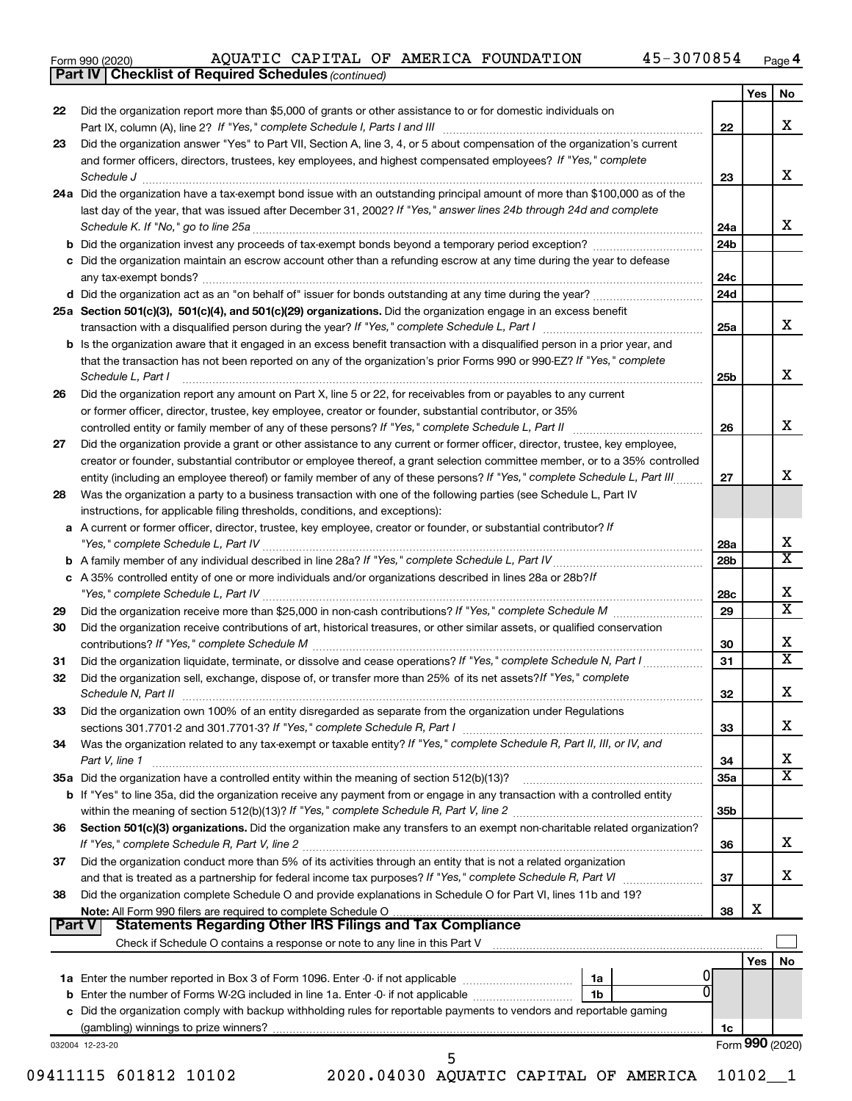| Form 990 (2020) |  |  |  |
|-----------------|--|--|--|
|-----------------|--|--|--|

**Part IV Checklist of Required Schedules**

*(continued)*

|               |                                                                                                                                                                                                                            |                 | Yes             | No                           |
|---------------|----------------------------------------------------------------------------------------------------------------------------------------------------------------------------------------------------------------------------|-----------------|-----------------|------------------------------|
| 22            | Did the organization report more than \$5,000 of grants or other assistance to or for domestic individuals on                                                                                                              |                 |                 | x                            |
| 23            | Did the organization answer "Yes" to Part VII, Section A, line 3, 4, or 5 about compensation of the organization's current                                                                                                 | 22              |                 |                              |
|               | and former officers, directors, trustees, key employees, and highest compensated employees? If "Yes," complete                                                                                                             |                 |                 |                              |
|               | Schedule J                                                                                                                                                                                                                 | 23              |                 | x                            |
|               | 24a Did the organization have a tax-exempt bond issue with an outstanding principal amount of more than \$100,000 as of the                                                                                                |                 |                 |                              |
|               | last day of the year, that was issued after December 31, 2002? If "Yes," answer lines 24b through 24d and complete                                                                                                         |                 |                 |                              |
|               | Schedule K. If "No," go to line 25a                                                                                                                                                                                        | 24a             |                 | x                            |
|               |                                                                                                                                                                                                                            | 24 <sub>b</sub> |                 |                              |
|               | c Did the organization maintain an escrow account other than a refunding escrow at any time during the year to defease                                                                                                     |                 |                 |                              |
|               |                                                                                                                                                                                                                            | 24c             |                 |                              |
|               |                                                                                                                                                                                                                            | 24d             |                 |                              |
|               | 25a Section 501(c)(3), 501(c)(4), and 501(c)(29) organizations. Did the organization engage in an excess benefit                                                                                                           |                 |                 |                              |
|               |                                                                                                                                                                                                                            | 25a             |                 | x                            |
|               | <b>b</b> Is the organization aware that it engaged in an excess benefit transaction with a disqualified person in a prior year, and                                                                                        |                 |                 |                              |
|               | that the transaction has not been reported on any of the organization's prior Forms 990 or 990-EZ? If "Yes," complete                                                                                                      |                 |                 | х                            |
|               | Schedule L, Part I                                                                                                                                                                                                         | 25b             |                 |                              |
| 26            | Did the organization report any amount on Part X, line 5 or 22, for receivables from or payables to any current<br>or former officer, director, trustee, key employee, creator or founder, substantial contributor, or 35% |                 |                 |                              |
|               |                                                                                                                                                                                                                            | 26              |                 | х                            |
| 27            | Did the organization provide a grant or other assistance to any current or former officer, director, trustee, key employee,                                                                                                |                 |                 |                              |
|               | creator or founder, substantial contributor or employee thereof, a grant selection committee member, or to a 35% controlled                                                                                                |                 |                 |                              |
|               | entity (including an employee thereof) or family member of any of these persons? If "Yes," complete Schedule L, Part III                                                                                                   | 27              |                 | x                            |
| 28            | Was the organization a party to a business transaction with one of the following parties (see Schedule L, Part IV                                                                                                          |                 |                 |                              |
|               | instructions, for applicable filing thresholds, conditions, and exceptions):                                                                                                                                               |                 |                 |                              |
|               | a A current or former officer, director, trustee, key employee, creator or founder, or substantial contributor? If                                                                                                         |                 |                 |                              |
|               |                                                                                                                                                                                                                            | 28a             |                 | X                            |
|               |                                                                                                                                                                                                                            | 28 <sub>b</sub> |                 | $\overline{\texttt{x}}$      |
|               | c A 35% controlled entity of one or more individuals and/or organizations described in lines 28a or 28b?If                                                                                                                 |                 |                 |                              |
|               |                                                                                                                                                                                                                            | 28c             |                 | х                            |
| 29            |                                                                                                                                                                                                                            | 29              |                 | $\overline{\text{x}}$        |
| 30            | Did the organization receive contributions of art, historical treasures, or other similar assets, or qualified conservation                                                                                                |                 |                 |                              |
|               |                                                                                                                                                                                                                            | 30              |                 | x<br>$\overline{\texttt{x}}$ |
| 31            | Did the organization liquidate, terminate, or dissolve and cease operations? If "Yes," complete Schedule N, Part I                                                                                                         | 31              |                 |                              |
| 32            | Did the organization sell, exchange, dispose of, or transfer more than 25% of its net assets? If "Yes," complete<br>Schedule N, Part II                                                                                    |                 |                 | х                            |
|               |                                                                                                                                                                                                                            | 32              |                 |                              |
| 33            | Did the organization own 100% of an entity disregarded as separate from the organization under Regulations                                                                                                                 | 33              |                 | х                            |
| 34            | Was the organization related to any tax-exempt or taxable entity? If "Yes," complete Schedule R, Part II, III, or IV, and                                                                                                  |                 |                 |                              |
|               | Part V, line 1                                                                                                                                                                                                             | 34              |                 | х                            |
|               |                                                                                                                                                                                                                            | 35a             |                 | $\overline{\text{X}}$        |
|               | b If "Yes" to line 35a, did the organization receive any payment from or engage in any transaction with a controlled entity                                                                                                |                 |                 |                              |
|               |                                                                                                                                                                                                                            | 35b             |                 |                              |
| 36            | Section 501(c)(3) organizations. Did the organization make any transfers to an exempt non-charitable related organization?                                                                                                 |                 |                 |                              |
|               |                                                                                                                                                                                                                            | 36              |                 | x                            |
| 37            | Did the organization conduct more than 5% of its activities through an entity that is not a related organization                                                                                                           |                 |                 |                              |
|               | and that is treated as a partnership for federal income tax purposes? If "Yes," complete Schedule R, Part VI                                                                                                               | 37              |                 | x                            |
| 38            | Did the organization complete Schedule O and provide explanations in Schedule O for Part VI, lines 11b and 19?                                                                                                             |                 |                 |                              |
|               |                                                                                                                                                                                                                            | 38              | х               |                              |
| <b>Part V</b> | <b>Statements Regarding Other IRS Filings and Tax Compliance</b>                                                                                                                                                           |                 |                 |                              |
|               |                                                                                                                                                                                                                            |                 |                 | No                           |
|               | 1a                                                                                                                                                                                                                         |                 | Yes             |                              |
|               | 0<br>1b                                                                                                                                                                                                                    |                 |                 |                              |
|               | c Did the organization comply with backup withholding rules for reportable payments to vendors and reportable gaming                                                                                                       |                 |                 |                              |
|               |                                                                                                                                                                                                                            | 1c              |                 |                              |
|               | 032004 12-23-20                                                                                                                                                                                                            |                 | Form 990 (2020) |                              |
|               | 5                                                                                                                                                                                                                          |                 |                 |                              |

09411115 601812 10102 2020.04030 AQUATIC CAPITAL OF AMERICA 10102\_\_1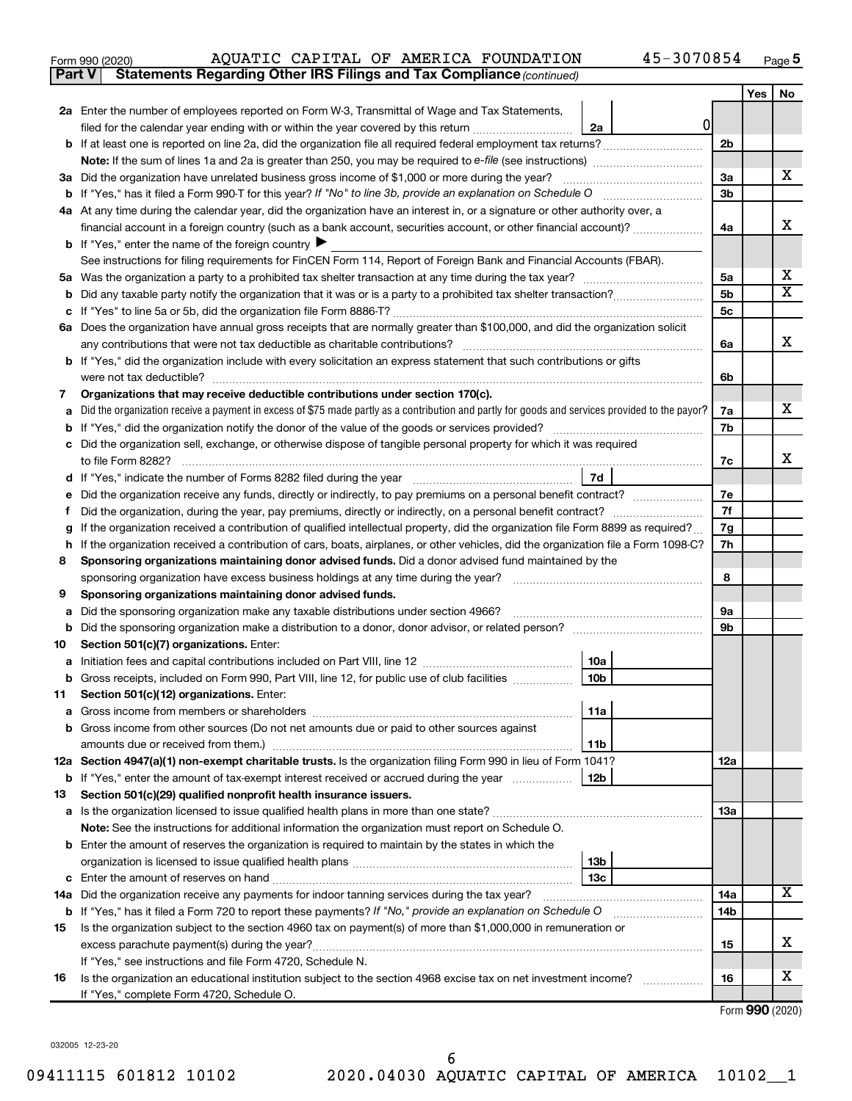| Form 990 (2020) |  |  | AQUATIC CAPITAL OF AMERICA FOUNDATION                                               | 45-3070854 | Page |
|-----------------|--|--|-------------------------------------------------------------------------------------|------------|------|
|                 |  |  | <b>Part V</b> Statements Regarding Other IRS Filings and Tax Compliance (continued) |            |      |

| 2a Enter the number of employees reported on Form W-3, Transmittal of Wage and Tax Statements,<br>0<br>filed for the calendar year ending with or within the year covered by this return<br>2a<br>2 <sub>b</sub><br>b<br>x<br>Did the organization have unrelated business gross income of \$1,000 or more during the year?<br>За<br>За<br>3b<br>4a At any time during the calendar year, did the organization have an interest in, or a signature or other authority over, a<br>x<br>financial account in a foreign country (such as a bank account, securities account, or other financial account)?<br>4a<br><b>b</b> If "Yes," enter the name of the foreign country $\blacktriangleright$<br>See instructions for filing requirements for FinCEN Form 114, Report of Foreign Bank and Financial Accounts (FBAR).<br>х<br>5a<br>5a<br>x<br>5b<br>b<br><b>5c</b><br>Does the organization have annual gross receipts that are normally greater than \$100,000, and did the organization solicit<br>6а<br>x<br>any contributions that were not tax deductible as charitable contributions?<br>6a<br>b If "Yes," did the organization include with every solicitation an express statement that such contributions or gifts<br>were not tax deductible?<br>6b<br>Organizations that may receive deductible contributions under section 170(c).<br>7<br>x<br>Did the organization receive a payment in excess of \$75 made partly as a contribution and partly for goods and services provided to the payor?<br>7a<br>a<br>7b<br>b<br>Did the organization sell, exchange, or otherwise dispose of tangible personal property for which it was required<br>x<br>to file Form 8282?<br>7c<br>7d<br>Did the organization receive any funds, directly or indirectly, to pay premiums on a personal benefit contract?<br>7е<br>7f<br>f<br>If the organization received a contribution of qualified intellectual property, did the organization file Form 8899 as required?<br>7g<br>g<br>7h<br>If the organization received a contribution of cars, boats, airplanes, or other vehicles, did the organization file a Form 1098-C?<br>h<br>Sponsoring organizations maintaining donor advised funds. Did a donor advised fund maintained by the<br>8<br>8<br>sponsoring organization have excess business holdings at any time during the year?<br>9<br>Sponsoring organizations maintaining donor advised funds.<br>Did the sponsoring organization make any taxable distributions under section 4966?<br>9а<br>а<br>9b<br>b<br>Section 501(c)(7) organizations. Enter:<br>10<br>10a<br>а<br>10 <sub>b</sub><br>Gross receipts, included on Form 990, Part VIII, line 12, for public use of club facilities<br>b<br>Section 501(c)(12) organizations. Enter:<br>11<br> 11a <br><b>b</b> Gross income from other sources (Do not net amounts due or paid to other sources against<br>11b<br>12a Section 4947(a)(1) non-exempt charitable trusts. Is the organization filing Form 990 in lieu of Form 1041?<br>12a<br>12 <sub>b</sub><br><b>b</b> If "Yes," enter the amount of tax-exempt interest received or accrued during the year<br>Section 501(c)(29) qualified nonprofit health insurance issuers.<br>13<br><b>13a</b><br>a Is the organization licensed to issue qualified health plans in more than one state?<br>Note: See the instructions for additional information the organization must report on Schedule O.<br><b>b</b> Enter the amount of reserves the organization is required to maintain by the states in which the<br>13b<br>13c<br>с<br>x<br>14a Did the organization receive any payments for indoor tanning services during the tax year?<br>14a<br><b>b</b> If "Yes," has it filed a Form 720 to report these payments? If "No," provide an explanation on Schedule O<br>14b<br>Is the organization subject to the section 4960 tax on payment(s) of more than \$1,000,000 in remuneration or<br>15<br>x.<br>excess parachute payment(s) during the year?<br>15<br>If "Yes," see instructions and file Form 4720, Schedule N.<br>х<br>Is the organization an educational institution subject to the section 4968 excise tax on net investment income?<br>16<br>16 |                                           | Yes | No |
|------------------------------------------------------------------------------------------------------------------------------------------------------------------------------------------------------------------------------------------------------------------------------------------------------------------------------------------------------------------------------------------------------------------------------------------------------------------------------------------------------------------------------------------------------------------------------------------------------------------------------------------------------------------------------------------------------------------------------------------------------------------------------------------------------------------------------------------------------------------------------------------------------------------------------------------------------------------------------------------------------------------------------------------------------------------------------------------------------------------------------------------------------------------------------------------------------------------------------------------------------------------------------------------------------------------------------------------------------------------------------------------------------------------------------------------------------------------------------------------------------------------------------------------------------------------------------------------------------------------------------------------------------------------------------------------------------------------------------------------------------------------------------------------------------------------------------------------------------------------------------------------------------------------------------------------------------------------------------------------------------------------------------------------------------------------------------------------------------------------------------------------------------------------------------------------------------------------------------------------------------------------------------------------------------------------------------------------------------------------------------------------------------------------------------------------------------------------------------------------------------------------------------------------------------------------------------------------------------------------------------------------------------------------------------------------------------------------------------------------------------------------------------------------------------------------------------------------------------------------------------------------------------------------------------------------------------------------------------------------------------------------------------------------------------------------------------------------------------------------------------------------------------------------------------------------------------------------------------------------------------------------------------------------------------------------------------------------------------------------------------------------------------------------------------------------------------------------------------------------------------------------------------------------------------------------------------------------------------------------------------------------------------------------------------------------------------------------------------------------------------------------------------------------------------------------------------------------------------------------------------------------------------------------------------------------------------------------------------------------------------------------------------------------------------------------------------------------------------------------------------------------------------------------------------------------|-------------------------------------------|-----|----|
|                                                                                                                                                                                                                                                                                                                                                                                                                                                                                                                                                                                                                                                                                                                                                                                                                                                                                                                                                                                                                                                                                                                                                                                                                                                                                                                                                                                                                                                                                                                                                                                                                                                                                                                                                                                                                                                                                                                                                                                                                                                                                                                                                                                                                                                                                                                                                                                                                                                                                                                                                                                                                                                                                                                                                                                                                                                                                                                                                                                                                                                                                                                                                                                                                                                                                                                                                                                                                                                                                                                                                                                                                                                                                                                                                                                                                                                                                                                                                                                                                                                                                                                                                                                          |                                           |     |    |
|                                                                                                                                                                                                                                                                                                                                                                                                                                                                                                                                                                                                                                                                                                                                                                                                                                                                                                                                                                                                                                                                                                                                                                                                                                                                                                                                                                                                                                                                                                                                                                                                                                                                                                                                                                                                                                                                                                                                                                                                                                                                                                                                                                                                                                                                                                                                                                                                                                                                                                                                                                                                                                                                                                                                                                                                                                                                                                                                                                                                                                                                                                                                                                                                                                                                                                                                                                                                                                                                                                                                                                                                                                                                                                                                                                                                                                                                                                                                                                                                                                                                                                                                                                                          |                                           |     |    |
|                                                                                                                                                                                                                                                                                                                                                                                                                                                                                                                                                                                                                                                                                                                                                                                                                                                                                                                                                                                                                                                                                                                                                                                                                                                                                                                                                                                                                                                                                                                                                                                                                                                                                                                                                                                                                                                                                                                                                                                                                                                                                                                                                                                                                                                                                                                                                                                                                                                                                                                                                                                                                                                                                                                                                                                                                                                                                                                                                                                                                                                                                                                                                                                                                                                                                                                                                                                                                                                                                                                                                                                                                                                                                                                                                                                                                                                                                                                                                                                                                                                                                                                                                                                          |                                           |     |    |
|                                                                                                                                                                                                                                                                                                                                                                                                                                                                                                                                                                                                                                                                                                                                                                                                                                                                                                                                                                                                                                                                                                                                                                                                                                                                                                                                                                                                                                                                                                                                                                                                                                                                                                                                                                                                                                                                                                                                                                                                                                                                                                                                                                                                                                                                                                                                                                                                                                                                                                                                                                                                                                                                                                                                                                                                                                                                                                                                                                                                                                                                                                                                                                                                                                                                                                                                                                                                                                                                                                                                                                                                                                                                                                                                                                                                                                                                                                                                                                                                                                                                                                                                                                                          |                                           |     |    |
|                                                                                                                                                                                                                                                                                                                                                                                                                                                                                                                                                                                                                                                                                                                                                                                                                                                                                                                                                                                                                                                                                                                                                                                                                                                                                                                                                                                                                                                                                                                                                                                                                                                                                                                                                                                                                                                                                                                                                                                                                                                                                                                                                                                                                                                                                                                                                                                                                                                                                                                                                                                                                                                                                                                                                                                                                                                                                                                                                                                                                                                                                                                                                                                                                                                                                                                                                                                                                                                                                                                                                                                                                                                                                                                                                                                                                                                                                                                                                                                                                                                                                                                                                                                          |                                           |     |    |
|                                                                                                                                                                                                                                                                                                                                                                                                                                                                                                                                                                                                                                                                                                                                                                                                                                                                                                                                                                                                                                                                                                                                                                                                                                                                                                                                                                                                                                                                                                                                                                                                                                                                                                                                                                                                                                                                                                                                                                                                                                                                                                                                                                                                                                                                                                                                                                                                                                                                                                                                                                                                                                                                                                                                                                                                                                                                                                                                                                                                                                                                                                                                                                                                                                                                                                                                                                                                                                                                                                                                                                                                                                                                                                                                                                                                                                                                                                                                                                                                                                                                                                                                                                                          |                                           |     |    |
|                                                                                                                                                                                                                                                                                                                                                                                                                                                                                                                                                                                                                                                                                                                                                                                                                                                                                                                                                                                                                                                                                                                                                                                                                                                                                                                                                                                                                                                                                                                                                                                                                                                                                                                                                                                                                                                                                                                                                                                                                                                                                                                                                                                                                                                                                                                                                                                                                                                                                                                                                                                                                                                                                                                                                                                                                                                                                                                                                                                                                                                                                                                                                                                                                                                                                                                                                                                                                                                                                                                                                                                                                                                                                                                                                                                                                                                                                                                                                                                                                                                                                                                                                                                          |                                           |     |    |
|                                                                                                                                                                                                                                                                                                                                                                                                                                                                                                                                                                                                                                                                                                                                                                                                                                                                                                                                                                                                                                                                                                                                                                                                                                                                                                                                                                                                                                                                                                                                                                                                                                                                                                                                                                                                                                                                                                                                                                                                                                                                                                                                                                                                                                                                                                                                                                                                                                                                                                                                                                                                                                                                                                                                                                                                                                                                                                                                                                                                                                                                                                                                                                                                                                                                                                                                                                                                                                                                                                                                                                                                                                                                                                                                                                                                                                                                                                                                                                                                                                                                                                                                                                                          |                                           |     |    |
|                                                                                                                                                                                                                                                                                                                                                                                                                                                                                                                                                                                                                                                                                                                                                                                                                                                                                                                                                                                                                                                                                                                                                                                                                                                                                                                                                                                                                                                                                                                                                                                                                                                                                                                                                                                                                                                                                                                                                                                                                                                                                                                                                                                                                                                                                                                                                                                                                                                                                                                                                                                                                                                                                                                                                                                                                                                                                                                                                                                                                                                                                                                                                                                                                                                                                                                                                                                                                                                                                                                                                                                                                                                                                                                                                                                                                                                                                                                                                                                                                                                                                                                                                                                          |                                           |     |    |
|                                                                                                                                                                                                                                                                                                                                                                                                                                                                                                                                                                                                                                                                                                                                                                                                                                                                                                                                                                                                                                                                                                                                                                                                                                                                                                                                                                                                                                                                                                                                                                                                                                                                                                                                                                                                                                                                                                                                                                                                                                                                                                                                                                                                                                                                                                                                                                                                                                                                                                                                                                                                                                                                                                                                                                                                                                                                                                                                                                                                                                                                                                                                                                                                                                                                                                                                                                                                                                                                                                                                                                                                                                                                                                                                                                                                                                                                                                                                                                                                                                                                                                                                                                                          |                                           |     |    |
|                                                                                                                                                                                                                                                                                                                                                                                                                                                                                                                                                                                                                                                                                                                                                                                                                                                                                                                                                                                                                                                                                                                                                                                                                                                                                                                                                                                                                                                                                                                                                                                                                                                                                                                                                                                                                                                                                                                                                                                                                                                                                                                                                                                                                                                                                                                                                                                                                                                                                                                                                                                                                                                                                                                                                                                                                                                                                                                                                                                                                                                                                                                                                                                                                                                                                                                                                                                                                                                                                                                                                                                                                                                                                                                                                                                                                                                                                                                                                                                                                                                                                                                                                                                          |                                           |     |    |
|                                                                                                                                                                                                                                                                                                                                                                                                                                                                                                                                                                                                                                                                                                                                                                                                                                                                                                                                                                                                                                                                                                                                                                                                                                                                                                                                                                                                                                                                                                                                                                                                                                                                                                                                                                                                                                                                                                                                                                                                                                                                                                                                                                                                                                                                                                                                                                                                                                                                                                                                                                                                                                                                                                                                                                                                                                                                                                                                                                                                                                                                                                                                                                                                                                                                                                                                                                                                                                                                                                                                                                                                                                                                                                                                                                                                                                                                                                                                                                                                                                                                                                                                                                                          |                                           |     |    |
|                                                                                                                                                                                                                                                                                                                                                                                                                                                                                                                                                                                                                                                                                                                                                                                                                                                                                                                                                                                                                                                                                                                                                                                                                                                                                                                                                                                                                                                                                                                                                                                                                                                                                                                                                                                                                                                                                                                                                                                                                                                                                                                                                                                                                                                                                                                                                                                                                                                                                                                                                                                                                                                                                                                                                                                                                                                                                                                                                                                                                                                                                                                                                                                                                                                                                                                                                                                                                                                                                                                                                                                                                                                                                                                                                                                                                                                                                                                                                                                                                                                                                                                                                                                          |                                           |     |    |
|                                                                                                                                                                                                                                                                                                                                                                                                                                                                                                                                                                                                                                                                                                                                                                                                                                                                                                                                                                                                                                                                                                                                                                                                                                                                                                                                                                                                                                                                                                                                                                                                                                                                                                                                                                                                                                                                                                                                                                                                                                                                                                                                                                                                                                                                                                                                                                                                                                                                                                                                                                                                                                                                                                                                                                                                                                                                                                                                                                                                                                                                                                                                                                                                                                                                                                                                                                                                                                                                                                                                                                                                                                                                                                                                                                                                                                                                                                                                                                                                                                                                                                                                                                                          |                                           |     |    |
|                                                                                                                                                                                                                                                                                                                                                                                                                                                                                                                                                                                                                                                                                                                                                                                                                                                                                                                                                                                                                                                                                                                                                                                                                                                                                                                                                                                                                                                                                                                                                                                                                                                                                                                                                                                                                                                                                                                                                                                                                                                                                                                                                                                                                                                                                                                                                                                                                                                                                                                                                                                                                                                                                                                                                                                                                                                                                                                                                                                                                                                                                                                                                                                                                                                                                                                                                                                                                                                                                                                                                                                                                                                                                                                                                                                                                                                                                                                                                                                                                                                                                                                                                                                          |                                           |     |    |
|                                                                                                                                                                                                                                                                                                                                                                                                                                                                                                                                                                                                                                                                                                                                                                                                                                                                                                                                                                                                                                                                                                                                                                                                                                                                                                                                                                                                                                                                                                                                                                                                                                                                                                                                                                                                                                                                                                                                                                                                                                                                                                                                                                                                                                                                                                                                                                                                                                                                                                                                                                                                                                                                                                                                                                                                                                                                                                                                                                                                                                                                                                                                                                                                                                                                                                                                                                                                                                                                                                                                                                                                                                                                                                                                                                                                                                                                                                                                                                                                                                                                                                                                                                                          |                                           |     |    |
|                                                                                                                                                                                                                                                                                                                                                                                                                                                                                                                                                                                                                                                                                                                                                                                                                                                                                                                                                                                                                                                                                                                                                                                                                                                                                                                                                                                                                                                                                                                                                                                                                                                                                                                                                                                                                                                                                                                                                                                                                                                                                                                                                                                                                                                                                                                                                                                                                                                                                                                                                                                                                                                                                                                                                                                                                                                                                                                                                                                                                                                                                                                                                                                                                                                                                                                                                                                                                                                                                                                                                                                                                                                                                                                                                                                                                                                                                                                                                                                                                                                                                                                                                                                          |                                           |     |    |
|                                                                                                                                                                                                                                                                                                                                                                                                                                                                                                                                                                                                                                                                                                                                                                                                                                                                                                                                                                                                                                                                                                                                                                                                                                                                                                                                                                                                                                                                                                                                                                                                                                                                                                                                                                                                                                                                                                                                                                                                                                                                                                                                                                                                                                                                                                                                                                                                                                                                                                                                                                                                                                                                                                                                                                                                                                                                                                                                                                                                                                                                                                                                                                                                                                                                                                                                                                                                                                                                                                                                                                                                                                                                                                                                                                                                                                                                                                                                                                                                                                                                                                                                                                                          |                                           |     |    |
|                                                                                                                                                                                                                                                                                                                                                                                                                                                                                                                                                                                                                                                                                                                                                                                                                                                                                                                                                                                                                                                                                                                                                                                                                                                                                                                                                                                                                                                                                                                                                                                                                                                                                                                                                                                                                                                                                                                                                                                                                                                                                                                                                                                                                                                                                                                                                                                                                                                                                                                                                                                                                                                                                                                                                                                                                                                                                                                                                                                                                                                                                                                                                                                                                                                                                                                                                                                                                                                                                                                                                                                                                                                                                                                                                                                                                                                                                                                                                                                                                                                                                                                                                                                          |                                           |     |    |
|                                                                                                                                                                                                                                                                                                                                                                                                                                                                                                                                                                                                                                                                                                                                                                                                                                                                                                                                                                                                                                                                                                                                                                                                                                                                                                                                                                                                                                                                                                                                                                                                                                                                                                                                                                                                                                                                                                                                                                                                                                                                                                                                                                                                                                                                                                                                                                                                                                                                                                                                                                                                                                                                                                                                                                                                                                                                                                                                                                                                                                                                                                                                                                                                                                                                                                                                                                                                                                                                                                                                                                                                                                                                                                                                                                                                                                                                                                                                                                                                                                                                                                                                                                                          |                                           |     |    |
|                                                                                                                                                                                                                                                                                                                                                                                                                                                                                                                                                                                                                                                                                                                                                                                                                                                                                                                                                                                                                                                                                                                                                                                                                                                                                                                                                                                                                                                                                                                                                                                                                                                                                                                                                                                                                                                                                                                                                                                                                                                                                                                                                                                                                                                                                                                                                                                                                                                                                                                                                                                                                                                                                                                                                                                                                                                                                                                                                                                                                                                                                                                                                                                                                                                                                                                                                                                                                                                                                                                                                                                                                                                                                                                                                                                                                                                                                                                                                                                                                                                                                                                                                                                          |                                           |     |    |
|                                                                                                                                                                                                                                                                                                                                                                                                                                                                                                                                                                                                                                                                                                                                                                                                                                                                                                                                                                                                                                                                                                                                                                                                                                                                                                                                                                                                                                                                                                                                                                                                                                                                                                                                                                                                                                                                                                                                                                                                                                                                                                                                                                                                                                                                                                                                                                                                                                                                                                                                                                                                                                                                                                                                                                                                                                                                                                                                                                                                                                                                                                                                                                                                                                                                                                                                                                                                                                                                                                                                                                                                                                                                                                                                                                                                                                                                                                                                                                                                                                                                                                                                                                                          |                                           |     |    |
|                                                                                                                                                                                                                                                                                                                                                                                                                                                                                                                                                                                                                                                                                                                                                                                                                                                                                                                                                                                                                                                                                                                                                                                                                                                                                                                                                                                                                                                                                                                                                                                                                                                                                                                                                                                                                                                                                                                                                                                                                                                                                                                                                                                                                                                                                                                                                                                                                                                                                                                                                                                                                                                                                                                                                                                                                                                                                                                                                                                                                                                                                                                                                                                                                                                                                                                                                                                                                                                                                                                                                                                                                                                                                                                                                                                                                                                                                                                                                                                                                                                                                                                                                                                          |                                           |     |    |
|                                                                                                                                                                                                                                                                                                                                                                                                                                                                                                                                                                                                                                                                                                                                                                                                                                                                                                                                                                                                                                                                                                                                                                                                                                                                                                                                                                                                                                                                                                                                                                                                                                                                                                                                                                                                                                                                                                                                                                                                                                                                                                                                                                                                                                                                                                                                                                                                                                                                                                                                                                                                                                                                                                                                                                                                                                                                                                                                                                                                                                                                                                                                                                                                                                                                                                                                                                                                                                                                                                                                                                                                                                                                                                                                                                                                                                                                                                                                                                                                                                                                                                                                                                                          |                                           |     |    |
|                                                                                                                                                                                                                                                                                                                                                                                                                                                                                                                                                                                                                                                                                                                                                                                                                                                                                                                                                                                                                                                                                                                                                                                                                                                                                                                                                                                                                                                                                                                                                                                                                                                                                                                                                                                                                                                                                                                                                                                                                                                                                                                                                                                                                                                                                                                                                                                                                                                                                                                                                                                                                                                                                                                                                                                                                                                                                                                                                                                                                                                                                                                                                                                                                                                                                                                                                                                                                                                                                                                                                                                                                                                                                                                                                                                                                                                                                                                                                                                                                                                                                                                                                                                          |                                           |     |    |
|                                                                                                                                                                                                                                                                                                                                                                                                                                                                                                                                                                                                                                                                                                                                                                                                                                                                                                                                                                                                                                                                                                                                                                                                                                                                                                                                                                                                                                                                                                                                                                                                                                                                                                                                                                                                                                                                                                                                                                                                                                                                                                                                                                                                                                                                                                                                                                                                                                                                                                                                                                                                                                                                                                                                                                                                                                                                                                                                                                                                                                                                                                                                                                                                                                                                                                                                                                                                                                                                                                                                                                                                                                                                                                                                                                                                                                                                                                                                                                                                                                                                                                                                                                                          |                                           |     |    |
|                                                                                                                                                                                                                                                                                                                                                                                                                                                                                                                                                                                                                                                                                                                                                                                                                                                                                                                                                                                                                                                                                                                                                                                                                                                                                                                                                                                                                                                                                                                                                                                                                                                                                                                                                                                                                                                                                                                                                                                                                                                                                                                                                                                                                                                                                                                                                                                                                                                                                                                                                                                                                                                                                                                                                                                                                                                                                                                                                                                                                                                                                                                                                                                                                                                                                                                                                                                                                                                                                                                                                                                                                                                                                                                                                                                                                                                                                                                                                                                                                                                                                                                                                                                          |                                           |     |    |
|                                                                                                                                                                                                                                                                                                                                                                                                                                                                                                                                                                                                                                                                                                                                                                                                                                                                                                                                                                                                                                                                                                                                                                                                                                                                                                                                                                                                                                                                                                                                                                                                                                                                                                                                                                                                                                                                                                                                                                                                                                                                                                                                                                                                                                                                                                                                                                                                                                                                                                                                                                                                                                                                                                                                                                                                                                                                                                                                                                                                                                                                                                                                                                                                                                                                                                                                                                                                                                                                                                                                                                                                                                                                                                                                                                                                                                                                                                                                                                                                                                                                                                                                                                                          |                                           |     |    |
|                                                                                                                                                                                                                                                                                                                                                                                                                                                                                                                                                                                                                                                                                                                                                                                                                                                                                                                                                                                                                                                                                                                                                                                                                                                                                                                                                                                                                                                                                                                                                                                                                                                                                                                                                                                                                                                                                                                                                                                                                                                                                                                                                                                                                                                                                                                                                                                                                                                                                                                                                                                                                                                                                                                                                                                                                                                                                                                                                                                                                                                                                                                                                                                                                                                                                                                                                                                                                                                                                                                                                                                                                                                                                                                                                                                                                                                                                                                                                                                                                                                                                                                                                                                          |                                           |     |    |
|                                                                                                                                                                                                                                                                                                                                                                                                                                                                                                                                                                                                                                                                                                                                                                                                                                                                                                                                                                                                                                                                                                                                                                                                                                                                                                                                                                                                                                                                                                                                                                                                                                                                                                                                                                                                                                                                                                                                                                                                                                                                                                                                                                                                                                                                                                                                                                                                                                                                                                                                                                                                                                                                                                                                                                                                                                                                                                                                                                                                                                                                                                                                                                                                                                                                                                                                                                                                                                                                                                                                                                                                                                                                                                                                                                                                                                                                                                                                                                                                                                                                                                                                                                                          |                                           |     |    |
|                                                                                                                                                                                                                                                                                                                                                                                                                                                                                                                                                                                                                                                                                                                                                                                                                                                                                                                                                                                                                                                                                                                                                                                                                                                                                                                                                                                                                                                                                                                                                                                                                                                                                                                                                                                                                                                                                                                                                                                                                                                                                                                                                                                                                                                                                                                                                                                                                                                                                                                                                                                                                                                                                                                                                                                                                                                                                                                                                                                                                                                                                                                                                                                                                                                                                                                                                                                                                                                                                                                                                                                                                                                                                                                                                                                                                                                                                                                                                                                                                                                                                                                                                                                          |                                           |     |    |
|                                                                                                                                                                                                                                                                                                                                                                                                                                                                                                                                                                                                                                                                                                                                                                                                                                                                                                                                                                                                                                                                                                                                                                                                                                                                                                                                                                                                                                                                                                                                                                                                                                                                                                                                                                                                                                                                                                                                                                                                                                                                                                                                                                                                                                                                                                                                                                                                                                                                                                                                                                                                                                                                                                                                                                                                                                                                                                                                                                                                                                                                                                                                                                                                                                                                                                                                                                                                                                                                                                                                                                                                                                                                                                                                                                                                                                                                                                                                                                                                                                                                                                                                                                                          |                                           |     |    |
|                                                                                                                                                                                                                                                                                                                                                                                                                                                                                                                                                                                                                                                                                                                                                                                                                                                                                                                                                                                                                                                                                                                                                                                                                                                                                                                                                                                                                                                                                                                                                                                                                                                                                                                                                                                                                                                                                                                                                                                                                                                                                                                                                                                                                                                                                                                                                                                                                                                                                                                                                                                                                                                                                                                                                                                                                                                                                                                                                                                                                                                                                                                                                                                                                                                                                                                                                                                                                                                                                                                                                                                                                                                                                                                                                                                                                                                                                                                                                                                                                                                                                                                                                                                          |                                           |     |    |
|                                                                                                                                                                                                                                                                                                                                                                                                                                                                                                                                                                                                                                                                                                                                                                                                                                                                                                                                                                                                                                                                                                                                                                                                                                                                                                                                                                                                                                                                                                                                                                                                                                                                                                                                                                                                                                                                                                                                                                                                                                                                                                                                                                                                                                                                                                                                                                                                                                                                                                                                                                                                                                                                                                                                                                                                                                                                                                                                                                                                                                                                                                                                                                                                                                                                                                                                                                                                                                                                                                                                                                                                                                                                                                                                                                                                                                                                                                                                                                                                                                                                                                                                                                                          |                                           |     |    |
|                                                                                                                                                                                                                                                                                                                                                                                                                                                                                                                                                                                                                                                                                                                                                                                                                                                                                                                                                                                                                                                                                                                                                                                                                                                                                                                                                                                                                                                                                                                                                                                                                                                                                                                                                                                                                                                                                                                                                                                                                                                                                                                                                                                                                                                                                                                                                                                                                                                                                                                                                                                                                                                                                                                                                                                                                                                                                                                                                                                                                                                                                                                                                                                                                                                                                                                                                                                                                                                                                                                                                                                                                                                                                                                                                                                                                                                                                                                                                                                                                                                                                                                                                                                          |                                           |     |    |
|                                                                                                                                                                                                                                                                                                                                                                                                                                                                                                                                                                                                                                                                                                                                                                                                                                                                                                                                                                                                                                                                                                                                                                                                                                                                                                                                                                                                                                                                                                                                                                                                                                                                                                                                                                                                                                                                                                                                                                                                                                                                                                                                                                                                                                                                                                                                                                                                                                                                                                                                                                                                                                                                                                                                                                                                                                                                                                                                                                                                                                                                                                                                                                                                                                                                                                                                                                                                                                                                                                                                                                                                                                                                                                                                                                                                                                                                                                                                                                                                                                                                                                                                                                                          |                                           |     |    |
|                                                                                                                                                                                                                                                                                                                                                                                                                                                                                                                                                                                                                                                                                                                                                                                                                                                                                                                                                                                                                                                                                                                                                                                                                                                                                                                                                                                                                                                                                                                                                                                                                                                                                                                                                                                                                                                                                                                                                                                                                                                                                                                                                                                                                                                                                                                                                                                                                                                                                                                                                                                                                                                                                                                                                                                                                                                                                                                                                                                                                                                                                                                                                                                                                                                                                                                                                                                                                                                                                                                                                                                                                                                                                                                                                                                                                                                                                                                                                                                                                                                                                                                                                                                          |                                           |     |    |
|                                                                                                                                                                                                                                                                                                                                                                                                                                                                                                                                                                                                                                                                                                                                                                                                                                                                                                                                                                                                                                                                                                                                                                                                                                                                                                                                                                                                                                                                                                                                                                                                                                                                                                                                                                                                                                                                                                                                                                                                                                                                                                                                                                                                                                                                                                                                                                                                                                                                                                                                                                                                                                                                                                                                                                                                                                                                                                                                                                                                                                                                                                                                                                                                                                                                                                                                                                                                                                                                                                                                                                                                                                                                                                                                                                                                                                                                                                                                                                                                                                                                                                                                                                                          |                                           |     |    |
|                                                                                                                                                                                                                                                                                                                                                                                                                                                                                                                                                                                                                                                                                                                                                                                                                                                                                                                                                                                                                                                                                                                                                                                                                                                                                                                                                                                                                                                                                                                                                                                                                                                                                                                                                                                                                                                                                                                                                                                                                                                                                                                                                                                                                                                                                                                                                                                                                                                                                                                                                                                                                                                                                                                                                                                                                                                                                                                                                                                                                                                                                                                                                                                                                                                                                                                                                                                                                                                                                                                                                                                                                                                                                                                                                                                                                                                                                                                                                                                                                                                                                                                                                                                          |                                           |     |    |
|                                                                                                                                                                                                                                                                                                                                                                                                                                                                                                                                                                                                                                                                                                                                                                                                                                                                                                                                                                                                                                                                                                                                                                                                                                                                                                                                                                                                                                                                                                                                                                                                                                                                                                                                                                                                                                                                                                                                                                                                                                                                                                                                                                                                                                                                                                                                                                                                                                                                                                                                                                                                                                                                                                                                                                                                                                                                                                                                                                                                                                                                                                                                                                                                                                                                                                                                                                                                                                                                                                                                                                                                                                                                                                                                                                                                                                                                                                                                                                                                                                                                                                                                                                                          |                                           |     |    |
|                                                                                                                                                                                                                                                                                                                                                                                                                                                                                                                                                                                                                                                                                                                                                                                                                                                                                                                                                                                                                                                                                                                                                                                                                                                                                                                                                                                                                                                                                                                                                                                                                                                                                                                                                                                                                                                                                                                                                                                                                                                                                                                                                                                                                                                                                                                                                                                                                                                                                                                                                                                                                                                                                                                                                                                                                                                                                                                                                                                                                                                                                                                                                                                                                                                                                                                                                                                                                                                                                                                                                                                                                                                                                                                                                                                                                                                                                                                                                                                                                                                                                                                                                                                          |                                           |     |    |
|                                                                                                                                                                                                                                                                                                                                                                                                                                                                                                                                                                                                                                                                                                                                                                                                                                                                                                                                                                                                                                                                                                                                                                                                                                                                                                                                                                                                                                                                                                                                                                                                                                                                                                                                                                                                                                                                                                                                                                                                                                                                                                                                                                                                                                                                                                                                                                                                                                                                                                                                                                                                                                                                                                                                                                                                                                                                                                                                                                                                                                                                                                                                                                                                                                                                                                                                                                                                                                                                                                                                                                                                                                                                                                                                                                                                                                                                                                                                                                                                                                                                                                                                                                                          |                                           |     |    |
|                                                                                                                                                                                                                                                                                                                                                                                                                                                                                                                                                                                                                                                                                                                                                                                                                                                                                                                                                                                                                                                                                                                                                                                                                                                                                                                                                                                                                                                                                                                                                                                                                                                                                                                                                                                                                                                                                                                                                                                                                                                                                                                                                                                                                                                                                                                                                                                                                                                                                                                                                                                                                                                                                                                                                                                                                                                                                                                                                                                                                                                                                                                                                                                                                                                                                                                                                                                                                                                                                                                                                                                                                                                                                                                                                                                                                                                                                                                                                                                                                                                                                                                                                                                          |                                           |     |    |
|                                                                                                                                                                                                                                                                                                                                                                                                                                                                                                                                                                                                                                                                                                                                                                                                                                                                                                                                                                                                                                                                                                                                                                                                                                                                                                                                                                                                                                                                                                                                                                                                                                                                                                                                                                                                                                                                                                                                                                                                                                                                                                                                                                                                                                                                                                                                                                                                                                                                                                                                                                                                                                                                                                                                                                                                                                                                                                                                                                                                                                                                                                                                                                                                                                                                                                                                                                                                                                                                                                                                                                                                                                                                                                                                                                                                                                                                                                                                                                                                                                                                                                                                                                                          |                                           |     |    |
|                                                                                                                                                                                                                                                                                                                                                                                                                                                                                                                                                                                                                                                                                                                                                                                                                                                                                                                                                                                                                                                                                                                                                                                                                                                                                                                                                                                                                                                                                                                                                                                                                                                                                                                                                                                                                                                                                                                                                                                                                                                                                                                                                                                                                                                                                                                                                                                                                                                                                                                                                                                                                                                                                                                                                                                                                                                                                                                                                                                                                                                                                                                                                                                                                                                                                                                                                                                                                                                                                                                                                                                                                                                                                                                                                                                                                                                                                                                                                                                                                                                                                                                                                                                          |                                           |     |    |
|                                                                                                                                                                                                                                                                                                                                                                                                                                                                                                                                                                                                                                                                                                                                                                                                                                                                                                                                                                                                                                                                                                                                                                                                                                                                                                                                                                                                                                                                                                                                                                                                                                                                                                                                                                                                                                                                                                                                                                                                                                                                                                                                                                                                                                                                                                                                                                                                                                                                                                                                                                                                                                                                                                                                                                                                                                                                                                                                                                                                                                                                                                                                                                                                                                                                                                                                                                                                                                                                                                                                                                                                                                                                                                                                                                                                                                                                                                                                                                                                                                                                                                                                                                                          |                                           |     |    |
|                                                                                                                                                                                                                                                                                                                                                                                                                                                                                                                                                                                                                                                                                                                                                                                                                                                                                                                                                                                                                                                                                                                                                                                                                                                                                                                                                                                                                                                                                                                                                                                                                                                                                                                                                                                                                                                                                                                                                                                                                                                                                                                                                                                                                                                                                                                                                                                                                                                                                                                                                                                                                                                                                                                                                                                                                                                                                                                                                                                                                                                                                                                                                                                                                                                                                                                                                                                                                                                                                                                                                                                                                                                                                                                                                                                                                                                                                                                                                                                                                                                                                                                                                                                          |                                           |     |    |
|                                                                                                                                                                                                                                                                                                                                                                                                                                                                                                                                                                                                                                                                                                                                                                                                                                                                                                                                                                                                                                                                                                                                                                                                                                                                                                                                                                                                                                                                                                                                                                                                                                                                                                                                                                                                                                                                                                                                                                                                                                                                                                                                                                                                                                                                                                                                                                                                                                                                                                                                                                                                                                                                                                                                                                                                                                                                                                                                                                                                                                                                                                                                                                                                                                                                                                                                                                                                                                                                                                                                                                                                                                                                                                                                                                                                                                                                                                                                                                                                                                                                                                                                                                                          |                                           |     |    |
|                                                                                                                                                                                                                                                                                                                                                                                                                                                                                                                                                                                                                                                                                                                                                                                                                                                                                                                                                                                                                                                                                                                                                                                                                                                                                                                                                                                                                                                                                                                                                                                                                                                                                                                                                                                                                                                                                                                                                                                                                                                                                                                                                                                                                                                                                                                                                                                                                                                                                                                                                                                                                                                                                                                                                                                                                                                                                                                                                                                                                                                                                                                                                                                                                                                                                                                                                                                                                                                                                                                                                                                                                                                                                                                                                                                                                                                                                                                                                                                                                                                                                                                                                                                          |                                           |     |    |
|                                                                                                                                                                                                                                                                                                                                                                                                                                                                                                                                                                                                                                                                                                                                                                                                                                                                                                                                                                                                                                                                                                                                                                                                                                                                                                                                                                                                                                                                                                                                                                                                                                                                                                                                                                                                                                                                                                                                                                                                                                                                                                                                                                                                                                                                                                                                                                                                                                                                                                                                                                                                                                                                                                                                                                                                                                                                                                                                                                                                                                                                                                                                                                                                                                                                                                                                                                                                                                                                                                                                                                                                                                                                                                                                                                                                                                                                                                                                                                                                                                                                                                                                                                                          |                                           |     |    |
|                                                                                                                                                                                                                                                                                                                                                                                                                                                                                                                                                                                                                                                                                                                                                                                                                                                                                                                                                                                                                                                                                                                                                                                                                                                                                                                                                                                                                                                                                                                                                                                                                                                                                                                                                                                                                                                                                                                                                                                                                                                                                                                                                                                                                                                                                                                                                                                                                                                                                                                                                                                                                                                                                                                                                                                                                                                                                                                                                                                                                                                                                                                                                                                                                                                                                                                                                                                                                                                                                                                                                                                                                                                                                                                                                                                                                                                                                                                                                                                                                                                                                                                                                                                          |                                           |     |    |
|                                                                                                                                                                                                                                                                                                                                                                                                                                                                                                                                                                                                                                                                                                                                                                                                                                                                                                                                                                                                                                                                                                                                                                                                                                                                                                                                                                                                                                                                                                                                                                                                                                                                                                                                                                                                                                                                                                                                                                                                                                                                                                                                                                                                                                                                                                                                                                                                                                                                                                                                                                                                                                                                                                                                                                                                                                                                                                                                                                                                                                                                                                                                                                                                                                                                                                                                                                                                                                                                                                                                                                                                                                                                                                                                                                                                                                                                                                                                                                                                                                                                                                                                                                                          | If "Yes," complete Form 4720, Schedule O. |     |    |

Form (2020) **990**

032005 12-23-20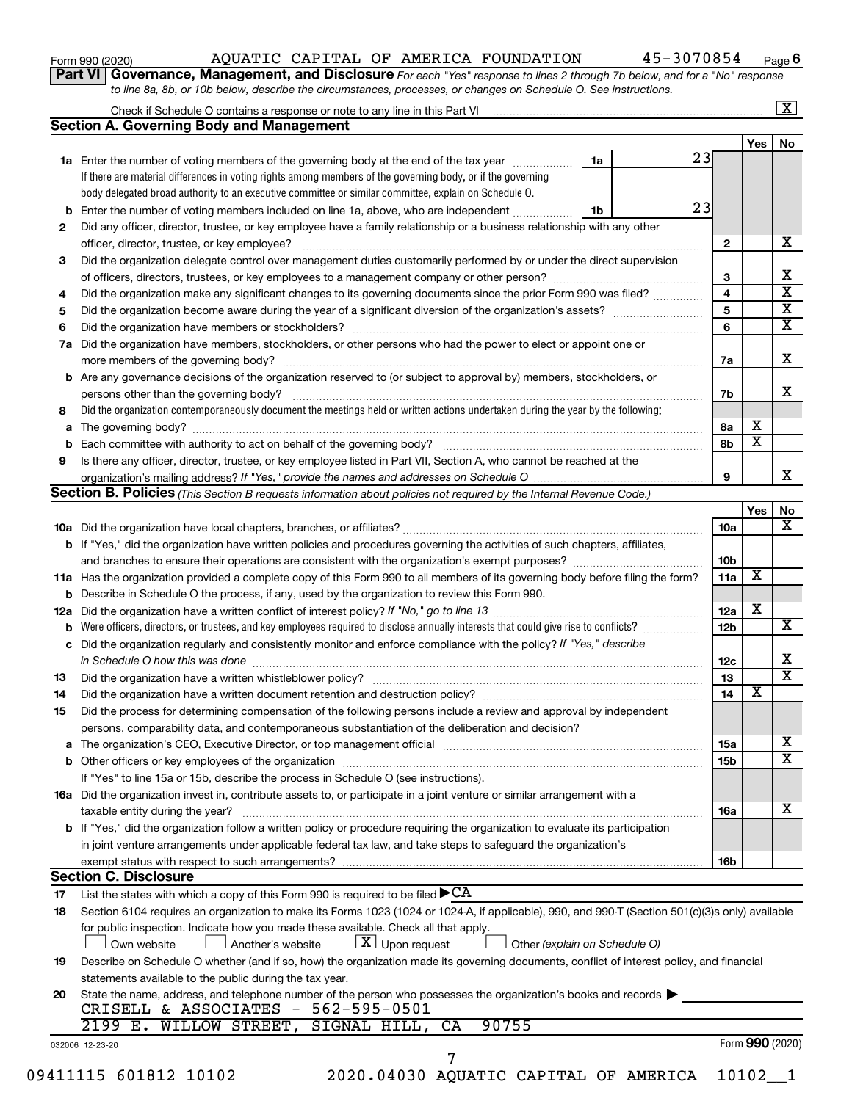| Form 990 (2020) |  |
|-----------------|--|
|-----------------|--|

Form 990 (2020) Page AQUATIC CAPITAL OF AMERICA FOUNDATION 45-3070854

**6**

**Part VI** Governance, Management, and Disclosure For each "Yes" response to lines 2 through 7b below, and for a "No" response *to line 8a, 8b, or 10b below, describe the circumstances, processes, or changes on Schedule O. See instructions.*

| 2                                                                                                                                                                                                                                                                                                                                                                                                                                                                                                                                                                                                                                                                                                                                                                                                                                                                                                                                                                                                                                                                                                                                                                                                                                                                                                                                                                                                                                                                                                                                                                                                                                                                                                                                                                                                                                                                                                                                                                                                                                                                                                                                                                                                                                                                                                                                                                                                                                                                                                                                                                                                                                                                                                                                                                                                                                                                                                                                                                                                                                                                                                                                                                                                                                                                                                                                                                                                                                                                                                                                                                                                                                                                                                                                                                                                                                                                                                                                                                                                                                                                                                                                    | If there are material differences in voting rights among members of the governing body, or if the governing | 1a |  |              | Yes                     | No |
|--------------------------------------------------------------------------------------------------------------------------------------------------------------------------------------------------------------------------------------------------------------------------------------------------------------------------------------------------------------------------------------------------------------------------------------------------------------------------------------------------------------------------------------------------------------------------------------------------------------------------------------------------------------------------------------------------------------------------------------------------------------------------------------------------------------------------------------------------------------------------------------------------------------------------------------------------------------------------------------------------------------------------------------------------------------------------------------------------------------------------------------------------------------------------------------------------------------------------------------------------------------------------------------------------------------------------------------------------------------------------------------------------------------------------------------------------------------------------------------------------------------------------------------------------------------------------------------------------------------------------------------------------------------------------------------------------------------------------------------------------------------------------------------------------------------------------------------------------------------------------------------------------------------------------------------------------------------------------------------------------------------------------------------------------------------------------------------------------------------------------------------------------------------------------------------------------------------------------------------------------------------------------------------------------------------------------------------------------------------------------------------------------------------------------------------------------------------------------------------------------------------------------------------------------------------------------------------------------------------------------------------------------------------------------------------------------------------------------------------------------------------------------------------------------------------------------------------------------------------------------------------------------------------------------------------------------------------------------------------------------------------------------------------------------------------------------------------------------------------------------------------------------------------------------------------------------------------------------------------------------------------------------------------------------------------------------------------------------------------------------------------------------------------------------------------------------------------------------------------------------------------------------------------------------------------------------------------------------------------------------------------------------------------------------------------------------------------------------------------------------------------------------------------------------------------------------------------------------------------------------------------------------------------------------------------------------------------------------------------------------------------------------------------------------------------------------------------------------------------------------------------|-------------------------------------------------------------------------------------------------------------|----|--|--------------|-------------------------|----|
|                                                                                                                                                                                                                                                                                                                                                                                                                                                                                                                                                                                                                                                                                                                                                                                                                                                                                                                                                                                                                                                                                                                                                                                                                                                                                                                                                                                                                                                                                                                                                                                                                                                                                                                                                                                                                                                                                                                                                                                                                                                                                                                                                                                                                                                                                                                                                                                                                                                                                                                                                                                                                                                                                                                                                                                                                                                                                                                                                                                                                                                                                                                                                                                                                                                                                                                                                                                                                                                                                                                                                                                                                                                                                                                                                                                                                                                                                                                                                                                                                                                                                                                                      |                                                                                                             |    |  |              |                         |    |
|                                                                                                                                                                                                                                                                                                                                                                                                                                                                                                                                                                                                                                                                                                                                                                                                                                                                                                                                                                                                                                                                                                                                                                                                                                                                                                                                                                                                                                                                                                                                                                                                                                                                                                                                                                                                                                                                                                                                                                                                                                                                                                                                                                                                                                                                                                                                                                                                                                                                                                                                                                                                                                                                                                                                                                                                                                                                                                                                                                                                                                                                                                                                                                                                                                                                                                                                                                                                                                                                                                                                                                                                                                                                                                                                                                                                                                                                                                                                                                                                                                                                                                                                      |                                                                                                             |    |  |              |                         |    |
|                                                                                                                                                                                                                                                                                                                                                                                                                                                                                                                                                                                                                                                                                                                                                                                                                                                                                                                                                                                                                                                                                                                                                                                                                                                                                                                                                                                                                                                                                                                                                                                                                                                                                                                                                                                                                                                                                                                                                                                                                                                                                                                                                                                                                                                                                                                                                                                                                                                                                                                                                                                                                                                                                                                                                                                                                                                                                                                                                                                                                                                                                                                                                                                                                                                                                                                                                                                                                                                                                                                                                                                                                                                                                                                                                                                                                                                                                                                                                                                                                                                                                                                                      |                                                                                                             |    |  |              |                         |    |
|                                                                                                                                                                                                                                                                                                                                                                                                                                                                                                                                                                                                                                                                                                                                                                                                                                                                                                                                                                                                                                                                                                                                                                                                                                                                                                                                                                                                                                                                                                                                                                                                                                                                                                                                                                                                                                                                                                                                                                                                                                                                                                                                                                                                                                                                                                                                                                                                                                                                                                                                                                                                                                                                                                                                                                                                                                                                                                                                                                                                                                                                                                                                                                                                                                                                                                                                                                                                                                                                                                                                                                                                                                                                                                                                                                                                                                                                                                                                                                                                                                                                                                                                      |                                                                                                             |    |  |              |                         |    |
|                                                                                                                                                                                                                                                                                                                                                                                                                                                                                                                                                                                                                                                                                                                                                                                                                                                                                                                                                                                                                                                                                                                                                                                                                                                                                                                                                                                                                                                                                                                                                                                                                                                                                                                                                                                                                                                                                                                                                                                                                                                                                                                                                                                                                                                                                                                                                                                                                                                                                                                                                                                                                                                                                                                                                                                                                                                                                                                                                                                                                                                                                                                                                                                                                                                                                                                                                                                                                                                                                                                                                                                                                                                                                                                                                                                                                                                                                                                                                                                                                                                                                                                                      |                                                                                                             |    |  |              |                         |    |
|                                                                                                                                                                                                                                                                                                                                                                                                                                                                                                                                                                                                                                                                                                                                                                                                                                                                                                                                                                                                                                                                                                                                                                                                                                                                                                                                                                                                                                                                                                                                                                                                                                                                                                                                                                                                                                                                                                                                                                                                                                                                                                                                                                                                                                                                                                                                                                                                                                                                                                                                                                                                                                                                                                                                                                                                                                                                                                                                                                                                                                                                                                                                                                                                                                                                                                                                                                                                                                                                                                                                                                                                                                                                                                                                                                                                                                                                                                                                                                                                                                                                                                                                      |                                                                                                             | 1b |  |              |                         |    |
|                                                                                                                                                                                                                                                                                                                                                                                                                                                                                                                                                                                                                                                                                                                                                                                                                                                                                                                                                                                                                                                                                                                                                                                                                                                                                                                                                                                                                                                                                                                                                                                                                                                                                                                                                                                                                                                                                                                                                                                                                                                                                                                                                                                                                                                                                                                                                                                                                                                                                                                                                                                                                                                                                                                                                                                                                                                                                                                                                                                                                                                                                                                                                                                                                                                                                                                                                                                                                                                                                                                                                                                                                                                                                                                                                                                                                                                                                                                                                                                                                                                                                                                                      |                                                                                                             |    |  |              |                         |    |
|                                                                                                                                                                                                                                                                                                                                                                                                                                                                                                                                                                                                                                                                                                                                                                                                                                                                                                                                                                                                                                                                                                                                                                                                                                                                                                                                                                                                                                                                                                                                                                                                                                                                                                                                                                                                                                                                                                                                                                                                                                                                                                                                                                                                                                                                                                                                                                                                                                                                                                                                                                                                                                                                                                                                                                                                                                                                                                                                                                                                                                                                                                                                                                                                                                                                                                                                                                                                                                                                                                                                                                                                                                                                                                                                                                                                                                                                                                                                                                                                                                                                                                                                      | officer, director, trustee, or key employee?                                                                |    |  | $\mathbf{2}$ |                         |    |
|                                                                                                                                                                                                                                                                                                                                                                                                                                                                                                                                                                                                                                                                                                                                                                                                                                                                                                                                                                                                                                                                                                                                                                                                                                                                                                                                                                                                                                                                                                                                                                                                                                                                                                                                                                                                                                                                                                                                                                                                                                                                                                                                                                                                                                                                                                                                                                                                                                                                                                                                                                                                                                                                                                                                                                                                                                                                                                                                                                                                                                                                                                                                                                                                                                                                                                                                                                                                                                                                                                                                                                                                                                                                                                                                                                                                                                                                                                                                                                                                                                                                                                                                      |                                                                                                             |    |  |              |                         |    |
|                                                                                                                                                                                                                                                                                                                                                                                                                                                                                                                                                                                                                                                                                                                                                                                                                                                                                                                                                                                                                                                                                                                                                                                                                                                                                                                                                                                                                                                                                                                                                                                                                                                                                                                                                                                                                                                                                                                                                                                                                                                                                                                                                                                                                                                                                                                                                                                                                                                                                                                                                                                                                                                                                                                                                                                                                                                                                                                                                                                                                                                                                                                                                                                                                                                                                                                                                                                                                                                                                                                                                                                                                                                                                                                                                                                                                                                                                                                                                                                                                                                                                                                                      |                                                                                                             |    |  | 3            |                         |    |
| 4                                                                                                                                                                                                                                                                                                                                                                                                                                                                                                                                                                                                                                                                                                                                                                                                                                                                                                                                                                                                                                                                                                                                                                                                                                                                                                                                                                                                                                                                                                                                                                                                                                                                                                                                                                                                                                                                                                                                                                                                                                                                                                                                                                                                                                                                                                                                                                                                                                                                                                                                                                                                                                                                                                                                                                                                                                                                                                                                                                                                                                                                                                                                                                                                                                                                                                                                                                                                                                                                                                                                                                                                                                                                                                                                                                                                                                                                                                                                                                                                                                                                                                                                    |                                                                                                             |    |  | 4            |                         |    |
|                                                                                                                                                                                                                                                                                                                                                                                                                                                                                                                                                                                                                                                                                                                                                                                                                                                                                                                                                                                                                                                                                                                                                                                                                                                                                                                                                                                                                                                                                                                                                                                                                                                                                                                                                                                                                                                                                                                                                                                                                                                                                                                                                                                                                                                                                                                                                                                                                                                                                                                                                                                                                                                                                                                                                                                                                                                                                                                                                                                                                                                                                                                                                                                                                                                                                                                                                                                                                                                                                                                                                                                                                                                                                                                                                                                                                                                                                                                                                                                                                                                                                                                                      |                                                                                                             |    |  | 5            |                         |    |
|                                                                                                                                                                                                                                                                                                                                                                                                                                                                                                                                                                                                                                                                                                                                                                                                                                                                                                                                                                                                                                                                                                                                                                                                                                                                                                                                                                                                                                                                                                                                                                                                                                                                                                                                                                                                                                                                                                                                                                                                                                                                                                                                                                                                                                                                                                                                                                                                                                                                                                                                                                                                                                                                                                                                                                                                                                                                                                                                                                                                                                                                                                                                                                                                                                                                                                                                                                                                                                                                                                                                                                                                                                                                                                                                                                                                                                                                                                                                                                                                                                                                                                                                      |                                                                                                             |    |  |              |                         |    |
| <b>Section A. Governing Body and Management</b><br>23<br>1a Enter the number of voting members of the governing body at the end of the tax year<br>body delegated broad authority to an executive committee or similar committee, explain on Schedule O.<br>23<br><b>b</b> Enter the number of voting members included on line 1a, above, who are independent<br>Did any officer, director, trustee, or key employee have a family relationship or a business relationship with any other<br>Did the organization delegate control over management duties customarily performed by or under the direct supervision<br>3<br>Did the organization make any significant changes to its governing documents since the prior Form 990 was filed?<br>5<br>6<br>6<br>Did the organization have members, stockholders, or other persons who had the power to elect or appoint one or<br>7a<br>7a<br><b>b</b> Are any governance decisions of the organization reserved to (or subject to approval by) members, stockholders, or<br>7b<br>Did the organization contemporaneously document the meetings held or written actions undertaken during the year by the following:<br>8<br>8а<br>а<br>8b<br>Is there any officer, director, trustee, or key employee listed in Part VII, Section A, who cannot be reached at the<br>9<br>9<br><b>Section B. Policies</b> (This Section B requests information about policies not required by the Internal Revenue Code.)<br>10a<br>b If "Yes," did the organization have written policies and procedures governing the activities of such chapters, affiliates,<br>10 <sub>b</sub><br>11a<br>11a Has the organization provided a complete copy of this Form 990 to all members of its governing body before filing the form?<br><b>b</b> Describe in Schedule O the process, if any, used by the organization to review this Form 990.<br>12a<br>12a<br><b>b</b> Were officers, directors, or trustees, and key employees required to disclose annually interests that could give rise to conflicts?<br>12 <sub>b</sub><br>Did the organization regularly and consistently monitor and enforce compliance with the policy? If "Yes," describe<br>с<br>12c<br>13<br>13<br>14<br>Did the organization have a written document retention and destruction policy? [11] manufaction manufaction in<br>14<br>Did the process for determining compensation of the following persons include a review and approval by independent<br>15<br>persons, comparability data, and contemporaneous substantiation of the deliberation and decision?<br>15a<br>15b<br>If "Yes" to line 15a or 15b, describe the process in Schedule O (see instructions).<br>16a Did the organization invest in, contribute assets to, or participate in a joint venture or similar arrangement with a<br>taxable entity during the year?<br>16a<br>b If "Yes," did the organization follow a written policy or procedure requiring the organization to evaluate its participation<br>in joint venture arrangements under applicable federal tax law, and take steps to safeguard the organization's<br>exempt status with respect to such arrangements?<br>16b<br><b>Section C. Disclosure</b><br>List the states with which a copy of this Form 990 is required to be filed $\blacktriangleright$ CA<br>17<br>Section 6104 requires an organization to make its Forms 1023 (1024 or 1024-A, if applicable), 990, and 990-T (Section 501(c)(3)s only) available<br>18<br>for public inspection. Indicate how you made these available. Check all that apply.<br>$\lfloor x \rfloor$ Upon request<br>Own website<br>Another's website<br>Other (explain on Schedule O)<br>Describe on Schedule O whether (and if so, how) the organization made its governing documents, conflict of interest policy, and financial<br>19<br>statements available to the public during the tax year.<br>State the name, address, and telephone number of the person who possesses the organization's books and records<br>20<br>CRISELL & ASSOCIATES - 562-595-0501<br>2199 E. WILLOW STREET,<br>90755<br>SIGNAL HILL,<br>CA<br>032006 12-23-20<br>7 |                                                                                                             |    |  |              |                         |    |
| 09411115 601812 10102<br>2020.04030 AQUATIC CAPITAL OF AMERICA<br>$10102 - 1$                                                                                                                                                                                                                                                                                                                                                                                                                                                                                                                                                                                                                                                                                                                                                                                                                                                                                                                                                                                                                                                                                                                                                                                                                                                                                                                                                                                                                                                                                                                                                                                                                                                                                                                                                                                                                                                                                                                                                                                                                                                                                                                                                                                                                                                                                                                                                                                                                                                                                                                                                                                                                                                                                                                                                                                                                                                                                                                                                                                                                                                                                                                                                                                                                                                                                                                                                                                                                                                                                                                                                                                                                                                                                                                                                                                                                                                                                                                                                                                                                                                        |                                                                                                             |    |  |              |                         |    |
|                                                                                                                                                                                                                                                                                                                                                                                                                                                                                                                                                                                                                                                                                                                                                                                                                                                                                                                                                                                                                                                                                                                                                                                                                                                                                                                                                                                                                                                                                                                                                                                                                                                                                                                                                                                                                                                                                                                                                                                                                                                                                                                                                                                                                                                                                                                                                                                                                                                                                                                                                                                                                                                                                                                                                                                                                                                                                                                                                                                                                                                                                                                                                                                                                                                                                                                                                                                                                                                                                                                                                                                                                                                                                                                                                                                                                                                                                                                                                                                                                                                                                                                                      |                                                                                                             |    |  |              |                         |    |
|                                                                                                                                                                                                                                                                                                                                                                                                                                                                                                                                                                                                                                                                                                                                                                                                                                                                                                                                                                                                                                                                                                                                                                                                                                                                                                                                                                                                                                                                                                                                                                                                                                                                                                                                                                                                                                                                                                                                                                                                                                                                                                                                                                                                                                                                                                                                                                                                                                                                                                                                                                                                                                                                                                                                                                                                                                                                                                                                                                                                                                                                                                                                                                                                                                                                                                                                                                                                                                                                                                                                                                                                                                                                                                                                                                                                                                                                                                                                                                                                                                                                                                                                      |                                                                                                             |    |  |              |                         |    |
|                                                                                                                                                                                                                                                                                                                                                                                                                                                                                                                                                                                                                                                                                                                                                                                                                                                                                                                                                                                                                                                                                                                                                                                                                                                                                                                                                                                                                                                                                                                                                                                                                                                                                                                                                                                                                                                                                                                                                                                                                                                                                                                                                                                                                                                                                                                                                                                                                                                                                                                                                                                                                                                                                                                                                                                                                                                                                                                                                                                                                                                                                                                                                                                                                                                                                                                                                                                                                                                                                                                                                                                                                                                                                                                                                                                                                                                                                                                                                                                                                                                                                                                                      |                                                                                                             |    |  |              |                         |    |
|                                                                                                                                                                                                                                                                                                                                                                                                                                                                                                                                                                                                                                                                                                                                                                                                                                                                                                                                                                                                                                                                                                                                                                                                                                                                                                                                                                                                                                                                                                                                                                                                                                                                                                                                                                                                                                                                                                                                                                                                                                                                                                                                                                                                                                                                                                                                                                                                                                                                                                                                                                                                                                                                                                                                                                                                                                                                                                                                                                                                                                                                                                                                                                                                                                                                                                                                                                                                                                                                                                                                                                                                                                                                                                                                                                                                                                                                                                                                                                                                                                                                                                                                      |                                                                                                             |    |  |              |                         |    |
|                                                                                                                                                                                                                                                                                                                                                                                                                                                                                                                                                                                                                                                                                                                                                                                                                                                                                                                                                                                                                                                                                                                                                                                                                                                                                                                                                                                                                                                                                                                                                                                                                                                                                                                                                                                                                                                                                                                                                                                                                                                                                                                                                                                                                                                                                                                                                                                                                                                                                                                                                                                                                                                                                                                                                                                                                                                                                                                                                                                                                                                                                                                                                                                                                                                                                                                                                                                                                                                                                                                                                                                                                                                                                                                                                                                                                                                                                                                                                                                                                                                                                                                                      |                                                                                                             |    |  |              | х                       |    |
|                                                                                                                                                                                                                                                                                                                                                                                                                                                                                                                                                                                                                                                                                                                                                                                                                                                                                                                                                                                                                                                                                                                                                                                                                                                                                                                                                                                                                                                                                                                                                                                                                                                                                                                                                                                                                                                                                                                                                                                                                                                                                                                                                                                                                                                                                                                                                                                                                                                                                                                                                                                                                                                                                                                                                                                                                                                                                                                                                                                                                                                                                                                                                                                                                                                                                                                                                                                                                                                                                                                                                                                                                                                                                                                                                                                                                                                                                                                                                                                                                                                                                                                                      |                                                                                                             |    |  |              | $\overline{\mathbf{x}}$ |    |
|                                                                                                                                                                                                                                                                                                                                                                                                                                                                                                                                                                                                                                                                                                                                                                                                                                                                                                                                                                                                                                                                                                                                                                                                                                                                                                                                                                                                                                                                                                                                                                                                                                                                                                                                                                                                                                                                                                                                                                                                                                                                                                                                                                                                                                                                                                                                                                                                                                                                                                                                                                                                                                                                                                                                                                                                                                                                                                                                                                                                                                                                                                                                                                                                                                                                                                                                                                                                                                                                                                                                                                                                                                                                                                                                                                                                                                                                                                                                                                                                                                                                                                                                      |                                                                                                             |    |  |              |                         |    |
|                                                                                                                                                                                                                                                                                                                                                                                                                                                                                                                                                                                                                                                                                                                                                                                                                                                                                                                                                                                                                                                                                                                                                                                                                                                                                                                                                                                                                                                                                                                                                                                                                                                                                                                                                                                                                                                                                                                                                                                                                                                                                                                                                                                                                                                                                                                                                                                                                                                                                                                                                                                                                                                                                                                                                                                                                                                                                                                                                                                                                                                                                                                                                                                                                                                                                                                                                                                                                                                                                                                                                                                                                                                                                                                                                                                                                                                                                                                                                                                                                                                                                                                                      |                                                                                                             |    |  |              |                         |    |
|                                                                                                                                                                                                                                                                                                                                                                                                                                                                                                                                                                                                                                                                                                                                                                                                                                                                                                                                                                                                                                                                                                                                                                                                                                                                                                                                                                                                                                                                                                                                                                                                                                                                                                                                                                                                                                                                                                                                                                                                                                                                                                                                                                                                                                                                                                                                                                                                                                                                                                                                                                                                                                                                                                                                                                                                                                                                                                                                                                                                                                                                                                                                                                                                                                                                                                                                                                                                                                                                                                                                                                                                                                                                                                                                                                                                                                                                                                                                                                                                                                                                                                                                      |                                                                                                             |    |  |              |                         |    |
|                                                                                                                                                                                                                                                                                                                                                                                                                                                                                                                                                                                                                                                                                                                                                                                                                                                                                                                                                                                                                                                                                                                                                                                                                                                                                                                                                                                                                                                                                                                                                                                                                                                                                                                                                                                                                                                                                                                                                                                                                                                                                                                                                                                                                                                                                                                                                                                                                                                                                                                                                                                                                                                                                                                                                                                                                                                                                                                                                                                                                                                                                                                                                                                                                                                                                                                                                                                                                                                                                                                                                                                                                                                                                                                                                                                                                                                                                                                                                                                                                                                                                                                                      |                                                                                                             |    |  |              | Yes                     |    |
|                                                                                                                                                                                                                                                                                                                                                                                                                                                                                                                                                                                                                                                                                                                                                                                                                                                                                                                                                                                                                                                                                                                                                                                                                                                                                                                                                                                                                                                                                                                                                                                                                                                                                                                                                                                                                                                                                                                                                                                                                                                                                                                                                                                                                                                                                                                                                                                                                                                                                                                                                                                                                                                                                                                                                                                                                                                                                                                                                                                                                                                                                                                                                                                                                                                                                                                                                                                                                                                                                                                                                                                                                                                                                                                                                                                                                                                                                                                                                                                                                                                                                                                                      |                                                                                                             |    |  |              |                         |    |
|                                                                                                                                                                                                                                                                                                                                                                                                                                                                                                                                                                                                                                                                                                                                                                                                                                                                                                                                                                                                                                                                                                                                                                                                                                                                                                                                                                                                                                                                                                                                                                                                                                                                                                                                                                                                                                                                                                                                                                                                                                                                                                                                                                                                                                                                                                                                                                                                                                                                                                                                                                                                                                                                                                                                                                                                                                                                                                                                                                                                                                                                                                                                                                                                                                                                                                                                                                                                                                                                                                                                                                                                                                                                                                                                                                                                                                                                                                                                                                                                                                                                                                                                      |                                                                                                             |    |  |              |                         |    |
|                                                                                                                                                                                                                                                                                                                                                                                                                                                                                                                                                                                                                                                                                                                                                                                                                                                                                                                                                                                                                                                                                                                                                                                                                                                                                                                                                                                                                                                                                                                                                                                                                                                                                                                                                                                                                                                                                                                                                                                                                                                                                                                                                                                                                                                                                                                                                                                                                                                                                                                                                                                                                                                                                                                                                                                                                                                                                                                                                                                                                                                                                                                                                                                                                                                                                                                                                                                                                                                                                                                                                                                                                                                                                                                                                                                                                                                                                                                                                                                                                                                                                                                                      |                                                                                                             |    |  |              |                         |    |
|                                                                                                                                                                                                                                                                                                                                                                                                                                                                                                                                                                                                                                                                                                                                                                                                                                                                                                                                                                                                                                                                                                                                                                                                                                                                                                                                                                                                                                                                                                                                                                                                                                                                                                                                                                                                                                                                                                                                                                                                                                                                                                                                                                                                                                                                                                                                                                                                                                                                                                                                                                                                                                                                                                                                                                                                                                                                                                                                                                                                                                                                                                                                                                                                                                                                                                                                                                                                                                                                                                                                                                                                                                                                                                                                                                                                                                                                                                                                                                                                                                                                                                                                      |                                                                                                             |    |  |              | X                       |    |
|                                                                                                                                                                                                                                                                                                                                                                                                                                                                                                                                                                                                                                                                                                                                                                                                                                                                                                                                                                                                                                                                                                                                                                                                                                                                                                                                                                                                                                                                                                                                                                                                                                                                                                                                                                                                                                                                                                                                                                                                                                                                                                                                                                                                                                                                                                                                                                                                                                                                                                                                                                                                                                                                                                                                                                                                                                                                                                                                                                                                                                                                                                                                                                                                                                                                                                                                                                                                                                                                                                                                                                                                                                                                                                                                                                                                                                                                                                                                                                                                                                                                                                                                      |                                                                                                             |    |  |              |                         |    |
|                                                                                                                                                                                                                                                                                                                                                                                                                                                                                                                                                                                                                                                                                                                                                                                                                                                                                                                                                                                                                                                                                                                                                                                                                                                                                                                                                                                                                                                                                                                                                                                                                                                                                                                                                                                                                                                                                                                                                                                                                                                                                                                                                                                                                                                                                                                                                                                                                                                                                                                                                                                                                                                                                                                                                                                                                                                                                                                                                                                                                                                                                                                                                                                                                                                                                                                                                                                                                                                                                                                                                                                                                                                                                                                                                                                                                                                                                                                                                                                                                                                                                                                                      |                                                                                                             |    |  |              | X                       |    |
|                                                                                                                                                                                                                                                                                                                                                                                                                                                                                                                                                                                                                                                                                                                                                                                                                                                                                                                                                                                                                                                                                                                                                                                                                                                                                                                                                                                                                                                                                                                                                                                                                                                                                                                                                                                                                                                                                                                                                                                                                                                                                                                                                                                                                                                                                                                                                                                                                                                                                                                                                                                                                                                                                                                                                                                                                                                                                                                                                                                                                                                                                                                                                                                                                                                                                                                                                                                                                                                                                                                                                                                                                                                                                                                                                                                                                                                                                                                                                                                                                                                                                                                                      |                                                                                                             |    |  |              |                         |    |
|                                                                                                                                                                                                                                                                                                                                                                                                                                                                                                                                                                                                                                                                                                                                                                                                                                                                                                                                                                                                                                                                                                                                                                                                                                                                                                                                                                                                                                                                                                                                                                                                                                                                                                                                                                                                                                                                                                                                                                                                                                                                                                                                                                                                                                                                                                                                                                                                                                                                                                                                                                                                                                                                                                                                                                                                                                                                                                                                                                                                                                                                                                                                                                                                                                                                                                                                                                                                                                                                                                                                                                                                                                                                                                                                                                                                                                                                                                                                                                                                                                                                                                                                      |                                                                                                             |    |  |              |                         |    |
|                                                                                                                                                                                                                                                                                                                                                                                                                                                                                                                                                                                                                                                                                                                                                                                                                                                                                                                                                                                                                                                                                                                                                                                                                                                                                                                                                                                                                                                                                                                                                                                                                                                                                                                                                                                                                                                                                                                                                                                                                                                                                                                                                                                                                                                                                                                                                                                                                                                                                                                                                                                                                                                                                                                                                                                                                                                                                                                                                                                                                                                                                                                                                                                                                                                                                                                                                                                                                                                                                                                                                                                                                                                                                                                                                                                                                                                                                                                                                                                                                                                                                                                                      |                                                                                                             |    |  |              |                         |    |
|                                                                                                                                                                                                                                                                                                                                                                                                                                                                                                                                                                                                                                                                                                                                                                                                                                                                                                                                                                                                                                                                                                                                                                                                                                                                                                                                                                                                                                                                                                                                                                                                                                                                                                                                                                                                                                                                                                                                                                                                                                                                                                                                                                                                                                                                                                                                                                                                                                                                                                                                                                                                                                                                                                                                                                                                                                                                                                                                                                                                                                                                                                                                                                                                                                                                                                                                                                                                                                                                                                                                                                                                                                                                                                                                                                                                                                                                                                                                                                                                                                                                                                                                      |                                                                                                             |    |  |              |                         |    |
|                                                                                                                                                                                                                                                                                                                                                                                                                                                                                                                                                                                                                                                                                                                                                                                                                                                                                                                                                                                                                                                                                                                                                                                                                                                                                                                                                                                                                                                                                                                                                                                                                                                                                                                                                                                                                                                                                                                                                                                                                                                                                                                                                                                                                                                                                                                                                                                                                                                                                                                                                                                                                                                                                                                                                                                                                                                                                                                                                                                                                                                                                                                                                                                                                                                                                                                                                                                                                                                                                                                                                                                                                                                                                                                                                                                                                                                                                                                                                                                                                                                                                                                                      |                                                                                                             |    |  |              | $\overline{\mathbf{X}}$ |    |
|                                                                                                                                                                                                                                                                                                                                                                                                                                                                                                                                                                                                                                                                                                                                                                                                                                                                                                                                                                                                                                                                                                                                                                                                                                                                                                                                                                                                                                                                                                                                                                                                                                                                                                                                                                                                                                                                                                                                                                                                                                                                                                                                                                                                                                                                                                                                                                                                                                                                                                                                                                                                                                                                                                                                                                                                                                                                                                                                                                                                                                                                                                                                                                                                                                                                                                                                                                                                                                                                                                                                                                                                                                                                                                                                                                                                                                                                                                                                                                                                                                                                                                                                      |                                                                                                             |    |  |              |                         |    |
|                                                                                                                                                                                                                                                                                                                                                                                                                                                                                                                                                                                                                                                                                                                                                                                                                                                                                                                                                                                                                                                                                                                                                                                                                                                                                                                                                                                                                                                                                                                                                                                                                                                                                                                                                                                                                                                                                                                                                                                                                                                                                                                                                                                                                                                                                                                                                                                                                                                                                                                                                                                                                                                                                                                                                                                                                                                                                                                                                                                                                                                                                                                                                                                                                                                                                                                                                                                                                                                                                                                                                                                                                                                                                                                                                                                                                                                                                                                                                                                                                                                                                                                                      |                                                                                                             |    |  |              |                         |    |
|                                                                                                                                                                                                                                                                                                                                                                                                                                                                                                                                                                                                                                                                                                                                                                                                                                                                                                                                                                                                                                                                                                                                                                                                                                                                                                                                                                                                                                                                                                                                                                                                                                                                                                                                                                                                                                                                                                                                                                                                                                                                                                                                                                                                                                                                                                                                                                                                                                                                                                                                                                                                                                                                                                                                                                                                                                                                                                                                                                                                                                                                                                                                                                                                                                                                                                                                                                                                                                                                                                                                                                                                                                                                                                                                                                                                                                                                                                                                                                                                                                                                                                                                      |                                                                                                             |    |  |              |                         |    |
|                                                                                                                                                                                                                                                                                                                                                                                                                                                                                                                                                                                                                                                                                                                                                                                                                                                                                                                                                                                                                                                                                                                                                                                                                                                                                                                                                                                                                                                                                                                                                                                                                                                                                                                                                                                                                                                                                                                                                                                                                                                                                                                                                                                                                                                                                                                                                                                                                                                                                                                                                                                                                                                                                                                                                                                                                                                                                                                                                                                                                                                                                                                                                                                                                                                                                                                                                                                                                                                                                                                                                                                                                                                                                                                                                                                                                                                                                                                                                                                                                                                                                                                                      |                                                                                                             |    |  |              |                         |    |
|                                                                                                                                                                                                                                                                                                                                                                                                                                                                                                                                                                                                                                                                                                                                                                                                                                                                                                                                                                                                                                                                                                                                                                                                                                                                                                                                                                                                                                                                                                                                                                                                                                                                                                                                                                                                                                                                                                                                                                                                                                                                                                                                                                                                                                                                                                                                                                                                                                                                                                                                                                                                                                                                                                                                                                                                                                                                                                                                                                                                                                                                                                                                                                                                                                                                                                                                                                                                                                                                                                                                                                                                                                                                                                                                                                                                                                                                                                                                                                                                                                                                                                                                      |                                                                                                             |    |  |              |                         |    |
|                                                                                                                                                                                                                                                                                                                                                                                                                                                                                                                                                                                                                                                                                                                                                                                                                                                                                                                                                                                                                                                                                                                                                                                                                                                                                                                                                                                                                                                                                                                                                                                                                                                                                                                                                                                                                                                                                                                                                                                                                                                                                                                                                                                                                                                                                                                                                                                                                                                                                                                                                                                                                                                                                                                                                                                                                                                                                                                                                                                                                                                                                                                                                                                                                                                                                                                                                                                                                                                                                                                                                                                                                                                                                                                                                                                                                                                                                                                                                                                                                                                                                                                                      |                                                                                                             |    |  |              |                         |    |
|                                                                                                                                                                                                                                                                                                                                                                                                                                                                                                                                                                                                                                                                                                                                                                                                                                                                                                                                                                                                                                                                                                                                                                                                                                                                                                                                                                                                                                                                                                                                                                                                                                                                                                                                                                                                                                                                                                                                                                                                                                                                                                                                                                                                                                                                                                                                                                                                                                                                                                                                                                                                                                                                                                                                                                                                                                                                                                                                                                                                                                                                                                                                                                                                                                                                                                                                                                                                                                                                                                                                                                                                                                                                                                                                                                                                                                                                                                                                                                                                                                                                                                                                      |                                                                                                             |    |  |              |                         |    |
|                                                                                                                                                                                                                                                                                                                                                                                                                                                                                                                                                                                                                                                                                                                                                                                                                                                                                                                                                                                                                                                                                                                                                                                                                                                                                                                                                                                                                                                                                                                                                                                                                                                                                                                                                                                                                                                                                                                                                                                                                                                                                                                                                                                                                                                                                                                                                                                                                                                                                                                                                                                                                                                                                                                                                                                                                                                                                                                                                                                                                                                                                                                                                                                                                                                                                                                                                                                                                                                                                                                                                                                                                                                                                                                                                                                                                                                                                                                                                                                                                                                                                                                                      |                                                                                                             |    |  |              |                         |    |
|                                                                                                                                                                                                                                                                                                                                                                                                                                                                                                                                                                                                                                                                                                                                                                                                                                                                                                                                                                                                                                                                                                                                                                                                                                                                                                                                                                                                                                                                                                                                                                                                                                                                                                                                                                                                                                                                                                                                                                                                                                                                                                                                                                                                                                                                                                                                                                                                                                                                                                                                                                                                                                                                                                                                                                                                                                                                                                                                                                                                                                                                                                                                                                                                                                                                                                                                                                                                                                                                                                                                                                                                                                                                                                                                                                                                                                                                                                                                                                                                                                                                                                                                      |                                                                                                             |    |  |              |                         |    |
|                                                                                                                                                                                                                                                                                                                                                                                                                                                                                                                                                                                                                                                                                                                                                                                                                                                                                                                                                                                                                                                                                                                                                                                                                                                                                                                                                                                                                                                                                                                                                                                                                                                                                                                                                                                                                                                                                                                                                                                                                                                                                                                                                                                                                                                                                                                                                                                                                                                                                                                                                                                                                                                                                                                                                                                                                                                                                                                                                                                                                                                                                                                                                                                                                                                                                                                                                                                                                                                                                                                                                                                                                                                                                                                                                                                                                                                                                                                                                                                                                                                                                                                                      |                                                                                                             |    |  |              |                         |    |
|                                                                                                                                                                                                                                                                                                                                                                                                                                                                                                                                                                                                                                                                                                                                                                                                                                                                                                                                                                                                                                                                                                                                                                                                                                                                                                                                                                                                                                                                                                                                                                                                                                                                                                                                                                                                                                                                                                                                                                                                                                                                                                                                                                                                                                                                                                                                                                                                                                                                                                                                                                                                                                                                                                                                                                                                                                                                                                                                                                                                                                                                                                                                                                                                                                                                                                                                                                                                                                                                                                                                                                                                                                                                                                                                                                                                                                                                                                                                                                                                                                                                                                                                      |                                                                                                             |    |  |              |                         |    |
|                                                                                                                                                                                                                                                                                                                                                                                                                                                                                                                                                                                                                                                                                                                                                                                                                                                                                                                                                                                                                                                                                                                                                                                                                                                                                                                                                                                                                                                                                                                                                                                                                                                                                                                                                                                                                                                                                                                                                                                                                                                                                                                                                                                                                                                                                                                                                                                                                                                                                                                                                                                                                                                                                                                                                                                                                                                                                                                                                                                                                                                                                                                                                                                                                                                                                                                                                                                                                                                                                                                                                                                                                                                                                                                                                                                                                                                                                                                                                                                                                                                                                                                                      |                                                                                                             |    |  |              |                         |    |
|                                                                                                                                                                                                                                                                                                                                                                                                                                                                                                                                                                                                                                                                                                                                                                                                                                                                                                                                                                                                                                                                                                                                                                                                                                                                                                                                                                                                                                                                                                                                                                                                                                                                                                                                                                                                                                                                                                                                                                                                                                                                                                                                                                                                                                                                                                                                                                                                                                                                                                                                                                                                                                                                                                                                                                                                                                                                                                                                                                                                                                                                                                                                                                                                                                                                                                                                                                                                                                                                                                                                                                                                                                                                                                                                                                                                                                                                                                                                                                                                                                                                                                                                      |                                                                                                             |    |  |              |                         |    |
|                                                                                                                                                                                                                                                                                                                                                                                                                                                                                                                                                                                                                                                                                                                                                                                                                                                                                                                                                                                                                                                                                                                                                                                                                                                                                                                                                                                                                                                                                                                                                                                                                                                                                                                                                                                                                                                                                                                                                                                                                                                                                                                                                                                                                                                                                                                                                                                                                                                                                                                                                                                                                                                                                                                                                                                                                                                                                                                                                                                                                                                                                                                                                                                                                                                                                                                                                                                                                                                                                                                                                                                                                                                                                                                                                                                                                                                                                                                                                                                                                                                                                                                                      |                                                                                                             |    |  |              |                         |    |
|                                                                                                                                                                                                                                                                                                                                                                                                                                                                                                                                                                                                                                                                                                                                                                                                                                                                                                                                                                                                                                                                                                                                                                                                                                                                                                                                                                                                                                                                                                                                                                                                                                                                                                                                                                                                                                                                                                                                                                                                                                                                                                                                                                                                                                                                                                                                                                                                                                                                                                                                                                                                                                                                                                                                                                                                                                                                                                                                                                                                                                                                                                                                                                                                                                                                                                                                                                                                                                                                                                                                                                                                                                                                                                                                                                                                                                                                                                                                                                                                                                                                                                                                      |                                                                                                             |    |  |              |                         |    |
|                                                                                                                                                                                                                                                                                                                                                                                                                                                                                                                                                                                                                                                                                                                                                                                                                                                                                                                                                                                                                                                                                                                                                                                                                                                                                                                                                                                                                                                                                                                                                                                                                                                                                                                                                                                                                                                                                                                                                                                                                                                                                                                                                                                                                                                                                                                                                                                                                                                                                                                                                                                                                                                                                                                                                                                                                                                                                                                                                                                                                                                                                                                                                                                                                                                                                                                                                                                                                                                                                                                                                                                                                                                                                                                                                                                                                                                                                                                                                                                                                                                                                                                                      |                                                                                                             |    |  |              |                         |    |
|                                                                                                                                                                                                                                                                                                                                                                                                                                                                                                                                                                                                                                                                                                                                                                                                                                                                                                                                                                                                                                                                                                                                                                                                                                                                                                                                                                                                                                                                                                                                                                                                                                                                                                                                                                                                                                                                                                                                                                                                                                                                                                                                                                                                                                                                                                                                                                                                                                                                                                                                                                                                                                                                                                                                                                                                                                                                                                                                                                                                                                                                                                                                                                                                                                                                                                                                                                                                                                                                                                                                                                                                                                                                                                                                                                                                                                                                                                                                                                                                                                                                                                                                      |                                                                                                             |    |  |              |                         |    |
|                                                                                                                                                                                                                                                                                                                                                                                                                                                                                                                                                                                                                                                                                                                                                                                                                                                                                                                                                                                                                                                                                                                                                                                                                                                                                                                                                                                                                                                                                                                                                                                                                                                                                                                                                                                                                                                                                                                                                                                                                                                                                                                                                                                                                                                                                                                                                                                                                                                                                                                                                                                                                                                                                                                                                                                                                                                                                                                                                                                                                                                                                                                                                                                                                                                                                                                                                                                                                                                                                                                                                                                                                                                                                                                                                                                                                                                                                                                                                                                                                                                                                                                                      |                                                                                                             |    |  |              |                         |    |
|                                                                                                                                                                                                                                                                                                                                                                                                                                                                                                                                                                                                                                                                                                                                                                                                                                                                                                                                                                                                                                                                                                                                                                                                                                                                                                                                                                                                                                                                                                                                                                                                                                                                                                                                                                                                                                                                                                                                                                                                                                                                                                                                                                                                                                                                                                                                                                                                                                                                                                                                                                                                                                                                                                                                                                                                                                                                                                                                                                                                                                                                                                                                                                                                                                                                                                                                                                                                                                                                                                                                                                                                                                                                                                                                                                                                                                                                                                                                                                                                                                                                                                                                      |                                                                                                             |    |  |              |                         |    |
|                                                                                                                                                                                                                                                                                                                                                                                                                                                                                                                                                                                                                                                                                                                                                                                                                                                                                                                                                                                                                                                                                                                                                                                                                                                                                                                                                                                                                                                                                                                                                                                                                                                                                                                                                                                                                                                                                                                                                                                                                                                                                                                                                                                                                                                                                                                                                                                                                                                                                                                                                                                                                                                                                                                                                                                                                                                                                                                                                                                                                                                                                                                                                                                                                                                                                                                                                                                                                                                                                                                                                                                                                                                                                                                                                                                                                                                                                                                                                                                                                                                                                                                                      |                                                                                                             |    |  |              |                         |    |
|                                                                                                                                                                                                                                                                                                                                                                                                                                                                                                                                                                                                                                                                                                                                                                                                                                                                                                                                                                                                                                                                                                                                                                                                                                                                                                                                                                                                                                                                                                                                                                                                                                                                                                                                                                                                                                                                                                                                                                                                                                                                                                                                                                                                                                                                                                                                                                                                                                                                                                                                                                                                                                                                                                                                                                                                                                                                                                                                                                                                                                                                                                                                                                                                                                                                                                                                                                                                                                                                                                                                                                                                                                                                                                                                                                                                                                                                                                                                                                                                                                                                                                                                      |                                                                                                             |    |  |              |                         |    |
|                                                                                                                                                                                                                                                                                                                                                                                                                                                                                                                                                                                                                                                                                                                                                                                                                                                                                                                                                                                                                                                                                                                                                                                                                                                                                                                                                                                                                                                                                                                                                                                                                                                                                                                                                                                                                                                                                                                                                                                                                                                                                                                                                                                                                                                                                                                                                                                                                                                                                                                                                                                                                                                                                                                                                                                                                                                                                                                                                                                                                                                                                                                                                                                                                                                                                                                                                                                                                                                                                                                                                                                                                                                                                                                                                                                                                                                                                                                                                                                                                                                                                                                                      |                                                                                                             |    |  |              |                         |    |
|                                                                                                                                                                                                                                                                                                                                                                                                                                                                                                                                                                                                                                                                                                                                                                                                                                                                                                                                                                                                                                                                                                                                                                                                                                                                                                                                                                                                                                                                                                                                                                                                                                                                                                                                                                                                                                                                                                                                                                                                                                                                                                                                                                                                                                                                                                                                                                                                                                                                                                                                                                                                                                                                                                                                                                                                                                                                                                                                                                                                                                                                                                                                                                                                                                                                                                                                                                                                                                                                                                                                                                                                                                                                                                                                                                                                                                                                                                                                                                                                                                                                                                                                      |                                                                                                             |    |  |              |                         |    |
|                                                                                                                                                                                                                                                                                                                                                                                                                                                                                                                                                                                                                                                                                                                                                                                                                                                                                                                                                                                                                                                                                                                                                                                                                                                                                                                                                                                                                                                                                                                                                                                                                                                                                                                                                                                                                                                                                                                                                                                                                                                                                                                                                                                                                                                                                                                                                                                                                                                                                                                                                                                                                                                                                                                                                                                                                                                                                                                                                                                                                                                                                                                                                                                                                                                                                                                                                                                                                                                                                                                                                                                                                                                                                                                                                                                                                                                                                                                                                                                                                                                                                                                                      |                                                                                                             |    |  |              | Form 990 (2020)         |    |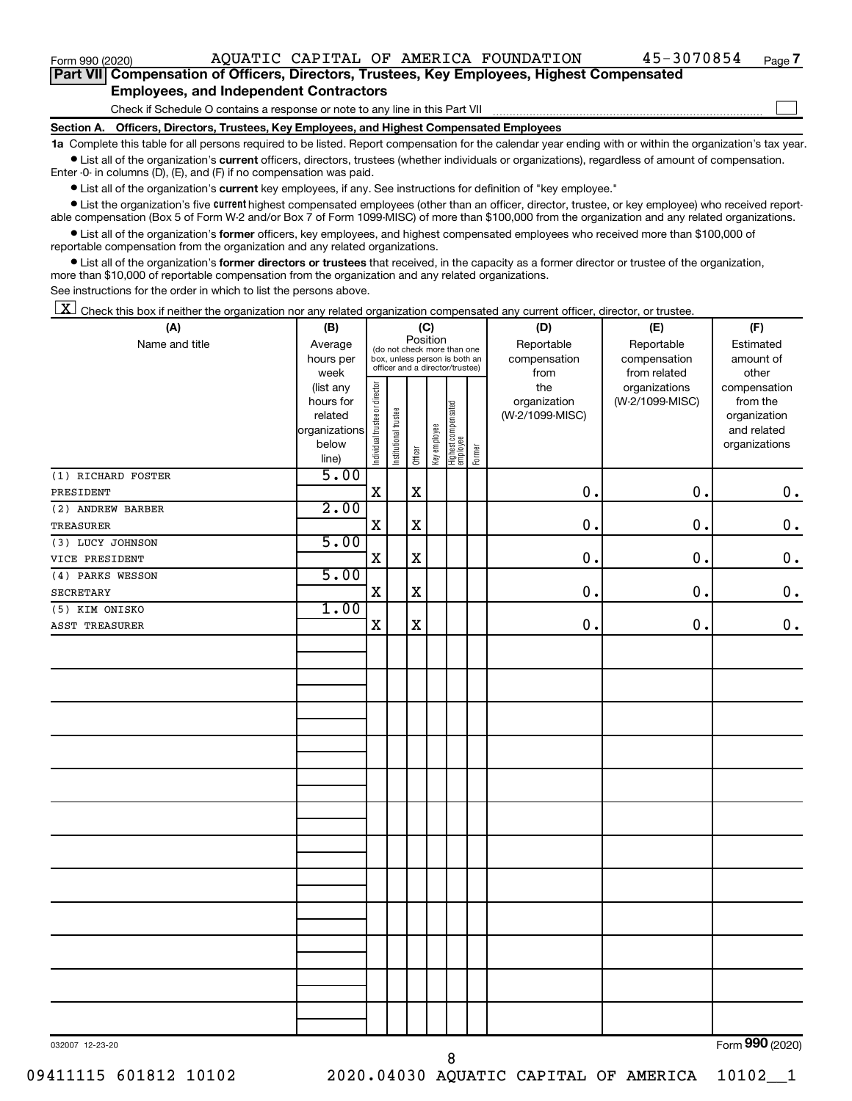$\Box$ 

|  | Part VII Compensation of Officers, Directors, Trustees, Key Employees, Highest Compensated |  |  |  |
|--|--------------------------------------------------------------------------------------------|--|--|--|
|  | <b>Employees, and Independent Contractors</b>                                              |  |  |  |

Check if Schedule O contains a response or note to any line in this Part VII

**Section A. Officers, Directors, Trustees, Key Employees, and Highest Compensated Employees**

**1a**  Complete this table for all persons required to be listed. Report compensation for the calendar year ending with or within the organization's tax year.  $\bullet$  List all of the organization's current officers, directors, trustees (whether individuals or organizations), regardless of amount of compensation.

Enter -0- in columns (D), (E), and (F) if no compensation was paid.

**•** List all of the organization's current key employees, if any. See instructions for definition of "key employee."

• List the organization's five *current* highest compensated employees (other than an officer, director, trustee, or key employee) who received reportable compensation (Box 5 of Form W-2 and/or Box 7 of Form 1099-MISC) of more than \$100,000 from the organization and any related organizations.

 $\bullet$  List all of the organization's former officers, key employees, and highest compensated employees who received more than \$100,000 of reportable compensation from the organization and any related organizations.

**•** List all of the organization's former directors or trustees that received, in the capacity as a former director or trustee of the organization, more than \$10,000 of reportable compensation from the organization and any related organizations.

See instructions for the order in which to list the persons above.

 $\boxed{\textbf{X}}$  Check this box if neither the organization nor any related organization compensated any current officer, director, or trustee.

| (A)                | (B)                    | (C)                            |                                                                  |             |              |                                  |        | (D)                 | (E)                              | (F)                                            |  |  |
|--------------------|------------------------|--------------------------------|------------------------------------------------------------------|-------------|--------------|----------------------------------|--------|---------------------|----------------------------------|------------------------------------------------|--|--|
| Name and title     | Average                |                                | (do not check more than one                                      | Position    |              |                                  |        | Reportable          | Reportable                       | Estimated                                      |  |  |
|                    | hours per              |                                | box, unless person is both an<br>officer and a director/trustee) |             |              |                                  |        | compensation        | compensation                     | amount of                                      |  |  |
|                    | week                   |                                |                                                                  |             |              |                                  |        | from                | from related                     | other                                          |  |  |
|                    | (list any<br>hours for | Individual trustee or director |                                                                  |             |              |                                  |        | the<br>organization | organizations<br>(W-2/1099-MISC) | compensation<br>from the                       |  |  |
|                    | related                |                                |                                                                  |             |              |                                  |        | (W-2/1099-MISC)     |                                  | organization                                   |  |  |
|                    | organizations          |                                |                                                                  |             |              |                                  |        |                     |                                  | and related                                    |  |  |
|                    | below                  |                                |                                                                  |             |              |                                  |        |                     |                                  | organizations                                  |  |  |
|                    | line)                  |                                | Institutional trustee                                            | Officer     | Key employee | Highest compensated<br>_employee | Former |                     |                                  |                                                |  |  |
| (1) RICHARD FOSTER | 5.00                   |                                |                                                                  |             |              |                                  |        |                     |                                  |                                                |  |  |
| PRESIDENT          |                        | $\mathbf X$                    |                                                                  | $\mathbf X$ |              |                                  |        | $\mathbf 0$ .       | 0.                               | $\mathbf 0$ .                                  |  |  |
| (2) ANDREW BARBER  | 2.00                   |                                |                                                                  |             |              |                                  |        |                     |                                  |                                                |  |  |
| TREASURER          |                        | $\mathbf X$                    |                                                                  | $\mathbf X$ |              |                                  |        | 0.                  | $\mathbf 0$ .                    | $\mathbf 0$ .                                  |  |  |
| (3) LUCY JOHNSON   | 5.00                   |                                |                                                                  |             |              |                                  |        |                     |                                  |                                                |  |  |
| VICE PRESIDENT     |                        | X                              |                                                                  | $\mathbf X$ |              |                                  |        | 0.                  | 0.                               | $\mathbf 0$ .                                  |  |  |
| (4) PARKS WESSON   | 5.00                   |                                |                                                                  |             |              |                                  |        |                     |                                  |                                                |  |  |
| SECRETARY          |                        | X                              |                                                                  | $\mathbf X$ |              |                                  |        | $\mathbf 0$ .       | $\mathbf 0$ .                    | $\mathbf 0$ .                                  |  |  |
| (5) KIM ONISKO     | 1.00                   |                                |                                                                  |             |              |                                  |        |                     |                                  |                                                |  |  |
| ASST TREASURER     |                        | X                              |                                                                  | X           |              |                                  |        | $\mathbf 0$         | 0.                               | $0$ .                                          |  |  |
|                    |                        |                                |                                                                  |             |              |                                  |        |                     |                                  |                                                |  |  |
|                    |                        |                                |                                                                  |             |              |                                  |        |                     |                                  |                                                |  |  |
|                    |                        |                                |                                                                  |             |              |                                  |        |                     |                                  |                                                |  |  |
|                    |                        |                                |                                                                  |             |              |                                  |        |                     |                                  |                                                |  |  |
|                    |                        |                                |                                                                  |             |              |                                  |        |                     |                                  |                                                |  |  |
|                    |                        |                                |                                                                  |             |              |                                  |        |                     |                                  |                                                |  |  |
|                    |                        |                                |                                                                  |             |              |                                  |        |                     |                                  |                                                |  |  |
|                    |                        |                                |                                                                  |             |              |                                  |        |                     |                                  |                                                |  |  |
|                    |                        |                                |                                                                  |             |              |                                  |        |                     |                                  |                                                |  |  |
|                    |                        |                                |                                                                  |             |              |                                  |        |                     |                                  |                                                |  |  |
|                    |                        |                                |                                                                  |             |              |                                  |        |                     |                                  |                                                |  |  |
|                    |                        |                                |                                                                  |             |              |                                  |        |                     |                                  |                                                |  |  |
|                    |                        |                                |                                                                  |             |              |                                  |        |                     |                                  |                                                |  |  |
|                    |                        |                                |                                                                  |             |              |                                  |        |                     |                                  |                                                |  |  |
|                    |                        |                                |                                                                  |             |              |                                  |        |                     |                                  |                                                |  |  |
|                    |                        |                                |                                                                  |             |              |                                  |        |                     |                                  |                                                |  |  |
|                    |                        |                                |                                                                  |             |              |                                  |        |                     |                                  |                                                |  |  |
|                    |                        |                                |                                                                  |             |              |                                  |        |                     |                                  |                                                |  |  |
|                    |                        |                                |                                                                  |             |              |                                  |        |                     |                                  |                                                |  |  |
|                    |                        |                                |                                                                  |             |              |                                  |        |                     |                                  |                                                |  |  |
|                    |                        |                                |                                                                  |             |              |                                  |        |                     |                                  |                                                |  |  |
|                    |                        |                                |                                                                  |             |              |                                  |        |                     |                                  |                                                |  |  |
|                    |                        |                                |                                                                  |             |              |                                  |        |                     |                                  |                                                |  |  |
|                    |                        |                                |                                                                  |             |              |                                  |        |                     |                                  |                                                |  |  |
|                    |                        |                                |                                                                  |             |              |                                  |        |                     |                                  | $000$ ( $000$<br>$\mathbf{r}$ and $\mathbf{r}$ |  |  |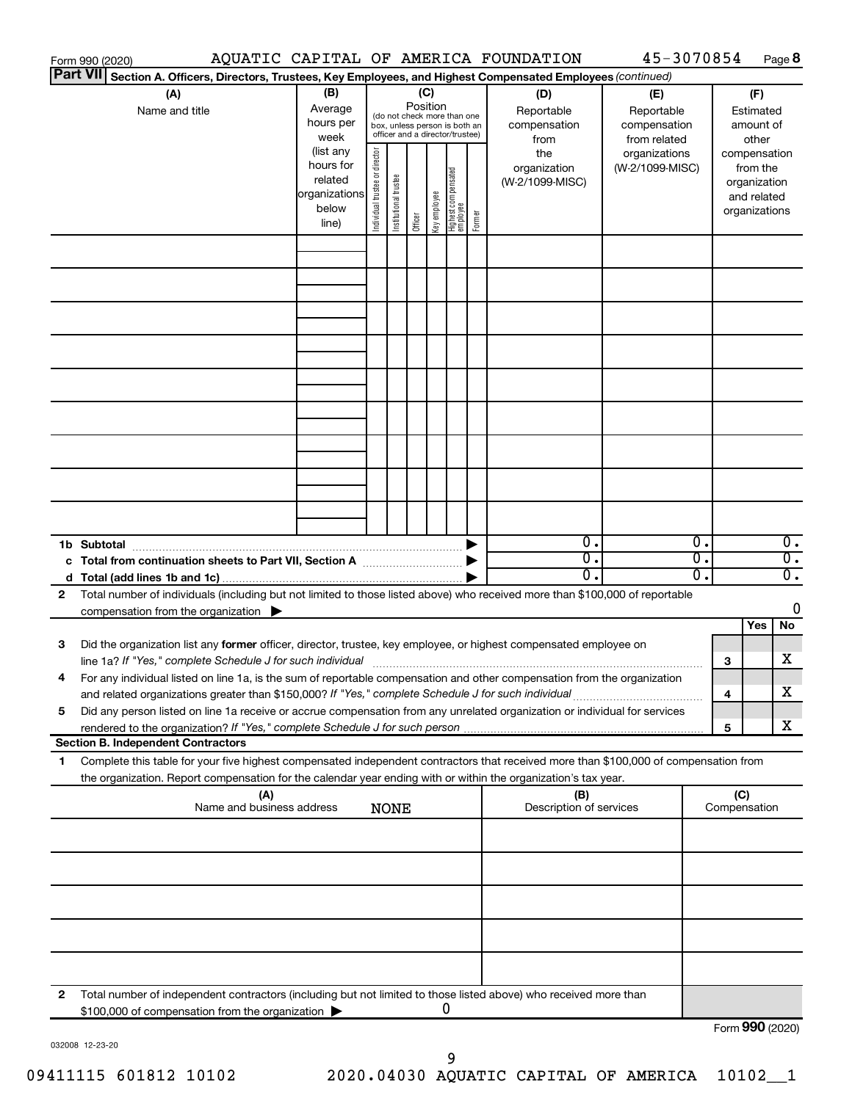|              | Form 990 (2020)                                                                                                                                                                                                                                        |                                                          |                                |                       |          |              |                                                                                                 |        | AQUATIC CAPITAL OF AMERICA FOUNDATION            | 45-3070854                                                         |          |     |                                                          | Page 8                               |
|--------------|--------------------------------------------------------------------------------------------------------------------------------------------------------------------------------------------------------------------------------------------------------|----------------------------------------------------------|--------------------------------|-----------------------|----------|--------------|-------------------------------------------------------------------------------------------------|--------|--------------------------------------------------|--------------------------------------------------------------------|----------|-----|----------------------------------------------------------|--------------------------------------|
|              | <b>Part VII</b><br>Section A. Officers, Directors, Trustees, Key Employees, and Highest Compensated Employees (continued)                                                                                                                              |                                                          |                                |                       |          |              |                                                                                                 |        |                                                  |                                                                    |          |     |                                                          |                                      |
|              | (A)<br>Name and title                                                                                                                                                                                                                                  | (B)<br>Average<br>hours per<br>week<br>(list any         |                                |                       | Position | (C)          | (do not check more than one<br>box, unless person is both an<br>officer and a director/trustee) |        | (D)<br>Reportable<br>compensation<br>from<br>the | (E)<br>Reportable<br>compensation<br>from related<br>organizations |          |     | (F)<br>Estimated<br>amount of<br>other<br>compensation   |                                      |
|              |                                                                                                                                                                                                                                                        | hours for<br>related<br> organizations<br>below<br>line) | Individual trustee or director | Institutional trustee | Officer  | Key employee | Highest compensated<br>employee                                                                 | Former | organization<br>(W-2/1099-MISC)                  | (W-2/1099-MISC)                                                    |          |     | from the<br>organization<br>and related<br>organizations |                                      |
|              |                                                                                                                                                                                                                                                        |                                                          |                                |                       |          |              |                                                                                                 |        |                                                  |                                                                    |          |     |                                                          |                                      |
|              |                                                                                                                                                                                                                                                        |                                                          |                                |                       |          |              |                                                                                                 |        |                                                  |                                                                    |          |     |                                                          |                                      |
|              |                                                                                                                                                                                                                                                        |                                                          |                                |                       |          |              |                                                                                                 |        |                                                  |                                                                    |          |     |                                                          |                                      |
|              |                                                                                                                                                                                                                                                        |                                                          |                                |                       |          |              |                                                                                                 |        |                                                  |                                                                    |          |     |                                                          |                                      |
|              |                                                                                                                                                                                                                                                        |                                                          |                                |                       |          |              |                                                                                                 |        |                                                  |                                                                    |          |     |                                                          |                                      |
|              |                                                                                                                                                                                                                                                        |                                                          |                                |                       |          |              |                                                                                                 |        |                                                  |                                                                    |          |     |                                                          |                                      |
|              | 1b Subtotal                                                                                                                                                                                                                                            |                                                          |                                |                       |          |              |                                                                                                 |        | $\overline{0}$ .                                 |                                                                    | Ο.       |     |                                                          | 0.                                   |
|              |                                                                                                                                                                                                                                                        |                                                          |                                |                       |          |              |                                                                                                 |        | $\overline{0}$ .<br>0.                           |                                                                    | 0.<br>σ. |     |                                                          | $\overline{0}$ .<br>$\overline{0}$ . |
| $\mathbf{2}$ | Total number of individuals (including but not limited to those listed above) who received more than \$100,000 of reportable<br>compensation from the organization $\blacktriangleright$                                                               |                                                          |                                |                       |          |              |                                                                                                 |        |                                                  |                                                                    |          |     | Yes                                                      | 0<br>No                              |
| 3            | Did the organization list any former officer, director, trustee, key employee, or highest compensated employee on                                                                                                                                      |                                                          |                                |                       |          |              |                                                                                                 |        |                                                  |                                                                    |          | З   |                                                          | x                                    |
| 4            | For any individual listed on line 1a, is the sum of reportable compensation and other compensation from the organization<br>and related organizations greater than \$150,000? If "Yes," complete Schedule J for such individual                        |                                                          |                                |                       |          |              |                                                                                                 |        |                                                  |                                                                    |          | 4   |                                                          | x                                    |
| 5            | Did any person listed on line 1a receive or accrue compensation from any unrelated organization or individual for services<br><b>Section B. Independent Contractors</b>                                                                                |                                                          |                                |                       |          |              |                                                                                                 |        |                                                  |                                                                    |          | 5   |                                                          | x                                    |
| 1            | Complete this table for your five highest compensated independent contractors that received more than \$100,000 of compensation from<br>the organization. Report compensation for the calendar year ending with or within the organization's tax year. |                                                          |                                |                       |          |              |                                                                                                 |        |                                                  |                                                                    |          |     |                                                          |                                      |
|              | (A)<br>Name and business address                                                                                                                                                                                                                       |                                                          |                                | <b>NONE</b>           |          |              |                                                                                                 |        | (B)<br>Description of services                   |                                                                    |          | (C) | Compensation                                             |                                      |
|              |                                                                                                                                                                                                                                                        |                                                          |                                |                       |          |              |                                                                                                 |        |                                                  |                                                                    |          |     |                                                          |                                      |
|              |                                                                                                                                                                                                                                                        |                                                          |                                |                       |          |              |                                                                                                 |        |                                                  |                                                                    |          |     |                                                          |                                      |
|              |                                                                                                                                                                                                                                                        |                                                          |                                |                       |          |              |                                                                                                 |        |                                                  |                                                                    |          |     |                                                          |                                      |
| 2            | Total number of independent contractors (including but not limited to those listed above) who received more than<br>\$100,000 of compensation from the organization                                                                                    |                                                          |                                |                       |          |              | 0                                                                                               |        |                                                  |                                                                    |          |     |                                                          |                                      |
|              |                                                                                                                                                                                                                                                        |                                                          |                                |                       |          |              |                                                                                                 |        |                                                  |                                                                    |          |     |                                                          | Form 990 (2020)                      |

032008 12-23-20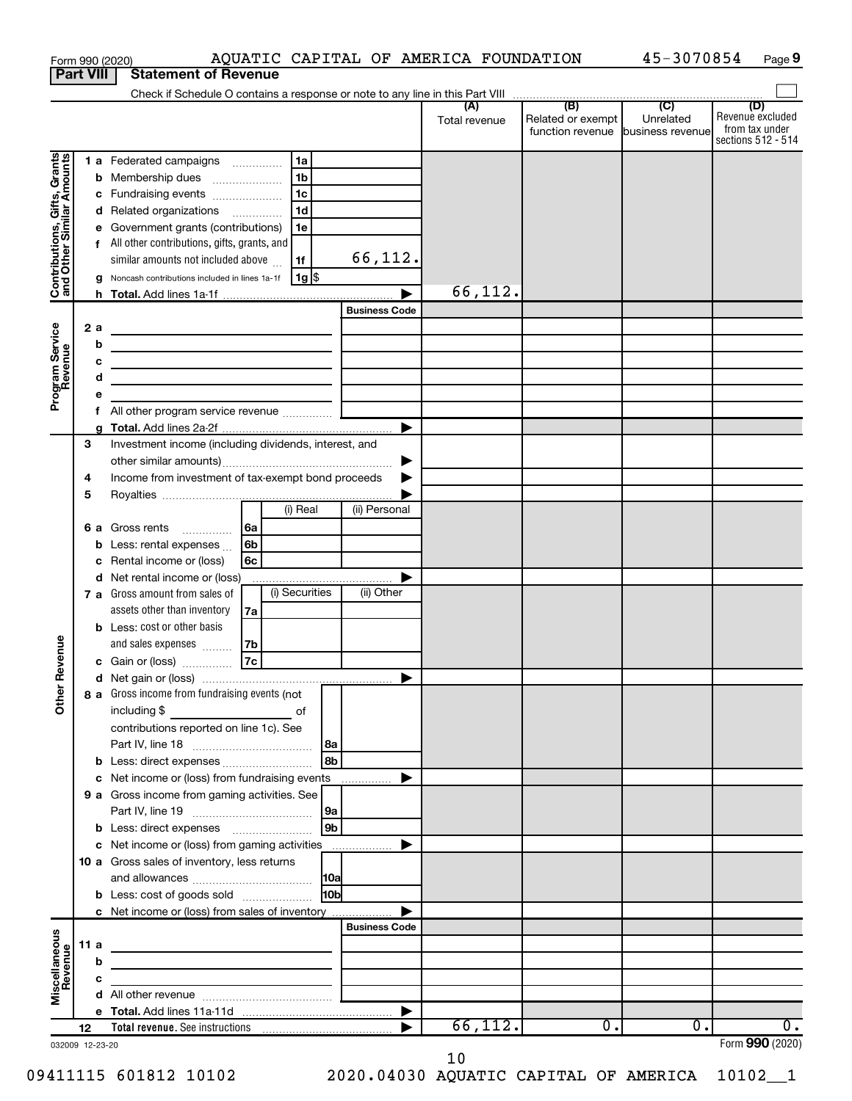| <b>Part VIII</b><br>(B)<br>$\overline{C}$<br>(D)<br>(A)<br>Revenue excluded<br>Unrelated<br>Related or exempt<br>Total revenue<br>from tax under<br>function revenue business revenue<br>Contributions, Gifts, Grants<br>and Other Similar Amounts<br>1 a Federated campaigns<br>1a<br>1 <sub>b</sub><br><b>b</b> Membership dues<br>1 <sub>c</sub><br>Fundraising events<br>с<br>1 <sub>d</sub><br>Related organizations<br>d<br>Government grants (contributions)<br>1e<br>е<br>f All other contributions, gifts, grants, and<br>66,112.<br>similar amounts not included above<br>1f<br>  1g  \$<br>Noncash contributions included in lines 1a-1f<br>g<br>66,112.<br><b>Business Code</b><br>Program Service<br>Revenue<br>2a<br>the control of the control of the control of the control of the control of<br>b<br><u> 1989 - Johann John Stein, markin fizzar eta idazlea (</u><br>c<br><u> 1989 - Johann Barbara, martxa alemaniar arg</u><br>d<br><u> 1989 - Johann Barbara, martin amerikan basar dan basa dan basar dalam basa dalam basa dalam basa dalam basa </u><br>е<br>f<br>▶<br>a<br>Investment income (including dividends, interest, and<br>3<br>▶<br>Income from investment of tax-exempt bond proceeds<br>4<br>▶<br>5<br>(i) Real<br>(ii) Personal<br>6 a Gross rents<br>6a<br>Less: rental expenses<br>6b<br>b<br>Rental income or (loss)<br>6с<br>с<br>d Net rental income or (loss)<br>(i) Securities<br>(ii) Other<br>7 a Gross amount from sales of<br>assets other than inventory<br>7a<br><b>b</b> Less: cost or other basis<br>evenue<br>and sales expenses<br>7b<br>$\overline{7c}$<br>c Gain or (loss)<br>č<br>Other<br>8 a Gross income from fundraising events (not<br>contributions reported on line 1c). See<br>l 8a<br>l 8b<br>b Less: direct expenses<br>c Net income or (loss) from fundraising events<br>▶<br>9 a Gross income from gaming activities. See<br> 9a<br> 9b <br>c Net income or (loss) from gaming activities<br>▶<br>10 a Gross sales of inventory, less returns<br> 10a <br><b>b</b> Less: cost of goods sold<br>10bl<br>c Net income or (loss) from sales of inventory<br><b>Business Code</b><br>Miscellaneous<br>Revenue<br>11 a<br><u> 1989 - Johann John Stein, markin fan it ferstjer fan de ferstjer fan it ferstjer fan it ferstjer fan it fers</u><br>b<br>the control of the control of the control of the control of the control of<br>c<br><u> 1989 - John Stein, mars and de Branch and de Branch and de Branch and de Branch and de Branch and de Branch a</u><br>▶<br>66, 112.<br>$\overline{0}$ .<br>0.<br>0.<br>12 |  |  | AQUATIC CAPITAL OF AMERICA FOUNDATION<br>Form 990 (2020) |  |  | 45-3070854 | Page 9             |
|-----------------------------------------------------------------------------------------------------------------------------------------------------------------------------------------------------------------------------------------------------------------------------------------------------------------------------------------------------------------------------------------------------------------------------------------------------------------------------------------------------------------------------------------------------------------------------------------------------------------------------------------------------------------------------------------------------------------------------------------------------------------------------------------------------------------------------------------------------------------------------------------------------------------------------------------------------------------------------------------------------------------------------------------------------------------------------------------------------------------------------------------------------------------------------------------------------------------------------------------------------------------------------------------------------------------------------------------------------------------------------------------------------------------------------------------------------------------------------------------------------------------------------------------------------------------------------------------------------------------------------------------------------------------------------------------------------------------------------------------------------------------------------------------------------------------------------------------------------------------------------------------------------------------------------------------------------------------------------------------------------------------------------------------------------------------------------------------------------------------------------------------------------------------------------------------------------------------------------------------------------------------------------------------------------------------------------------------------------------------------------------------------------------------------------------------------------------------------------------------------------------------------------------------------------------------------------------------|--|--|----------------------------------------------------------|--|--|------------|--------------------|
|                                                                                                                                                                                                                                                                                                                                                                                                                                                                                                                                                                                                                                                                                                                                                                                                                                                                                                                                                                                                                                                                                                                                                                                                                                                                                                                                                                                                                                                                                                                                                                                                                                                                                                                                                                                                                                                                                                                                                                                                                                                                                                                                                                                                                                                                                                                                                                                                                                                                                                                                                                                         |  |  | <b>Statement of Revenue</b>                              |  |  |            |                    |
|                                                                                                                                                                                                                                                                                                                                                                                                                                                                                                                                                                                                                                                                                                                                                                                                                                                                                                                                                                                                                                                                                                                                                                                                                                                                                                                                                                                                                                                                                                                                                                                                                                                                                                                                                                                                                                                                                                                                                                                                                                                                                                                                                                                                                                                                                                                                                                                                                                                                                                                                                                                         |  |  |                                                          |  |  |            |                    |
|                                                                                                                                                                                                                                                                                                                                                                                                                                                                                                                                                                                                                                                                                                                                                                                                                                                                                                                                                                                                                                                                                                                                                                                                                                                                                                                                                                                                                                                                                                                                                                                                                                                                                                                                                                                                                                                                                                                                                                                                                                                                                                                                                                                                                                                                                                                                                                                                                                                                                                                                                                                         |  |  |                                                          |  |  |            |                    |
|                                                                                                                                                                                                                                                                                                                                                                                                                                                                                                                                                                                                                                                                                                                                                                                                                                                                                                                                                                                                                                                                                                                                                                                                                                                                                                                                                                                                                                                                                                                                                                                                                                                                                                                                                                                                                                                                                                                                                                                                                                                                                                                                                                                                                                                                                                                                                                                                                                                                                                                                                                                         |  |  |                                                          |  |  |            | sections 512 - 514 |
|                                                                                                                                                                                                                                                                                                                                                                                                                                                                                                                                                                                                                                                                                                                                                                                                                                                                                                                                                                                                                                                                                                                                                                                                                                                                                                                                                                                                                                                                                                                                                                                                                                                                                                                                                                                                                                                                                                                                                                                                                                                                                                                                                                                                                                                                                                                                                                                                                                                                                                                                                                                         |  |  |                                                          |  |  |            |                    |
|                                                                                                                                                                                                                                                                                                                                                                                                                                                                                                                                                                                                                                                                                                                                                                                                                                                                                                                                                                                                                                                                                                                                                                                                                                                                                                                                                                                                                                                                                                                                                                                                                                                                                                                                                                                                                                                                                                                                                                                                                                                                                                                                                                                                                                                                                                                                                                                                                                                                                                                                                                                         |  |  |                                                          |  |  |            |                    |
|                                                                                                                                                                                                                                                                                                                                                                                                                                                                                                                                                                                                                                                                                                                                                                                                                                                                                                                                                                                                                                                                                                                                                                                                                                                                                                                                                                                                                                                                                                                                                                                                                                                                                                                                                                                                                                                                                                                                                                                                                                                                                                                                                                                                                                                                                                                                                                                                                                                                                                                                                                                         |  |  |                                                          |  |  |            |                    |
|                                                                                                                                                                                                                                                                                                                                                                                                                                                                                                                                                                                                                                                                                                                                                                                                                                                                                                                                                                                                                                                                                                                                                                                                                                                                                                                                                                                                                                                                                                                                                                                                                                                                                                                                                                                                                                                                                                                                                                                                                                                                                                                                                                                                                                                                                                                                                                                                                                                                                                                                                                                         |  |  |                                                          |  |  |            |                    |
|                                                                                                                                                                                                                                                                                                                                                                                                                                                                                                                                                                                                                                                                                                                                                                                                                                                                                                                                                                                                                                                                                                                                                                                                                                                                                                                                                                                                                                                                                                                                                                                                                                                                                                                                                                                                                                                                                                                                                                                                                                                                                                                                                                                                                                                                                                                                                                                                                                                                                                                                                                                         |  |  |                                                          |  |  |            |                    |
|                                                                                                                                                                                                                                                                                                                                                                                                                                                                                                                                                                                                                                                                                                                                                                                                                                                                                                                                                                                                                                                                                                                                                                                                                                                                                                                                                                                                                                                                                                                                                                                                                                                                                                                                                                                                                                                                                                                                                                                                                                                                                                                                                                                                                                                                                                                                                                                                                                                                                                                                                                                         |  |  |                                                          |  |  |            |                    |
|                                                                                                                                                                                                                                                                                                                                                                                                                                                                                                                                                                                                                                                                                                                                                                                                                                                                                                                                                                                                                                                                                                                                                                                                                                                                                                                                                                                                                                                                                                                                                                                                                                                                                                                                                                                                                                                                                                                                                                                                                                                                                                                                                                                                                                                                                                                                                                                                                                                                                                                                                                                         |  |  |                                                          |  |  |            |                    |
|                                                                                                                                                                                                                                                                                                                                                                                                                                                                                                                                                                                                                                                                                                                                                                                                                                                                                                                                                                                                                                                                                                                                                                                                                                                                                                                                                                                                                                                                                                                                                                                                                                                                                                                                                                                                                                                                                                                                                                                                                                                                                                                                                                                                                                                                                                                                                                                                                                                                                                                                                                                         |  |  |                                                          |  |  |            |                    |
|                                                                                                                                                                                                                                                                                                                                                                                                                                                                                                                                                                                                                                                                                                                                                                                                                                                                                                                                                                                                                                                                                                                                                                                                                                                                                                                                                                                                                                                                                                                                                                                                                                                                                                                                                                                                                                                                                                                                                                                                                                                                                                                                                                                                                                                                                                                                                                                                                                                                                                                                                                                         |  |  |                                                          |  |  |            |                    |
|                                                                                                                                                                                                                                                                                                                                                                                                                                                                                                                                                                                                                                                                                                                                                                                                                                                                                                                                                                                                                                                                                                                                                                                                                                                                                                                                                                                                                                                                                                                                                                                                                                                                                                                                                                                                                                                                                                                                                                                                                                                                                                                                                                                                                                                                                                                                                                                                                                                                                                                                                                                         |  |  |                                                          |  |  |            |                    |
|                                                                                                                                                                                                                                                                                                                                                                                                                                                                                                                                                                                                                                                                                                                                                                                                                                                                                                                                                                                                                                                                                                                                                                                                                                                                                                                                                                                                                                                                                                                                                                                                                                                                                                                                                                                                                                                                                                                                                                                                                                                                                                                                                                                                                                                                                                                                                                                                                                                                                                                                                                                         |  |  |                                                          |  |  |            |                    |
|                                                                                                                                                                                                                                                                                                                                                                                                                                                                                                                                                                                                                                                                                                                                                                                                                                                                                                                                                                                                                                                                                                                                                                                                                                                                                                                                                                                                                                                                                                                                                                                                                                                                                                                                                                                                                                                                                                                                                                                                                                                                                                                                                                                                                                                                                                                                                                                                                                                                                                                                                                                         |  |  |                                                          |  |  |            |                    |
|                                                                                                                                                                                                                                                                                                                                                                                                                                                                                                                                                                                                                                                                                                                                                                                                                                                                                                                                                                                                                                                                                                                                                                                                                                                                                                                                                                                                                                                                                                                                                                                                                                                                                                                                                                                                                                                                                                                                                                                                                                                                                                                                                                                                                                                                                                                                                                                                                                                                                                                                                                                         |  |  |                                                          |  |  |            |                    |
|                                                                                                                                                                                                                                                                                                                                                                                                                                                                                                                                                                                                                                                                                                                                                                                                                                                                                                                                                                                                                                                                                                                                                                                                                                                                                                                                                                                                                                                                                                                                                                                                                                                                                                                                                                                                                                                                                                                                                                                                                                                                                                                                                                                                                                                                                                                                                                                                                                                                                                                                                                                         |  |  |                                                          |  |  |            |                    |
|                                                                                                                                                                                                                                                                                                                                                                                                                                                                                                                                                                                                                                                                                                                                                                                                                                                                                                                                                                                                                                                                                                                                                                                                                                                                                                                                                                                                                                                                                                                                                                                                                                                                                                                                                                                                                                                                                                                                                                                                                                                                                                                                                                                                                                                                                                                                                                                                                                                                                                                                                                                         |  |  |                                                          |  |  |            |                    |
|                                                                                                                                                                                                                                                                                                                                                                                                                                                                                                                                                                                                                                                                                                                                                                                                                                                                                                                                                                                                                                                                                                                                                                                                                                                                                                                                                                                                                                                                                                                                                                                                                                                                                                                                                                                                                                                                                                                                                                                                                                                                                                                                                                                                                                                                                                                                                                                                                                                                                                                                                                                         |  |  |                                                          |  |  |            |                    |
|                                                                                                                                                                                                                                                                                                                                                                                                                                                                                                                                                                                                                                                                                                                                                                                                                                                                                                                                                                                                                                                                                                                                                                                                                                                                                                                                                                                                                                                                                                                                                                                                                                                                                                                                                                                                                                                                                                                                                                                                                                                                                                                                                                                                                                                                                                                                                                                                                                                                                                                                                                                         |  |  |                                                          |  |  |            |                    |
|                                                                                                                                                                                                                                                                                                                                                                                                                                                                                                                                                                                                                                                                                                                                                                                                                                                                                                                                                                                                                                                                                                                                                                                                                                                                                                                                                                                                                                                                                                                                                                                                                                                                                                                                                                                                                                                                                                                                                                                                                                                                                                                                                                                                                                                                                                                                                                                                                                                                                                                                                                                         |  |  |                                                          |  |  |            |                    |
|                                                                                                                                                                                                                                                                                                                                                                                                                                                                                                                                                                                                                                                                                                                                                                                                                                                                                                                                                                                                                                                                                                                                                                                                                                                                                                                                                                                                                                                                                                                                                                                                                                                                                                                                                                                                                                                                                                                                                                                                                                                                                                                                                                                                                                                                                                                                                                                                                                                                                                                                                                                         |  |  |                                                          |  |  |            |                    |
|                                                                                                                                                                                                                                                                                                                                                                                                                                                                                                                                                                                                                                                                                                                                                                                                                                                                                                                                                                                                                                                                                                                                                                                                                                                                                                                                                                                                                                                                                                                                                                                                                                                                                                                                                                                                                                                                                                                                                                                                                                                                                                                                                                                                                                                                                                                                                                                                                                                                                                                                                                                         |  |  |                                                          |  |  |            |                    |
|                                                                                                                                                                                                                                                                                                                                                                                                                                                                                                                                                                                                                                                                                                                                                                                                                                                                                                                                                                                                                                                                                                                                                                                                                                                                                                                                                                                                                                                                                                                                                                                                                                                                                                                                                                                                                                                                                                                                                                                                                                                                                                                                                                                                                                                                                                                                                                                                                                                                                                                                                                                         |  |  |                                                          |  |  |            |                    |
|                                                                                                                                                                                                                                                                                                                                                                                                                                                                                                                                                                                                                                                                                                                                                                                                                                                                                                                                                                                                                                                                                                                                                                                                                                                                                                                                                                                                                                                                                                                                                                                                                                                                                                                                                                                                                                                                                                                                                                                                                                                                                                                                                                                                                                                                                                                                                                                                                                                                                                                                                                                         |  |  |                                                          |  |  |            |                    |
|                                                                                                                                                                                                                                                                                                                                                                                                                                                                                                                                                                                                                                                                                                                                                                                                                                                                                                                                                                                                                                                                                                                                                                                                                                                                                                                                                                                                                                                                                                                                                                                                                                                                                                                                                                                                                                                                                                                                                                                                                                                                                                                                                                                                                                                                                                                                                                                                                                                                                                                                                                                         |  |  |                                                          |  |  |            |                    |
|                                                                                                                                                                                                                                                                                                                                                                                                                                                                                                                                                                                                                                                                                                                                                                                                                                                                                                                                                                                                                                                                                                                                                                                                                                                                                                                                                                                                                                                                                                                                                                                                                                                                                                                                                                                                                                                                                                                                                                                                                                                                                                                                                                                                                                                                                                                                                                                                                                                                                                                                                                                         |  |  |                                                          |  |  |            |                    |
|                                                                                                                                                                                                                                                                                                                                                                                                                                                                                                                                                                                                                                                                                                                                                                                                                                                                                                                                                                                                                                                                                                                                                                                                                                                                                                                                                                                                                                                                                                                                                                                                                                                                                                                                                                                                                                                                                                                                                                                                                                                                                                                                                                                                                                                                                                                                                                                                                                                                                                                                                                                         |  |  |                                                          |  |  |            |                    |
|                                                                                                                                                                                                                                                                                                                                                                                                                                                                                                                                                                                                                                                                                                                                                                                                                                                                                                                                                                                                                                                                                                                                                                                                                                                                                                                                                                                                                                                                                                                                                                                                                                                                                                                                                                                                                                                                                                                                                                                                                                                                                                                                                                                                                                                                                                                                                                                                                                                                                                                                                                                         |  |  |                                                          |  |  |            |                    |
|                                                                                                                                                                                                                                                                                                                                                                                                                                                                                                                                                                                                                                                                                                                                                                                                                                                                                                                                                                                                                                                                                                                                                                                                                                                                                                                                                                                                                                                                                                                                                                                                                                                                                                                                                                                                                                                                                                                                                                                                                                                                                                                                                                                                                                                                                                                                                                                                                                                                                                                                                                                         |  |  |                                                          |  |  |            |                    |
|                                                                                                                                                                                                                                                                                                                                                                                                                                                                                                                                                                                                                                                                                                                                                                                                                                                                                                                                                                                                                                                                                                                                                                                                                                                                                                                                                                                                                                                                                                                                                                                                                                                                                                                                                                                                                                                                                                                                                                                                                                                                                                                                                                                                                                                                                                                                                                                                                                                                                                                                                                                         |  |  |                                                          |  |  |            |                    |
|                                                                                                                                                                                                                                                                                                                                                                                                                                                                                                                                                                                                                                                                                                                                                                                                                                                                                                                                                                                                                                                                                                                                                                                                                                                                                                                                                                                                                                                                                                                                                                                                                                                                                                                                                                                                                                                                                                                                                                                                                                                                                                                                                                                                                                                                                                                                                                                                                                                                                                                                                                                         |  |  |                                                          |  |  |            |                    |
|                                                                                                                                                                                                                                                                                                                                                                                                                                                                                                                                                                                                                                                                                                                                                                                                                                                                                                                                                                                                                                                                                                                                                                                                                                                                                                                                                                                                                                                                                                                                                                                                                                                                                                                                                                                                                                                                                                                                                                                                                                                                                                                                                                                                                                                                                                                                                                                                                                                                                                                                                                                         |  |  |                                                          |  |  |            |                    |
|                                                                                                                                                                                                                                                                                                                                                                                                                                                                                                                                                                                                                                                                                                                                                                                                                                                                                                                                                                                                                                                                                                                                                                                                                                                                                                                                                                                                                                                                                                                                                                                                                                                                                                                                                                                                                                                                                                                                                                                                                                                                                                                                                                                                                                                                                                                                                                                                                                                                                                                                                                                         |  |  |                                                          |  |  |            |                    |
|                                                                                                                                                                                                                                                                                                                                                                                                                                                                                                                                                                                                                                                                                                                                                                                                                                                                                                                                                                                                                                                                                                                                                                                                                                                                                                                                                                                                                                                                                                                                                                                                                                                                                                                                                                                                                                                                                                                                                                                                                                                                                                                                                                                                                                                                                                                                                                                                                                                                                                                                                                                         |  |  |                                                          |  |  |            |                    |
|                                                                                                                                                                                                                                                                                                                                                                                                                                                                                                                                                                                                                                                                                                                                                                                                                                                                                                                                                                                                                                                                                                                                                                                                                                                                                                                                                                                                                                                                                                                                                                                                                                                                                                                                                                                                                                                                                                                                                                                                                                                                                                                                                                                                                                                                                                                                                                                                                                                                                                                                                                                         |  |  |                                                          |  |  |            |                    |
|                                                                                                                                                                                                                                                                                                                                                                                                                                                                                                                                                                                                                                                                                                                                                                                                                                                                                                                                                                                                                                                                                                                                                                                                                                                                                                                                                                                                                                                                                                                                                                                                                                                                                                                                                                                                                                                                                                                                                                                                                                                                                                                                                                                                                                                                                                                                                                                                                                                                                                                                                                                         |  |  |                                                          |  |  |            |                    |
|                                                                                                                                                                                                                                                                                                                                                                                                                                                                                                                                                                                                                                                                                                                                                                                                                                                                                                                                                                                                                                                                                                                                                                                                                                                                                                                                                                                                                                                                                                                                                                                                                                                                                                                                                                                                                                                                                                                                                                                                                                                                                                                                                                                                                                                                                                                                                                                                                                                                                                                                                                                         |  |  |                                                          |  |  |            |                    |
|                                                                                                                                                                                                                                                                                                                                                                                                                                                                                                                                                                                                                                                                                                                                                                                                                                                                                                                                                                                                                                                                                                                                                                                                                                                                                                                                                                                                                                                                                                                                                                                                                                                                                                                                                                                                                                                                                                                                                                                                                                                                                                                                                                                                                                                                                                                                                                                                                                                                                                                                                                                         |  |  |                                                          |  |  |            |                    |
|                                                                                                                                                                                                                                                                                                                                                                                                                                                                                                                                                                                                                                                                                                                                                                                                                                                                                                                                                                                                                                                                                                                                                                                                                                                                                                                                                                                                                                                                                                                                                                                                                                                                                                                                                                                                                                                                                                                                                                                                                                                                                                                                                                                                                                                                                                                                                                                                                                                                                                                                                                                         |  |  |                                                          |  |  |            |                    |
|                                                                                                                                                                                                                                                                                                                                                                                                                                                                                                                                                                                                                                                                                                                                                                                                                                                                                                                                                                                                                                                                                                                                                                                                                                                                                                                                                                                                                                                                                                                                                                                                                                                                                                                                                                                                                                                                                                                                                                                                                                                                                                                                                                                                                                                                                                                                                                                                                                                                                                                                                                                         |  |  |                                                          |  |  |            |                    |
|                                                                                                                                                                                                                                                                                                                                                                                                                                                                                                                                                                                                                                                                                                                                                                                                                                                                                                                                                                                                                                                                                                                                                                                                                                                                                                                                                                                                                                                                                                                                                                                                                                                                                                                                                                                                                                                                                                                                                                                                                                                                                                                                                                                                                                                                                                                                                                                                                                                                                                                                                                                         |  |  |                                                          |  |  |            |                    |
|                                                                                                                                                                                                                                                                                                                                                                                                                                                                                                                                                                                                                                                                                                                                                                                                                                                                                                                                                                                                                                                                                                                                                                                                                                                                                                                                                                                                                                                                                                                                                                                                                                                                                                                                                                                                                                                                                                                                                                                                                                                                                                                                                                                                                                                                                                                                                                                                                                                                                                                                                                                         |  |  |                                                          |  |  |            |                    |
|                                                                                                                                                                                                                                                                                                                                                                                                                                                                                                                                                                                                                                                                                                                                                                                                                                                                                                                                                                                                                                                                                                                                                                                                                                                                                                                                                                                                                                                                                                                                                                                                                                                                                                                                                                                                                                                                                                                                                                                                                                                                                                                                                                                                                                                                                                                                                                                                                                                                                                                                                                                         |  |  |                                                          |  |  |            |                    |
|                                                                                                                                                                                                                                                                                                                                                                                                                                                                                                                                                                                                                                                                                                                                                                                                                                                                                                                                                                                                                                                                                                                                                                                                                                                                                                                                                                                                                                                                                                                                                                                                                                                                                                                                                                                                                                                                                                                                                                                                                                                                                                                                                                                                                                                                                                                                                                                                                                                                                                                                                                                         |  |  |                                                          |  |  |            |                    |
|                                                                                                                                                                                                                                                                                                                                                                                                                                                                                                                                                                                                                                                                                                                                                                                                                                                                                                                                                                                                                                                                                                                                                                                                                                                                                                                                                                                                                                                                                                                                                                                                                                                                                                                                                                                                                                                                                                                                                                                                                                                                                                                                                                                                                                                                                                                                                                                                                                                                                                                                                                                         |  |  |                                                          |  |  |            |                    |
|                                                                                                                                                                                                                                                                                                                                                                                                                                                                                                                                                                                                                                                                                                                                                                                                                                                                                                                                                                                                                                                                                                                                                                                                                                                                                                                                                                                                                                                                                                                                                                                                                                                                                                                                                                                                                                                                                                                                                                                                                                                                                                                                                                                                                                                                                                                                                                                                                                                                                                                                                                                         |  |  |                                                          |  |  |            |                    |
|                                                                                                                                                                                                                                                                                                                                                                                                                                                                                                                                                                                                                                                                                                                                                                                                                                                                                                                                                                                                                                                                                                                                                                                                                                                                                                                                                                                                                                                                                                                                                                                                                                                                                                                                                                                                                                                                                                                                                                                                                                                                                                                                                                                                                                                                                                                                                                                                                                                                                                                                                                                         |  |  |                                                          |  |  |            |                    |
|                                                                                                                                                                                                                                                                                                                                                                                                                                                                                                                                                                                                                                                                                                                                                                                                                                                                                                                                                                                                                                                                                                                                                                                                                                                                                                                                                                                                                                                                                                                                                                                                                                                                                                                                                                                                                                                                                                                                                                                                                                                                                                                                                                                                                                                                                                                                                                                                                                                                                                                                                                                         |  |  |                                                          |  |  |            |                    |
|                                                                                                                                                                                                                                                                                                                                                                                                                                                                                                                                                                                                                                                                                                                                                                                                                                                                                                                                                                                                                                                                                                                                                                                                                                                                                                                                                                                                                                                                                                                                                                                                                                                                                                                                                                                                                                                                                                                                                                                                                                                                                                                                                                                                                                                                                                                                                                                                                                                                                                                                                                                         |  |  |                                                          |  |  |            |                    |
|                                                                                                                                                                                                                                                                                                                                                                                                                                                                                                                                                                                                                                                                                                                                                                                                                                                                                                                                                                                                                                                                                                                                                                                                                                                                                                                                                                                                                                                                                                                                                                                                                                                                                                                                                                                                                                                                                                                                                                                                                                                                                                                                                                                                                                                                                                                                                                                                                                                                                                                                                                                         |  |  |                                                          |  |  |            |                    |
|                                                                                                                                                                                                                                                                                                                                                                                                                                                                                                                                                                                                                                                                                                                                                                                                                                                                                                                                                                                                                                                                                                                                                                                                                                                                                                                                                                                                                                                                                                                                                                                                                                                                                                                                                                                                                                                                                                                                                                                                                                                                                                                                                                                                                                                                                                                                                                                                                                                                                                                                                                                         |  |  |                                                          |  |  |            |                    |
| 032009 12-23-20                                                                                                                                                                                                                                                                                                                                                                                                                                                                                                                                                                                                                                                                                                                                                                                                                                                                                                                                                                                                                                                                                                                                                                                                                                                                                                                                                                                                                                                                                                                                                                                                                                                                                                                                                                                                                                                                                                                                                                                                                                                                                                                                                                                                                                                                                                                                                                                                                                                                                                                                                                         |  |  |                                                          |  |  |            | Form 990 (2020)    |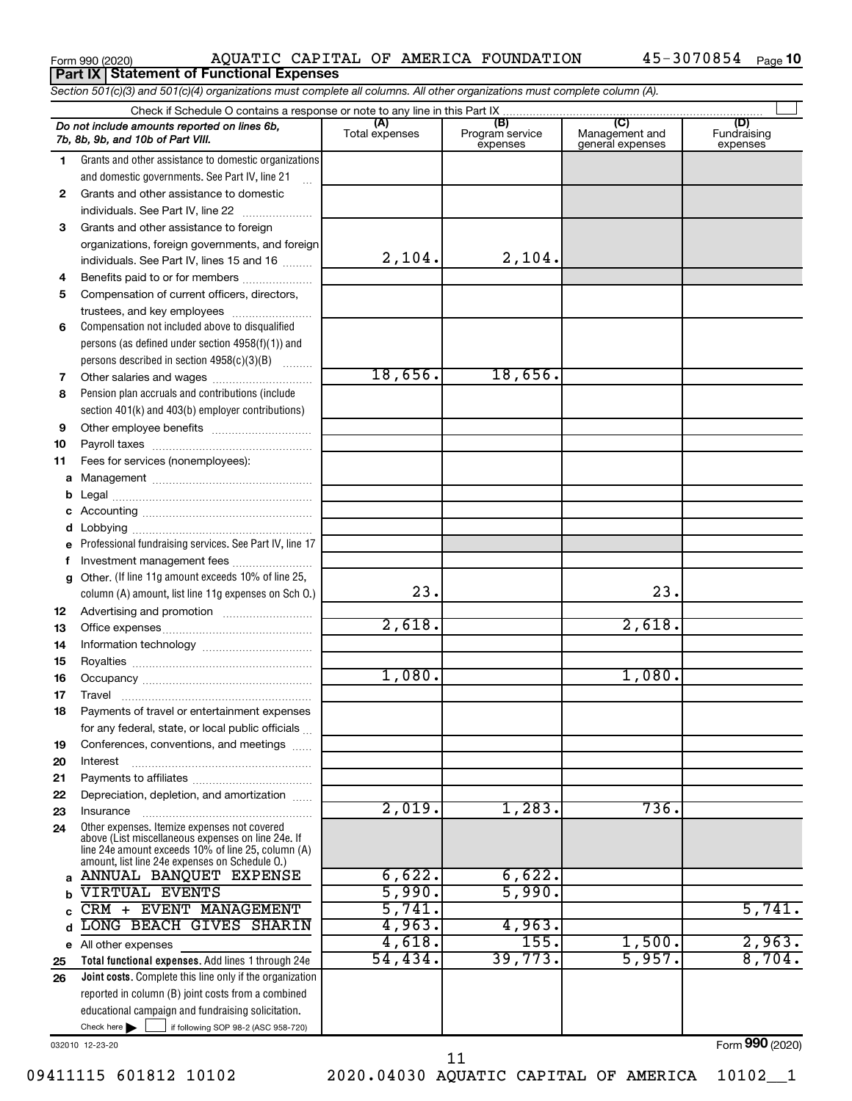| Form 990 (2020) | AOUATIC CAPITI                                  |  |
|-----------------|-------------------------------------------------|--|
|                 | <b>Part IX Statement of Functional Expenses</b> |  |

### Form 990 (2020) Page AQUATIC CAPITAL OF AMERICA FOUNDATION 45-3070854

|    | Section 501(c)(3) and 501(c)(4) organizations must complete all columns. All other organizations must complete column (A).                                                                                 |                       |                                    |                                                     |                                |
|----|------------------------------------------------------------------------------------------------------------------------------------------------------------------------------------------------------------|-----------------------|------------------------------------|-----------------------------------------------------|--------------------------------|
|    |                                                                                                                                                                                                            |                       |                                    |                                                     |                                |
|    | Do not include amounts reported on lines 6b,<br>7b, 8b, 9b, and 10b of Part VIII.                                                                                                                          | (A)<br>Total expenses | (B)<br>Program service<br>expenses | $\mathcal{C}$<br>Management and<br>general expenses | (D)<br>Fundraising<br>expenses |
| 1. | Grants and other assistance to domestic organizations                                                                                                                                                      |                       |                                    |                                                     |                                |
|    | and domestic governments. See Part IV, line 21                                                                                                                                                             |                       |                                    |                                                     |                                |
| 2  | Grants and other assistance to domestic                                                                                                                                                                    |                       |                                    |                                                     |                                |
|    | individuals. See Part IV, line 22                                                                                                                                                                          |                       |                                    |                                                     |                                |
| 3  | Grants and other assistance to foreign                                                                                                                                                                     |                       |                                    |                                                     |                                |
|    | organizations, foreign governments, and foreign                                                                                                                                                            |                       |                                    |                                                     |                                |
|    | individuals. See Part IV, lines 15 and 16                                                                                                                                                                  | 2,104.                | 2,104.                             |                                                     |                                |
| 4  | Benefits paid to or for members                                                                                                                                                                            |                       |                                    |                                                     |                                |
| 5  | Compensation of current officers, directors,                                                                                                                                                               |                       |                                    |                                                     |                                |
|    | trustees, and key employees                                                                                                                                                                                |                       |                                    |                                                     |                                |
| 6  | Compensation not included above to disqualified                                                                                                                                                            |                       |                                    |                                                     |                                |
|    | persons (as defined under section $4958(f)(1)$ ) and                                                                                                                                                       |                       |                                    |                                                     |                                |
|    | persons described in section 4958(c)(3)(B)                                                                                                                                                                 |                       |                                    |                                                     |                                |
| 7  |                                                                                                                                                                                                            | 18,656.               | 18,656.                            |                                                     |                                |
| 8  | Pension plan accruals and contributions (include                                                                                                                                                           |                       |                                    |                                                     |                                |
|    | section 401(k) and 403(b) employer contributions)                                                                                                                                                          |                       |                                    |                                                     |                                |
| 9  |                                                                                                                                                                                                            |                       |                                    |                                                     |                                |
| 10 |                                                                                                                                                                                                            |                       |                                    |                                                     |                                |
| 11 | Fees for services (nonemployees):                                                                                                                                                                          |                       |                                    |                                                     |                                |
| а  |                                                                                                                                                                                                            |                       |                                    |                                                     |                                |
| b  |                                                                                                                                                                                                            |                       |                                    |                                                     |                                |
| с  |                                                                                                                                                                                                            |                       |                                    |                                                     |                                |
| d  |                                                                                                                                                                                                            |                       |                                    |                                                     |                                |
|    | Professional fundraising services. See Part IV, line 17                                                                                                                                                    |                       |                                    |                                                     |                                |
| f  | Investment management fees                                                                                                                                                                                 |                       |                                    |                                                     |                                |
| g  | Other. (If line 11g amount exceeds 10% of line 25,                                                                                                                                                         |                       |                                    |                                                     |                                |
|    | column (A) amount, list line 11g expenses on Sch O.)                                                                                                                                                       | 23.                   |                                    | 23.                                                 |                                |
| 12 |                                                                                                                                                                                                            |                       |                                    |                                                     |                                |
| 13 |                                                                                                                                                                                                            | 2,618.                |                                    | 2,618.                                              |                                |
| 14 |                                                                                                                                                                                                            |                       |                                    |                                                     |                                |
| 15 |                                                                                                                                                                                                            |                       |                                    |                                                     |                                |
| 16 |                                                                                                                                                                                                            | 1,080.                |                                    | 1,080.                                              |                                |
| 17 |                                                                                                                                                                                                            |                       |                                    |                                                     |                                |
|    | Payments of travel or entertainment expenses                                                                                                                                                               |                       |                                    |                                                     |                                |
|    | for any federal, state, or local public officials                                                                                                                                                          |                       |                                    |                                                     |                                |
| 19 | Conferences, conventions, and meetings                                                                                                                                                                     |                       |                                    |                                                     |                                |
| 20 | Interest                                                                                                                                                                                                   |                       |                                    |                                                     |                                |
| 21 |                                                                                                                                                                                                            |                       |                                    |                                                     |                                |
| 22 | Depreciation, depletion, and amortization                                                                                                                                                                  |                       |                                    |                                                     |                                |
| 23 | Insurance                                                                                                                                                                                                  | 2,019.                | 1,283.                             | 736.                                                |                                |
| 24 | Other expenses. Itemize expenses not covered<br>above (List miscellaneous expenses on line 24e. If<br>line 24e amount exceeds 10% of line 25, column (A)<br>amount, list line 24e expenses on Schedule O.) |                       |                                    |                                                     |                                |
|    | a ANNUAL BANQUET EXPENSE                                                                                                                                                                                   | 6,622.                | 6,622.                             |                                                     |                                |
|    | VIRTUAL EVENTS                                                                                                                                                                                             | 5,990.                | 5,990.                             |                                                     |                                |
|    | CRM + EVENT MANAGEMENT                                                                                                                                                                                     | 5,741.                |                                    |                                                     | 5,741.                         |
| d  | LONG BEACH GIVES SHARIN                                                                                                                                                                                    | 4,963.                | 4,963.                             |                                                     |                                |
|    | e All other expenses                                                                                                                                                                                       | 4,618.                | 155.                               | 1,500.                                              | 2,963.                         |
| 25 | Total functional expenses. Add lines 1 through 24e                                                                                                                                                         | 54,434.               | 39,773.                            | 5,957.                                              | 8,704.                         |
| 26 | <b>Joint costs.</b> Complete this line only if the organization                                                                                                                                            |                       |                                    |                                                     |                                |
|    | reported in column (B) joint costs from a combined                                                                                                                                                         |                       |                                    |                                                     |                                |
|    | educational campaign and fundraising solicitation.                                                                                                                                                         |                       |                                    |                                                     |                                |
|    | Check here $\blacktriangleright$<br>if following SOP 98-2 (ASC 958-720)                                                                                                                                    |                       |                                    |                                                     |                                |

032010 12-23-20

Form (2020) **990**

09411115 601812 10102 2020.04030 AQUATIC CAPITAL OF AMERICA 10102\_\_1 11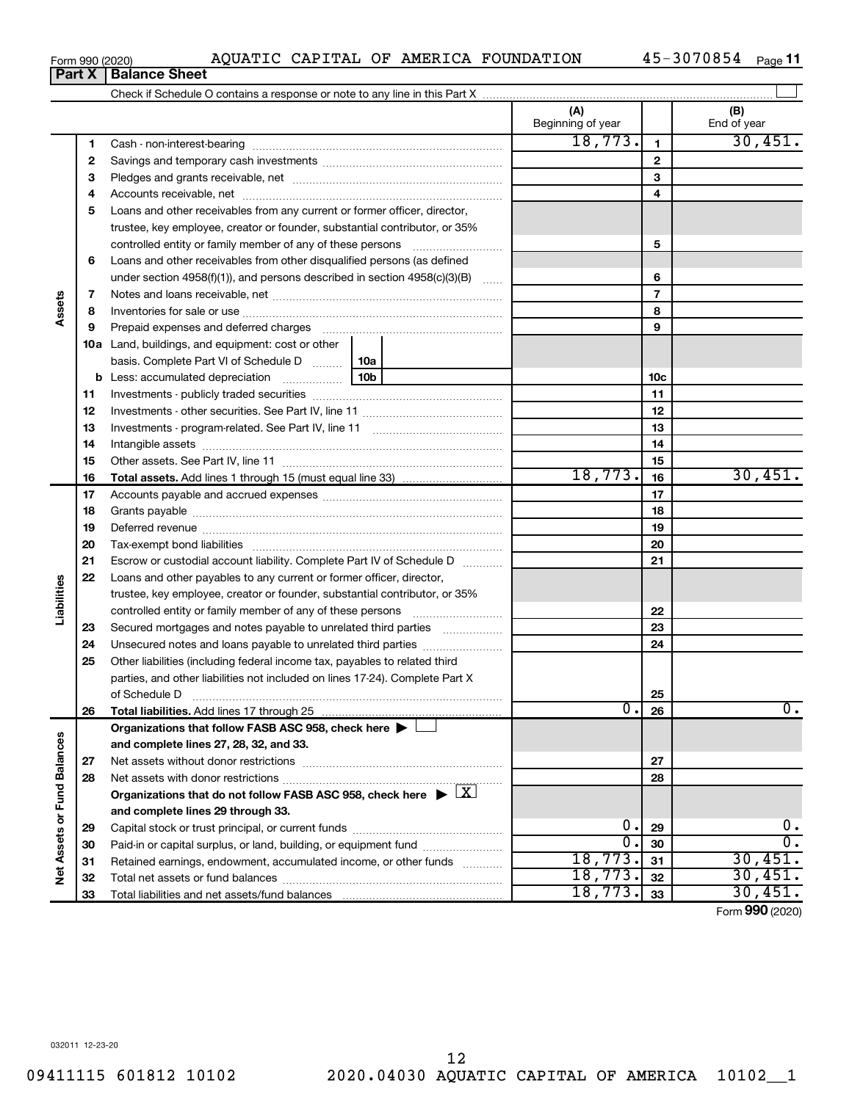|             | 6  | Loans and other receivables from other disqualified persons (as defined                           |    |                  |                 |                  |
|-------------|----|---------------------------------------------------------------------------------------------------|----|------------------|-----------------|------------------|
|             |    | under section 4958(f)(1)), and persons described in section 4958(c)(3)(B)                         |    |                  | 6               |                  |
|             | 7  |                                                                                                   |    |                  | $\overline{7}$  |                  |
| Assets      | 8  |                                                                                                   |    |                  | 8               |                  |
|             | 9  |                                                                                                   |    |                  | 9               |                  |
|             |    | <b>10a</b> Land, buildings, and equipment: cost or other                                          |    |                  |                 |                  |
|             |    | basis. Complete Part VI of Schedule D  [10a                                                       |    |                  |                 |                  |
|             | b  |                                                                                                   |    |                  | 10 <sub>c</sub> |                  |
|             | 11 |                                                                                                   |    |                  | 11              |                  |
|             | 12 |                                                                                                   |    |                  | 12              |                  |
|             | 13 |                                                                                                   |    |                  | 13              |                  |
|             | 14 |                                                                                                   |    |                  | 14              |                  |
|             | 15 |                                                                                                   |    |                  | 15              |                  |
|             | 16 |                                                                                                   |    | 18,773.          | 16              | 30,451.          |
|             | 17 |                                                                                                   |    |                  | 17              |                  |
|             | 18 |                                                                                                   |    |                  | 18              |                  |
|             | 19 |                                                                                                   |    |                  | 19              |                  |
|             | 20 |                                                                                                   |    |                  | 20              |                  |
|             | 21 | Escrow or custodial account liability. Complete Part IV of Schedule D                             |    |                  | 21              |                  |
|             | 22 | Loans and other payables to any current or former officer, director,                              |    |                  |                 |                  |
| Liabilities |    | trustee, key employee, creator or founder, substantial contributor, or 35%                        |    |                  |                 |                  |
|             |    | controlled entity or family member of any of these persons                                        |    |                  | 22              |                  |
|             | 23 | Secured mortgages and notes payable to unrelated third parties                                    |    |                  | 23              |                  |
|             | 24 | Unsecured notes and loans payable to unrelated third parties                                      |    |                  | 24              |                  |
|             | 25 | Other liabilities (including federal income tax, payables to related third                        |    |                  |                 |                  |
|             |    | parties, and other liabilities not included on lines 17-24). Complete Part X                      |    |                  |                 |                  |
|             |    | of Schedule D                                                                                     |    |                  | 25              |                  |
|             | 26 |                                                                                                   |    | $\overline{0}$ . | 26              | $\overline{0}$ . |
|             |    | Organizations that follow FASB ASC 958, check here ▶ I                                            |    |                  |                 |                  |
| lances      |    | and complete lines 27, 28, 32, and 33.                                                            |    |                  |                 |                  |
|             | 27 |                                                                                                   |    |                  | 27              |                  |
|             | 28 |                                                                                                   |    |                  | 28              |                  |
| Fund Ba     |    | Organizations that do not follow FASB ASC 958, check here $\blacktriangleright \lfloor X \rfloor$ |    |                  |                 |                  |
| ò           |    | and complete lines 29 through 33.                                                                 |    |                  |                 |                  |
|             | 29 |                                                                                                   | О. | 29               | 0.              |                  |
| ssets       | 30 | Paid-in or capital surplus, or land, building, or equipment fund                                  |    | $\overline{0}$ . | 30              | $\overline{0}$ . |
| ⋖           | 31 | Retained earnings, endowment, accumulated income, or other funds                                  |    | 18,773.          | 31              | 30,451.          |
|             | 32 |                                                                                                   |    | 18,773.          | 32              | 30,451.          |
|             | 33 | Total liabilities and net assets/fund balances                                                    |    | 18,773.          | 33              | 30,451.          |

Form 990 (2020) Page AQUATIC CAPITAL OF AMERICA FOUNDATION 45-3070854

 Cash - non-interest-bearing ~~~~~~~~~~~~~~~~~~~~~~~~~ Savings and temporary cash investments ~~~~~~~~~~~~~~~~~~ Pledges and grants receivable, net ~~~~~~~~~~~~~~~~~~~~~ Accounts receivable, net ~~~~~~~~~~~~~~~~~~~~~~~~~~ Loans and other receivables from any current or former officer, director,

trustee, key employee, creator or founder, substantial contributor, or 35% controlled entity or family member of any of these persons ~~~~~~~~~

Check if Schedule O contains a response or note to any line in this Part X

**Part X** | **Balance Sheet** 

45-3070854 Page 11

**(A) (B)**

Beginning of year | | End of year

18,773. 1 30,451

**5**

 $\perp$ 

Form (2020) **990**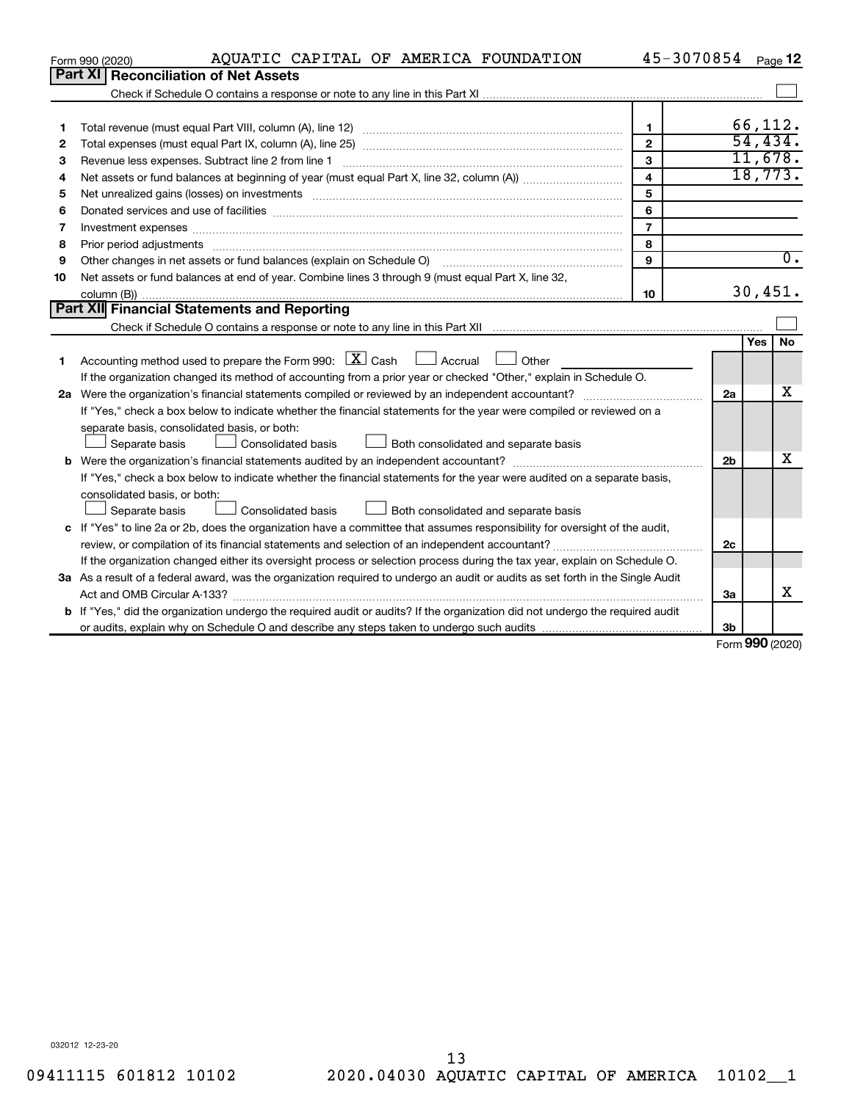|         | AQUATIC CAPITAL OF AMERICA FOUNDATION<br>Form 990 (2020)                                                                        |                         | 45-3070854     |          | Page 12          |
|---------|---------------------------------------------------------------------------------------------------------------------------------|-------------------------|----------------|----------|------------------|
| Part XI | <b>Reconciliation of Net Assets</b>                                                                                             |                         |                |          |                  |
|         |                                                                                                                                 |                         |                |          |                  |
|         |                                                                                                                                 |                         |                |          |                  |
| 1       |                                                                                                                                 | $\mathbf{1}$            |                | 66,112.  |                  |
| 2       |                                                                                                                                 | $\mathbf{2}$            |                | 54, 434. |                  |
| 3       | Revenue less expenses. Subtract line 2 from line 1                                                                              | 3                       |                |          | 11,678.          |
| 4       |                                                                                                                                 | $\overline{\mathbf{A}}$ |                | 18,773.  |                  |
| 5       |                                                                                                                                 | 5                       |                |          |                  |
| 6       |                                                                                                                                 | 6                       |                |          |                  |
| 7       | Investment expenses www.communication.com/www.communication.com/www.communication.com/www.com                                   | $\overline{7}$          |                |          |                  |
| 8       | Prior period adjustments www.communication.communication.communication.com/                                                     | 8                       |                |          |                  |
| 9       | Other changes in net assets or fund balances (explain on Schedule O)                                                            | 9                       |                |          | $\overline{0}$ . |
| 10      | Net assets or fund balances at end of year. Combine lines 3 through 9 (must equal Part X, line 32,                              |                         |                |          |                  |
|         |                                                                                                                                 | 10                      |                | 30,451.  |                  |
|         | Part XII Financial Statements and Reporting                                                                                     |                         |                |          |                  |
|         |                                                                                                                                 |                         |                |          |                  |
|         |                                                                                                                                 |                         |                | Yes      | <b>No</b>        |
| 1       | Accounting method used to prepare the Form 990: $X \subset X$ Cash $\Box$ Accrual $\Box$ Other                                  |                         |                |          |                  |
|         | If the organization changed its method of accounting from a prior year or checked "Other," explain in Schedule O.               |                         |                |          |                  |
|         |                                                                                                                                 |                         | 2a             |          | x                |
|         | If "Yes," check a box below to indicate whether the financial statements for the year were compiled or reviewed on a            |                         |                |          |                  |
|         | separate basis, consolidated basis, or both:                                                                                    |                         |                |          |                  |
|         | Both consolidated and separate basis<br>Separate basis<br>Consolidated basis                                                    |                         |                |          |                  |
|         |                                                                                                                                 |                         | 2 <sub>b</sub> |          | x                |
|         | If "Yes," check a box below to indicate whether the financial statements for the year were audited on a separate basis,         |                         |                |          |                  |
|         | consolidated basis, or both:                                                                                                    |                         |                |          |                  |
|         | Separate basis<br>Consolidated basis<br>Both consolidated and separate basis                                                    |                         |                |          |                  |
|         | c If "Yes" to line 2a or 2b, does the organization have a committee that assumes responsibility for oversight of the audit,     |                         |                |          |                  |
|         |                                                                                                                                 |                         | 2c             |          |                  |
|         | If the organization changed either its oversight process or selection process during the tax year, explain on Schedule O.       |                         |                |          |                  |
|         | 3a As a result of a federal award, was the organization required to undergo an audit or audits as set forth in the Single Audit |                         |                |          |                  |
|         |                                                                                                                                 |                         | За             |          | x                |
|         | b If "Yes," did the organization undergo the required audit or audits? If the organization did not undergo the required audit   |                         |                |          |                  |
|         |                                                                                                                                 |                         | 3b             |          |                  |

Form (2020) **990**

032012 12-23-20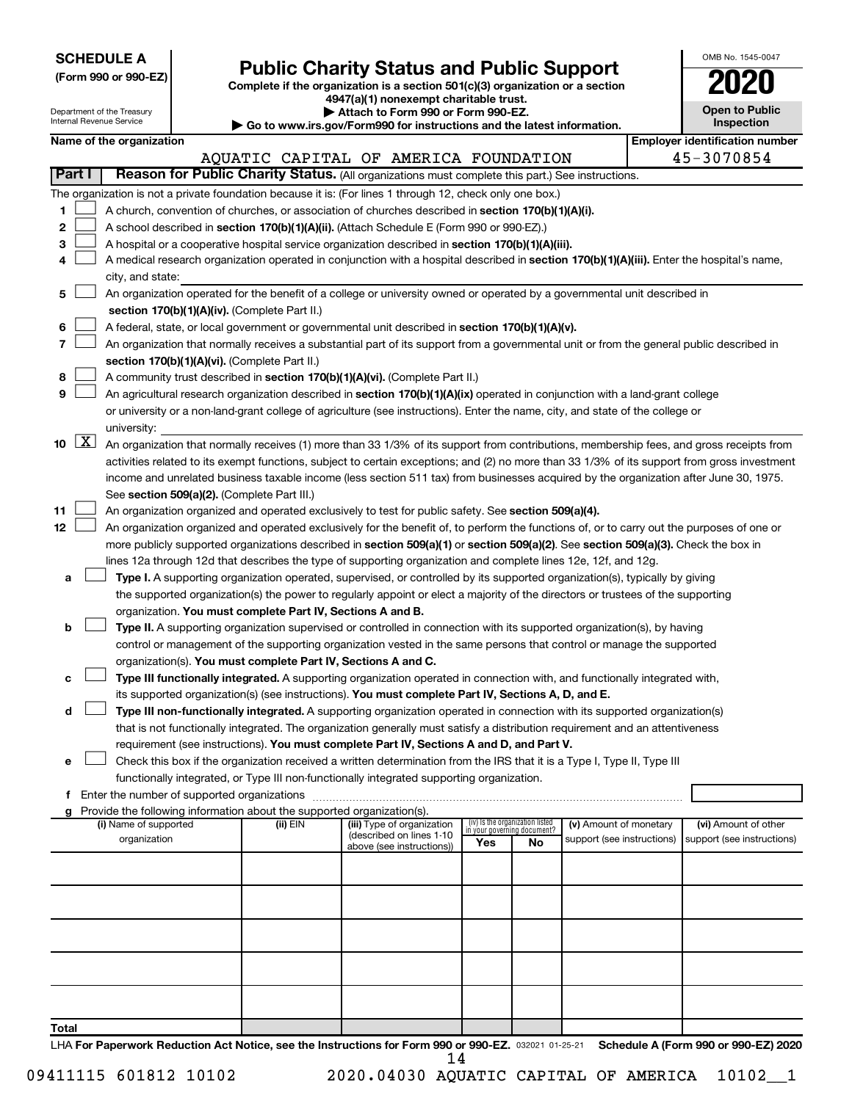|  |  | <b>SCHEDULE A</b> |  |
|--|--|-------------------|--|
|  |  |                   |  |

Form 990 or 990-EZ) **Public Charity Status and Public Support**<br>
Complete if the organization is a section 501(c)(3) organization or a section<br> **2020** 

**4947(a)(1) nonexempt charitable trust.**

| OMB No. 1545-0047                   |
|-------------------------------------|
| 020                                 |
| <b>Open to Public</b><br>Inspection |
|                                     |

 $\Box$ 

|        |                    | Department of the Treasury<br>Internal Revenue Service |                                               |                                                                        | Attach to Form 990 or Form 990-EZ.<br>Go to www.irs.gov/Form990 for instructions and the latest information.                                 |     |                                 |                                                      | <b>Open to Public</b><br>Inspection                |  |
|--------|--------------------|--------------------------------------------------------|-----------------------------------------------|------------------------------------------------------------------------|----------------------------------------------------------------------------------------------------------------------------------------------|-----|---------------------------------|------------------------------------------------------|----------------------------------------------------|--|
|        |                    | Name of the organization                               |                                               |                                                                        |                                                                                                                                              |     |                                 |                                                      | <b>Employer identification number</b>              |  |
|        |                    |                                                        |                                               |                                                                        | AQUATIC CAPITAL OF AMERICA FOUNDATION                                                                                                        |     |                                 |                                                      | 45-3070854                                         |  |
| Part I |                    |                                                        |                                               |                                                                        | Reason for Public Charity Status. (All organizations must complete this part.) See instructions.                                             |     |                                 |                                                      |                                                    |  |
|        |                    |                                                        |                                               |                                                                        | The organization is not a private foundation because it is: (For lines 1 through 12, check only one box.)                                    |     |                                 |                                                      |                                                    |  |
| 1      |                    |                                                        |                                               |                                                                        | A church, convention of churches, or association of churches described in section 170(b)(1)(A)(i).                                           |     |                                 |                                                      |                                                    |  |
| 2      |                    |                                                        |                                               |                                                                        | A school described in section 170(b)(1)(A)(ii). (Attach Schedule E (Form 990 or 990-EZ).)                                                    |     |                                 |                                                      |                                                    |  |
| з      |                    |                                                        |                                               |                                                                        | A hospital or a cooperative hospital service organization described in section 170(b)(1)(A)(iii).                                            |     |                                 |                                                      |                                                    |  |
| 4      |                    |                                                        |                                               |                                                                        | A medical research organization operated in conjunction with a hospital described in section 170(b)(1)(A)(iii). Enter the hospital's name,   |     |                                 |                                                      |                                                    |  |
|        |                    | city, and state:                                       |                                               |                                                                        |                                                                                                                                              |     |                                 |                                                      |                                                    |  |
| 5      |                    |                                                        |                                               |                                                                        | An organization operated for the benefit of a college or university owned or operated by a governmental unit described in                    |     |                                 |                                                      |                                                    |  |
|        |                    |                                                        |                                               | section 170(b)(1)(A)(iv). (Complete Part II.)                          |                                                                                                                                              |     |                                 |                                                      |                                                    |  |
| 6      |                    |                                                        |                                               |                                                                        | A federal, state, or local government or governmental unit described in section 170(b)(1)(A)(v).                                             |     |                                 |                                                      |                                                    |  |
| 7      |                    |                                                        |                                               |                                                                        | An organization that normally receives a substantial part of its support from a governmental unit or from the general public described in    |     |                                 |                                                      |                                                    |  |
|        |                    |                                                        |                                               | section 170(b)(1)(A)(vi). (Complete Part II.)                          |                                                                                                                                              |     |                                 |                                                      |                                                    |  |
| 8      |                    |                                                        |                                               |                                                                        | A community trust described in section 170(b)(1)(A)(vi). (Complete Part II.)                                                                 |     |                                 |                                                      |                                                    |  |
| 9      |                    |                                                        |                                               |                                                                        | An agricultural research organization described in section 170(b)(1)(A)(ix) operated in conjunction with a land-grant college                |     |                                 |                                                      |                                                    |  |
|        |                    |                                                        |                                               |                                                                        | or university or a non-land-grant college of agriculture (see instructions). Enter the name, city, and state of the college or               |     |                                 |                                                      |                                                    |  |
|        |                    | university:                                            |                                               |                                                                        |                                                                                                                                              |     |                                 |                                                      |                                                    |  |
| 10     | $\boxed{\text{X}}$ |                                                        |                                               |                                                                        | An organization that normally receives (1) more than 33 1/3% of its support from contributions, membership fees, and gross receipts from     |     |                                 |                                                      |                                                    |  |
|        |                    |                                                        |                                               |                                                                        | activities related to its exempt functions, subject to certain exceptions; and (2) no more than 33 1/3% of its support from gross investment |     |                                 |                                                      |                                                    |  |
|        |                    |                                                        |                                               |                                                                        | income and unrelated business taxable income (less section 511 tax) from businesses acquired by the organization after June 30, 1975.        |     |                                 |                                                      |                                                    |  |
|        |                    |                                                        |                                               | See section 509(a)(2). (Complete Part III.)                            |                                                                                                                                              |     |                                 |                                                      |                                                    |  |
| 11     |                    |                                                        |                                               |                                                                        | An organization organized and operated exclusively to test for public safety. See section 509(a)(4).                                         |     |                                 |                                                      |                                                    |  |
| 12     |                    |                                                        |                                               |                                                                        | An organization organized and operated exclusively for the benefit of, to perform the functions of, or to carry out the purposes of one or   |     |                                 |                                                      |                                                    |  |
|        |                    |                                                        |                                               |                                                                        | more publicly supported organizations described in section 509(a)(1) or section 509(a)(2). See section 509(a)(3). Check the box in           |     |                                 |                                                      |                                                    |  |
|        |                    |                                                        |                                               |                                                                        | lines 12a through 12d that describes the type of supporting organization and complete lines 12e, 12f, and 12g.                               |     |                                 |                                                      |                                                    |  |
| а      |                    |                                                        |                                               |                                                                        | Type I. A supporting organization operated, supervised, or controlled by its supported organization(s), typically by giving                  |     |                                 |                                                      |                                                    |  |
|        |                    |                                                        |                                               |                                                                        | the supported organization(s) the power to regularly appoint or elect a majority of the directors or trustees of the supporting              |     |                                 |                                                      |                                                    |  |
|        |                    |                                                        |                                               | organization. You must complete Part IV, Sections A and B.             |                                                                                                                                              |     |                                 |                                                      |                                                    |  |
| b      |                    |                                                        |                                               |                                                                        | Type II. A supporting organization supervised or controlled in connection with its supported organization(s), by having                      |     |                                 |                                                      |                                                    |  |
|        |                    |                                                        |                                               |                                                                        | control or management of the supporting organization vested in the same persons that control or manage the supported                         |     |                                 |                                                      |                                                    |  |
|        |                    |                                                        |                                               | organization(s). You must complete Part IV, Sections A and C.          |                                                                                                                                              |     |                                 |                                                      |                                                    |  |
| с      |                    |                                                        |                                               |                                                                        | Type III functionally integrated. A supporting organization operated in connection with, and functionally integrated with,                   |     |                                 |                                                      |                                                    |  |
|        |                    |                                                        |                                               |                                                                        | its supported organization(s) (see instructions). You must complete Part IV, Sections A, D, and E.                                           |     |                                 |                                                      |                                                    |  |
| d      |                    |                                                        |                                               |                                                                        | Type III non-functionally integrated. A supporting organization operated in connection with its supported organization(s)                    |     |                                 |                                                      |                                                    |  |
|        |                    |                                                        |                                               |                                                                        | that is not functionally integrated. The organization generally must satisfy a distribution requirement and an attentiveness                 |     |                                 |                                                      |                                                    |  |
|        |                    |                                                        |                                               |                                                                        | requirement (see instructions). You must complete Part IV, Sections A and D, and Part V.                                                     |     |                                 |                                                      |                                                    |  |
| е      |                    |                                                        |                                               |                                                                        | Check this box if the organization received a written determination from the IRS that it is a Type I, Type II, Type III                      |     |                                 |                                                      |                                                    |  |
|        |                    |                                                        |                                               |                                                                        | functionally integrated, or Type III non-functionally integrated supporting organization.                                                    |     |                                 |                                                      |                                                    |  |
|        |                    |                                                        | f Enter the number of supported organizations |                                                                        |                                                                                                                                              |     |                                 |                                                      |                                                    |  |
| g      |                    |                                                        |                                               | Provide the following information about the supported organization(s). |                                                                                                                                              |     | (iv) Is the organization listed |                                                      |                                                    |  |
|        |                    | (i) Name of supported<br>organization                  |                                               | (ii) EIN                                                               | (iii) Type of organization<br>(described on lines 1-10                                                                                       |     | in your governing document?     | (v) Amount of monetary<br>support (see instructions) | (vi) Amount of other<br>support (see instructions) |  |
|        |                    |                                                        |                                               |                                                                        | above (see instructions))                                                                                                                    | Yes | No                              |                                                      |                                                    |  |
|        |                    |                                                        |                                               |                                                                        |                                                                                                                                              |     |                                 |                                                      |                                                    |  |
|        |                    |                                                        |                                               |                                                                        |                                                                                                                                              |     |                                 |                                                      |                                                    |  |
|        |                    |                                                        |                                               |                                                                        |                                                                                                                                              |     |                                 |                                                      |                                                    |  |
|        |                    |                                                        |                                               |                                                                        |                                                                                                                                              |     |                                 |                                                      |                                                    |  |
|        |                    |                                                        |                                               |                                                                        |                                                                                                                                              |     |                                 |                                                      |                                                    |  |
|        |                    |                                                        |                                               |                                                                        |                                                                                                                                              |     |                                 |                                                      |                                                    |  |
|        |                    |                                                        |                                               |                                                                        |                                                                                                                                              |     |                                 |                                                      |                                                    |  |
|        |                    |                                                        |                                               |                                                                        |                                                                                                                                              |     |                                 |                                                      |                                                    |  |
|        |                    |                                                        |                                               |                                                                        |                                                                                                                                              |     |                                 |                                                      |                                                    |  |
| Total  |                    |                                                        |                                               |                                                                        |                                                                                                                                              |     |                                 |                                                      |                                                    |  |
|        |                    |                                                        |                                               |                                                                        |                                                                                                                                              |     |                                 |                                                      |                                                    |  |

LHA For Paperwork Reduction Act Notice, see the Instructions for Form 990 or 990-EZ. 032021 01-25-21 Schedule A (Form 990 or 990-EZ) 2020 14

09411115 601812 10102 2020.04030 AQUATIC CAPITAL OF AMERICA 10102\_\_1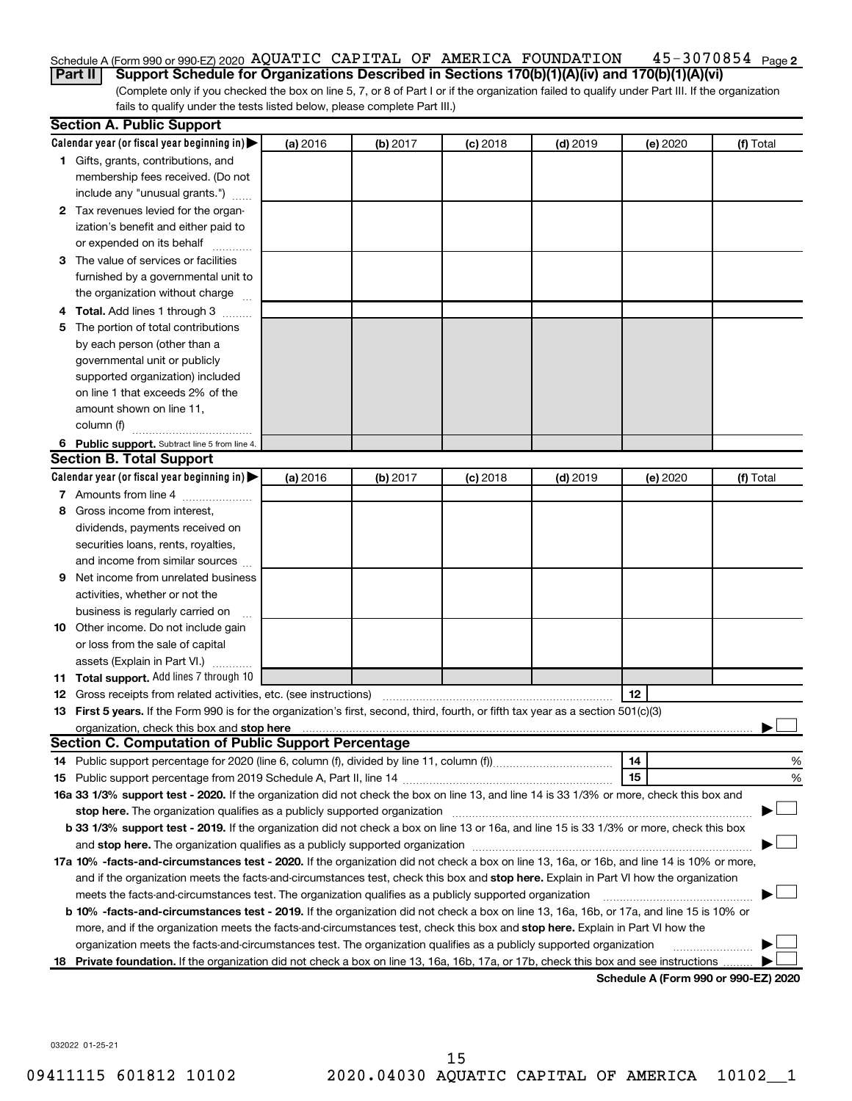### 45-3070854 Page 2 Schedule A (Form 990 or 990-EZ) 2020 AQUATIC CAPITAL OF AMERICA FOUNDATION  $\,$  45-3070854  $\,$   $_{\rm Page}$

(Complete only if you checked the box on line 5, 7, or 8 of Part I or if the organization failed to qualify under Part III. If the organization fails to qualify under the tests listed below, please complete Part III.) **Part II Support Schedule for Organizations Described in Sections 170(b)(1)(A)(iv) and 170(b)(1)(A)(vi)**

|    | <b>Section A. Public Support</b>                                                                                                               |          |          |            |            |                                      |           |
|----|------------------------------------------------------------------------------------------------------------------------------------------------|----------|----------|------------|------------|--------------------------------------|-----------|
|    | Calendar year (or fiscal year beginning in) $\blacktriangleright$                                                                              | (a) 2016 | (b) 2017 | $(c)$ 2018 | $(d)$ 2019 | (e) 2020                             | (f) Total |
|    | 1 Gifts, grants, contributions, and                                                                                                            |          |          |            |            |                                      |           |
|    | membership fees received. (Do not                                                                                                              |          |          |            |            |                                      |           |
|    | include any "unusual grants.")                                                                                                                 |          |          |            |            |                                      |           |
|    | 2 Tax revenues levied for the organ-                                                                                                           |          |          |            |            |                                      |           |
|    | ization's benefit and either paid to                                                                                                           |          |          |            |            |                                      |           |
|    | or expended on its behalf                                                                                                                      |          |          |            |            |                                      |           |
|    | 3 The value of services or facilities                                                                                                          |          |          |            |            |                                      |           |
|    | furnished by a governmental unit to                                                                                                            |          |          |            |            |                                      |           |
|    | the organization without charge                                                                                                                |          |          |            |            |                                      |           |
|    | 4 Total. Add lines 1 through 3                                                                                                                 |          |          |            |            |                                      |           |
| 5. | The portion of total contributions                                                                                                             |          |          |            |            |                                      |           |
|    | by each person (other than a                                                                                                                   |          |          |            |            |                                      |           |
|    | governmental unit or publicly                                                                                                                  |          |          |            |            |                                      |           |
|    | supported organization) included                                                                                                               |          |          |            |            |                                      |           |
|    | on line 1 that exceeds 2% of the                                                                                                               |          |          |            |            |                                      |           |
|    | amount shown on line 11,                                                                                                                       |          |          |            |            |                                      |           |
|    | column (f)                                                                                                                                     |          |          |            |            |                                      |           |
|    | 6 Public support. Subtract line 5 from line 4.                                                                                                 |          |          |            |            |                                      |           |
|    | <b>Section B. Total Support</b>                                                                                                                |          |          |            |            |                                      |           |
|    | Calendar year (or fiscal year beginning in)                                                                                                    | (a) 2016 | (b) 2017 | $(c)$ 2018 | $(d)$ 2019 | (e) 2020                             | (f) Total |
|    | 7 Amounts from line 4                                                                                                                          |          |          |            |            |                                      |           |
| 8  | Gross income from interest,                                                                                                                    |          |          |            |            |                                      |           |
|    | dividends, payments received on                                                                                                                |          |          |            |            |                                      |           |
|    | securities loans, rents, royalties,                                                                                                            |          |          |            |            |                                      |           |
|    | and income from similar sources                                                                                                                |          |          |            |            |                                      |           |
|    | <b>9</b> Net income from unrelated business                                                                                                    |          |          |            |            |                                      |           |
|    | activities, whether or not the                                                                                                                 |          |          |            |            |                                      |           |
|    | business is regularly carried on                                                                                                               |          |          |            |            |                                      |           |
|    | 10 Other income. Do not include gain                                                                                                           |          |          |            |            |                                      |           |
|    | or loss from the sale of capital                                                                                                               |          |          |            |            |                                      |           |
|    | assets (Explain in Part VI.)                                                                                                                   |          |          |            |            |                                      |           |
|    | 11 Total support. Add lines 7 through 10                                                                                                       |          |          |            |            |                                      |           |
|    | <b>12</b> Gross receipts from related activities, etc. (see instructions)                                                                      |          |          |            |            | 12                                   |           |
|    | 13 First 5 years. If the Form 990 is for the organization's first, second, third, fourth, or fifth tax year as a section 501(c)(3)             |          |          |            |            |                                      |           |
|    |                                                                                                                                                |          |          |            |            |                                      |           |
|    | Section C. Computation of Public Support Percentage                                                                                            |          |          |            |            |                                      |           |
|    |                                                                                                                                                |          |          |            |            | 14                                   | %         |
|    |                                                                                                                                                |          |          |            |            | 15                                   | %         |
|    | 16a 33 1/3% support test - 2020. If the organization did not check the box on line 13, and line 14 is 33 1/3% or more, check this box and      |          |          |            |            |                                      |           |
|    | stop here. The organization qualifies as a publicly supported organization                                                                     |          |          |            |            |                                      |           |
|    | b 33 1/3% support test - 2019. If the organization did not check a box on line 13 or 16a, and line 15 is 33 1/3% or more, check this box       |          |          |            |            |                                      |           |
|    |                                                                                                                                                |          |          |            |            |                                      |           |
|    | 17a 10% -facts-and-circumstances test - 2020. If the organization did not check a box on line 13, 16a, or 16b, and line 14 is 10% or more,     |          |          |            |            |                                      |           |
|    | and if the organization meets the facts-and-circumstances test, check this box and stop here. Explain in Part VI how the organization          |          |          |            |            |                                      |           |
|    | meets the facts-and-circumstances test. The organization qualifies as a publicly supported organization                                        |          |          |            |            |                                      |           |
|    | <b>b 10%</b> -facts-and-circumstances test - 2019. If the organization did not check a box on line 13, 16a, 16b, or 17a, and line 15 is 10% or |          |          |            |            |                                      |           |
|    | more, and if the organization meets the facts-and-circumstances test, check this box and stop here. Explain in Part VI how the                 |          |          |            |            |                                      |           |
|    | organization meets the facts-and-circumstances test. The organization qualifies as a publicly supported organization                           |          |          |            |            |                                      |           |
|    | 18 Private foundation. If the organization did not check a box on line 13, 16a, 16b, 17a, or 17b, check this box and see instructions          |          |          |            |            |                                      |           |
|    |                                                                                                                                                |          |          |            |            | Schedule A (Form 990 or 990-F7) 2020 |           |

**Schedule A (Form 990 or 990-EZ) 2020**

032022 01-25-21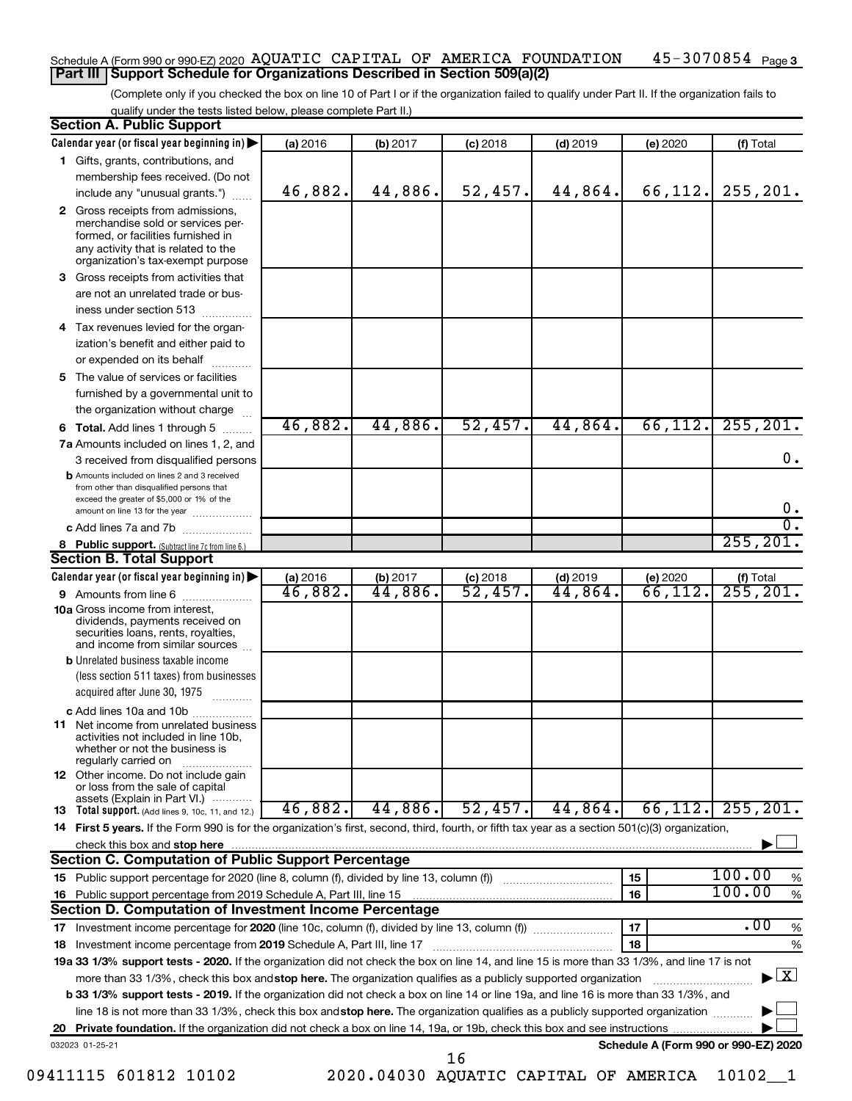### $45 - 3070854$  Page 3 Schedule A (Form 990 or 990-EZ) 2020 AQUATIC CAPITAL OF AMERICA FOUNDATION  $\,$  45-3070854  $\,$   $_{\rm Page}$ **Part III Support Schedule for Organizations Described in Section 509(a)(2)**

(Complete only if you checked the box on line 10 of Part I or if the organization failed to qualify under Part II. If the organization fails to qualify under the tests listed below, please complete Part II.)

| <b>Section A. Public Support</b>                                                                                                                                                         |          |          |                        |            |                                      |                                          |
|------------------------------------------------------------------------------------------------------------------------------------------------------------------------------------------|----------|----------|------------------------|------------|--------------------------------------|------------------------------------------|
| Calendar year (or fiscal year beginning in)                                                                                                                                              | (a) 2016 | (b) 2017 | $(c)$ 2018             | $(d)$ 2019 | (e) 2020                             | (f) Total                                |
| 1 Gifts, grants, contributions, and                                                                                                                                                      |          |          |                        |            |                                      |                                          |
| membership fees received. (Do not                                                                                                                                                        |          |          |                        |            |                                      |                                          |
| include any "unusual grants.")                                                                                                                                                           | 46,882.  | 44,886.  | 52,457.                | 44,864.    | 66,112.                              | 255, 201.                                |
| 2 Gross receipts from admissions,<br>merchandise sold or services per-<br>formed, or facilities furnished in<br>any activity that is related to the<br>organization's tax-exempt purpose |          |          |                        |            |                                      |                                          |
| 3 Gross receipts from activities that                                                                                                                                                    |          |          |                        |            |                                      |                                          |
| are not an unrelated trade or bus-                                                                                                                                                       |          |          |                        |            |                                      |                                          |
| iness under section 513                                                                                                                                                                  |          |          |                        |            |                                      |                                          |
| 4 Tax revenues levied for the organ-                                                                                                                                                     |          |          |                        |            |                                      |                                          |
| ization's benefit and either paid to                                                                                                                                                     |          |          |                        |            |                                      |                                          |
| or expended on its behalf                                                                                                                                                                |          |          |                        |            |                                      |                                          |
| 5 The value of services or facilities                                                                                                                                                    |          |          |                        |            |                                      |                                          |
| furnished by a governmental unit to                                                                                                                                                      |          |          |                        |            |                                      |                                          |
| the organization without charge                                                                                                                                                          |          |          |                        |            |                                      |                                          |
| 6 Total. Add lines 1 through 5                                                                                                                                                           | 46,882.  | 44,886.  | 52,457.                | 44,864.    | 66, 112.                             | 255, 201.                                |
| 7a Amounts included on lines 1, 2, and                                                                                                                                                   |          |          |                        |            |                                      |                                          |
| 3 received from disqualified persons                                                                                                                                                     |          |          |                        |            |                                      | 0.                                       |
| <b>b</b> Amounts included on lines 2 and 3 received<br>from other than disqualified persons that<br>exceed the greater of \$5,000 or 1% of the                                           |          |          |                        |            |                                      |                                          |
| amount on line 13 for the year                                                                                                                                                           |          |          |                        |            |                                      | $0 \cdot$<br>σ.                          |
| c Add lines 7a and 7b                                                                                                                                                                    |          |          |                        |            |                                      | 255, 201.                                |
| 8 Public support. (Subtract line 7c from line 6.)<br><b>Section B. Total Support</b>                                                                                                     |          |          |                        |            |                                      |                                          |
| Calendar year (or fiscal year beginning in)                                                                                                                                              | (a) 2016 | (b) 2017 | $(c)$ 2018             | $(d)$ 2019 | (e) 2020                             |                                          |
| 9 Amounts from line 6                                                                                                                                                                    | 46,882.  | 44,886.  | $\overline{52}$ , 457. | 44,864.    | 66,112.                              | (f) Total<br>$\overline{255}$ , 201.     |
| <b>10a</b> Gross income from interest,<br>dividends, payments received on<br>securities loans, rents, royalties,<br>and income from similar sources                                      |          |          |                        |            |                                      |                                          |
| <b>b</b> Unrelated business taxable income                                                                                                                                               |          |          |                        |            |                                      |                                          |
| (less section 511 taxes) from businesses                                                                                                                                                 |          |          |                        |            |                                      |                                          |
| acquired after June 30, 1975                                                                                                                                                             |          |          |                        |            |                                      |                                          |
| c Add lines 10a and 10b                                                                                                                                                                  |          |          |                        |            |                                      |                                          |
| <b>11</b> Net income from unrelated business<br>activities not included in line 10b,<br>whether or not the business is<br>regularly carried on                                           |          |          |                        |            |                                      |                                          |
| <b>12</b> Other income. Do not include gain<br>or loss from the sale of capital<br>assets (Explain in Part VI.)                                                                          |          |          |                        |            |                                      |                                          |
| <b>13</b> Total support. (Add lines 9, 10c, 11, and 12.)                                                                                                                                 | 46,882.  | 44,886.  | 52,457.                | 44,864.    | 66, 112.                             | 255, 201.                                |
| 14 First 5 years. If the Form 990 is for the organization's first, second, third, fourth, or fifth tax year as a section 501(c)(3) organization,                                         |          |          |                        |            |                                      |                                          |
| check this box and stop here                                                                                                                                                             |          |          |                        |            |                                      |                                          |
| <b>Section C. Computation of Public Support Percentage</b>                                                                                                                               |          |          |                        |            |                                      |                                          |
| 15 Public support percentage for 2020 (line 8, column (f), divided by line 13, column (f) <i></i>                                                                                        |          |          |                        |            | 15                                   | 100.00<br>%                              |
| 16 Public support percentage from 2019 Schedule A, Part III, line 15                                                                                                                     |          |          |                        |            | 16                                   | 100.00<br>$\%$                           |
| Section D. Computation of Investment Income Percentage                                                                                                                                   |          |          |                        |            |                                      |                                          |
|                                                                                                                                                                                          |          |          |                        |            | 17                                   | $\overline{.00}$<br>$\%$                 |
| 18 Investment income percentage from 2019 Schedule A, Part III, line 17                                                                                                                  |          |          |                        |            | 18                                   | $\%$                                     |
| 19a 33 1/3% support tests - 2020. If the organization did not check the box on line 14, and line 15 is more than 33 1/3%, and line 17 is not                                             |          |          |                        |            |                                      |                                          |
| more than 33 1/3%, check this box and stop here. The organization qualifies as a publicly supported organization                                                                         |          |          |                        |            |                                      | $\blacktriangleright$ $\boxed{\text{X}}$ |
| <b>b 33 1/3% support tests - 2019.</b> If the organization did not check a box on line 14 or line 19a, and line 16 is more than 33 1/3%, and                                             |          |          |                        |            |                                      |                                          |
| line 18 is not more than 33 1/3%, check this box and stop here. The organization qualifies as a publicly supported organization                                                          |          |          |                        |            |                                      |                                          |
|                                                                                                                                                                                          |          |          |                        |            |                                      |                                          |
| 032023 01-25-21                                                                                                                                                                          |          |          | 16                     |            | Schedule A (Form 990 or 990-EZ) 2020 |                                          |

09411115 601812 10102 2020.04030 AQUATIC CAPITAL OF AMERICA 10102\_\_1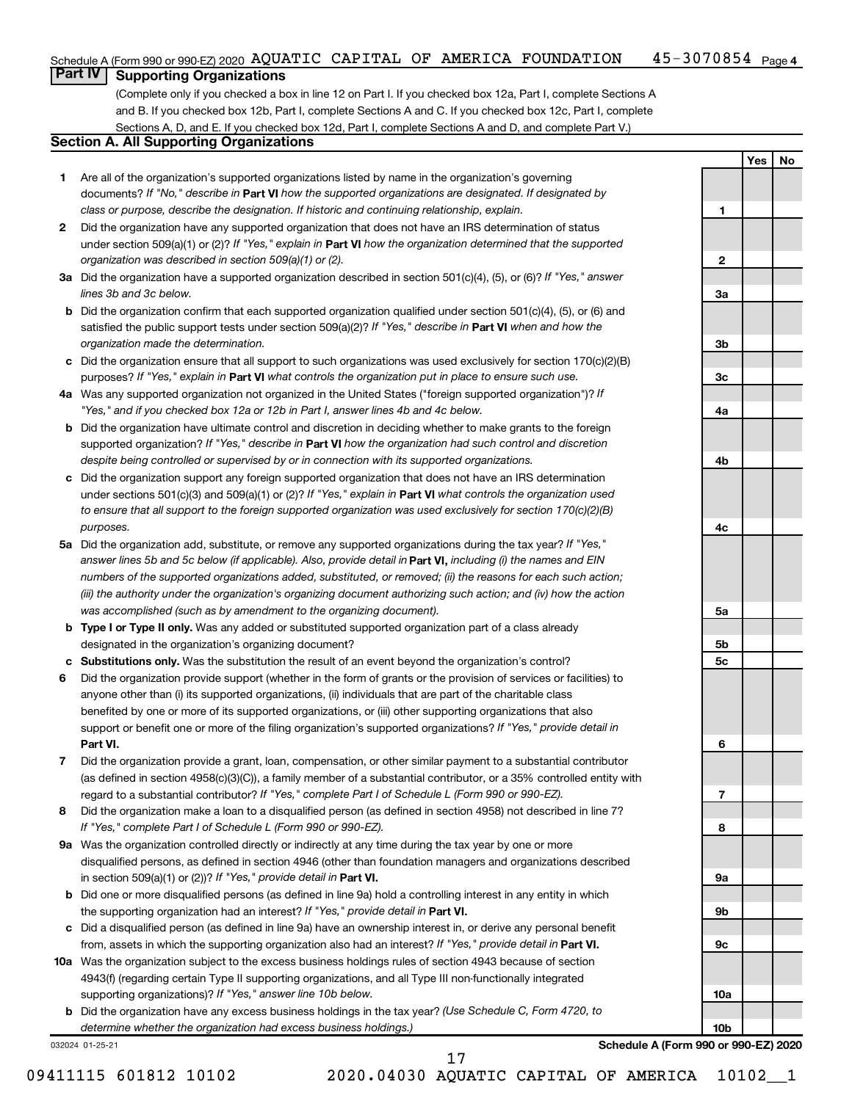#### $45 - 3070854$  Page 4 Schedule A (Form 990 or 990-EZ) 2020 AQUATIC CAPITAL OF AMERICA FOUNDATION  $\,$  45-3070854  $\,$   $_{\rm Page}$

## **Part IV Supporting Organizations**

(Complete only if you checked a box in line 12 on Part I. If you checked box 12a, Part I, complete Sections A and B. If you checked box 12b, Part I, complete Sections A and C. If you checked box 12c, Part I, complete Sections A, D, and E. If you checked box 12d, Part I, complete Sections A and D, and complete Part V.)

### **Section A. All Supporting Organizations**

- **1** Are all of the organization's supported organizations listed by name in the organization's governing documents? If "No," describe in Part VI how the supported organizations are designated. If designated by *class or purpose, describe the designation. If historic and continuing relationship, explain.*
- **2** Did the organization have any supported organization that does not have an IRS determination of status under section 509(a)(1) or (2)? If "Yes," explain in Part **VI** how the organization determined that the supported *organization was described in section 509(a)(1) or (2).*
- **3a** Did the organization have a supported organization described in section 501(c)(4), (5), or (6)? If "Yes," answer *lines 3b and 3c below.*
- **b** Did the organization confirm that each supported organization qualified under section 501(c)(4), (5), or (6) and satisfied the public support tests under section 509(a)(2)? If "Yes," describe in Part VI when and how the *organization made the determination.*
- **c** Did the organization ensure that all support to such organizations was used exclusively for section 170(c)(2)(B) purposes? If "Yes," explain in Part VI what controls the organization put in place to ensure such use.
- **4 a** *If* Was any supported organization not organized in the United States ("foreign supported organization")? *"Yes," and if you checked box 12a or 12b in Part I, answer lines 4b and 4c below.*
- **b** Did the organization have ultimate control and discretion in deciding whether to make grants to the foreign supported organization? If "Yes," describe in Part VI how the organization had such control and discretion *despite being controlled or supervised by or in connection with its supported organizations.*
- **c** Did the organization support any foreign supported organization that does not have an IRS determination under sections 501(c)(3) and 509(a)(1) or (2)? If "Yes," explain in Part VI what controls the organization used *to ensure that all support to the foreign supported organization was used exclusively for section 170(c)(2)(B) purposes.*
- **5a** Did the organization add, substitute, or remove any supported organizations during the tax year? If "Yes," answer lines 5b and 5c below (if applicable). Also, provide detail in **Part VI,** including (i) the names and EIN *numbers of the supported organizations added, substituted, or removed; (ii) the reasons for each such action; (iii) the authority under the organization's organizing document authorizing such action; and (iv) how the action was accomplished (such as by amendment to the organizing document).*
- **b Type I or Type II only.** Was any added or substituted supported organization part of a class already designated in the organization's organizing document?
- **c Substitutions only.**  Was the substitution the result of an event beyond the organization's control?
- **6** Did the organization provide support (whether in the form of grants or the provision of services or facilities) to **Part VI.** support or benefit one or more of the filing organization's supported organizations? If "Yes," provide detail in anyone other than (i) its supported organizations, (ii) individuals that are part of the charitable class benefited by one or more of its supported organizations, or (iii) other supporting organizations that also
- **7** Did the organization provide a grant, loan, compensation, or other similar payment to a substantial contributor regard to a substantial contributor? If "Yes," complete Part I of Schedule L (Form 990 or 990-EZ). (as defined in section 4958(c)(3)(C)), a family member of a substantial contributor, or a 35% controlled entity with
- **8** Did the organization make a loan to a disqualified person (as defined in section 4958) not described in line 7? *If "Yes," complete Part I of Schedule L (Form 990 or 990-EZ).*
- **9 a** Was the organization controlled directly or indirectly at any time during the tax year by one or more in section 509(a)(1) or (2))? If "Yes," provide detail in **Part VI.** disqualified persons, as defined in section 4946 (other than foundation managers and organizations described
- **b** Did one or more disqualified persons (as defined in line 9a) hold a controlling interest in any entity in which the supporting organization had an interest? If "Yes," provide detail in Part VI.
- **c** Did a disqualified person (as defined in line 9a) have an ownership interest in, or derive any personal benefit from, assets in which the supporting organization also had an interest? If "Yes," provide detail in Part VI.
- **10 a** Was the organization subject to the excess business holdings rules of section 4943 because of section supporting organizations)? If "Yes," answer line 10b below. 4943(f) (regarding certain Type II supporting organizations, and all Type III non-functionally integrated
	- **b** Did the organization have any excess business holdings in the tax year? (Use Schedule C, Form 4720, to *determine whether the organization had excess business holdings.)*

032024 01-25-21

**Schedule A (Form 990 or 990-EZ) 2020**

**Yes No**

**1**

**2**

**3a**

**3b**

**3c**

**4a**

**4b**

**4c**

**5a**

**5b 5c**

**6**

**7**

**8**

**9a**

**9b**

**9c**

**10a**

**10b**

09411115 601812 10102 2020.04030 AQUATIC CAPITAL OF AMERICA 10102\_\_1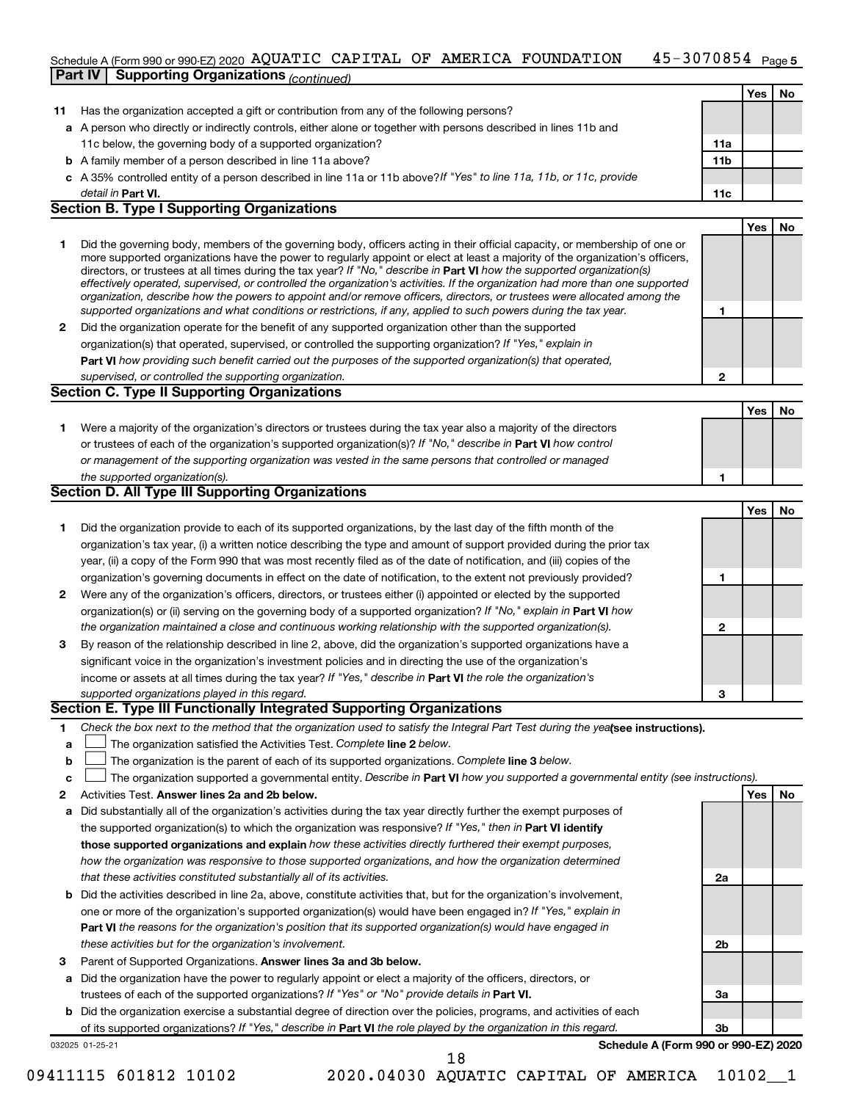### $45 - 3070854$  Page 5 Schedule A (Form 990 or 990-EZ) 2020 AQUATIC CAPITAL OF AMERICA FOUNDATION  $\,$  45-3070854  $\,$   $_{\rm Page}$

|    | <b>Part IV   Supporting Organizations (CONTING)</b>                                                                                                                                                                                                         |     |     |    |
|----|-------------------------------------------------------------------------------------------------------------------------------------------------------------------------------------------------------------------------------------------------------------|-----|-----|----|
|    |                                                                                                                                                                                                                                                             |     | Yes | No |
| 11 | Has the organization accepted a gift or contribution from any of the following persons?                                                                                                                                                                     |     |     |    |
|    | a A person who directly or indirectly controls, either alone or together with persons described in lines 11b and                                                                                                                                            |     |     |    |
|    | 11c below, the governing body of a supported organization?                                                                                                                                                                                                  | 11a |     |    |
|    | <b>b</b> A family member of a person described in line 11a above?                                                                                                                                                                                           | 11b |     |    |
|    | c A 35% controlled entity of a person described in line 11a or 11b above?If "Yes" to line 11a, 11b, or 11c, provide                                                                                                                                         |     |     |    |
|    | detail in Part VI.                                                                                                                                                                                                                                          | 11c |     |    |
|    | <b>Section B. Type I Supporting Organizations</b>                                                                                                                                                                                                           |     |     |    |
|    |                                                                                                                                                                                                                                                             |     | Yes | No |
| 1  | Did the governing body, members of the governing body, officers acting in their official capacity, or membership of one or<br>more supported organizations have the power to regularly appoint or elect at least a majority of the organization's officers, |     |     |    |
|    | directors, or trustees at all times during the tax year? If "No," describe in Part VI how the supported organization(s)<br>effectively operated, supervised, or controlled the organization's activities. If the organization had more than one supported   |     |     |    |
|    | organization, describe how the powers to appoint and/or remove officers, directors, or trustees were allocated among the<br>supported organizations and what conditions or restrictions, if any, applied to such powers during the tax year.                | 1   |     |    |
| 2  | Did the organization operate for the benefit of any supported organization other than the supported                                                                                                                                                         |     |     |    |
|    | organization(s) that operated, supervised, or controlled the supporting organization? If "Yes," explain in                                                                                                                                                  |     |     |    |
|    | Part VI how providing such benefit carried out the purposes of the supported organization(s) that operated,                                                                                                                                                 |     |     |    |
|    | supervised, or controlled the supporting organization.                                                                                                                                                                                                      | 2   |     |    |
|    | <b>Section C. Type II Supporting Organizations</b>                                                                                                                                                                                                          |     |     |    |
|    |                                                                                                                                                                                                                                                             |     | Yes | No |
| 1. | Were a majority of the organization's directors or trustees during the tax year also a majority of the directors                                                                                                                                            |     |     |    |
|    | or trustees of each of the organization's supported organization(s)? If "No," describe in Part VI how control                                                                                                                                               |     |     |    |
|    | or management of the supporting organization was vested in the same persons that controlled or managed                                                                                                                                                      |     |     |    |
|    | the supported organization(s).                                                                                                                                                                                                                              | 1   |     |    |
|    | Section D. All Type III Supporting Organizations                                                                                                                                                                                                            |     |     |    |
|    |                                                                                                                                                                                                                                                             |     | Yes | No |
| 1  | Did the organization provide to each of its supported organizations, by the last day of the fifth month of the                                                                                                                                              |     |     |    |
|    | organization's tax year, (i) a written notice describing the type and amount of support provided during the prior tax                                                                                                                                       |     |     |    |
|    | year, (ii) a copy of the Form 990 that was most recently filed as of the date of notification, and (iii) copies of the                                                                                                                                      |     |     |    |
|    | organization's governing documents in effect on the date of notification, to the extent not previously provided?                                                                                                                                            | 1   |     |    |
| 2  | Were any of the organization's officers, directors, or trustees either (i) appointed or elected by the supported                                                                                                                                            |     |     |    |
|    | organization(s) or (ii) serving on the governing body of a supported organization? If "No," explain in Part VI how                                                                                                                                          |     |     |    |
|    | the organization maintained a close and continuous working relationship with the supported organization(s).                                                                                                                                                 | 2   |     |    |
| 3  | By reason of the relationship described in line 2, above, did the organization's supported organizations have a                                                                                                                                             |     |     |    |
|    | significant voice in the organization's investment policies and in directing the use of the organization's                                                                                                                                                  |     |     |    |
|    | income or assets at all times during the tax year? If "Yes," describe in Part VI the role the organization's                                                                                                                                                |     |     |    |
|    | supported organizations played in this regard.                                                                                                                                                                                                              | з   |     |    |
|    | Section E. Type III Functionally Integrated Supporting Organizations                                                                                                                                                                                        |     |     |    |
| 1  | Check the box next to the method that the organization used to satisfy the Integral Part Test during the yealsee instructions).                                                                                                                             |     |     |    |
| a  | The organization satisfied the Activities Test. Complete line 2 below.                                                                                                                                                                                      |     |     |    |
| b  | The organization is the parent of each of its supported organizations. Complete line 3 below.                                                                                                                                                               |     |     |    |
| с  | The organization supported a governmental entity. Describe in Part VI how you supported a governmental entity (see instructions).                                                                                                                           |     |     |    |
| 2  | Activities Test. Answer lines 2a and 2b below.                                                                                                                                                                                                              |     | Yes | No |
| а  | Did substantially all of the organization's activities during the tax year directly further the exempt purposes of                                                                                                                                          |     |     |    |
|    | the supported organization(s) to which the organization was responsive? If "Yes," then in Part VI identify                                                                                                                                                  |     |     |    |
|    | those supported organizations and explain how these activities directly furthered their exempt purposes,                                                                                                                                                    |     |     |    |
|    | how the organization was responsive to those supported organizations, and how the organization determined                                                                                                                                                   |     |     |    |
|    | that these activities constituted substantially all of its activities.                                                                                                                                                                                      | 2a  |     |    |
| b  | Did the activities described in line 2a, above, constitute activities that, but for the organization's involvement,                                                                                                                                         |     |     |    |
|    | one or more of the organization's supported organization(s) would have been engaged in? If "Yes," explain in                                                                                                                                                |     |     |    |
|    | Part VI the reasons for the organization's position that its supported organization(s) would have engaged in                                                                                                                                                |     |     |    |
|    | these activities but for the organization's involvement.                                                                                                                                                                                                    | 2b  |     |    |
| з  | Parent of Supported Organizations. Answer lines 3a and 3b below.                                                                                                                                                                                            |     |     |    |
|    | a Did the organization have the power to regularly appoint or elect a majority of the officers, directors, or                                                                                                                                               |     |     |    |

- trustees of each of the supported organizations? If "Yes" or "No" provide details in Part VI.
- 032025 01-25-21 **b** Did the organization exercise a substantial degree of direction over the policies, programs, and activities of each of its supported organizations? If "Yes," describe in Part VI the role played by the organization in this regard.

**Schedule A (Form 990 or 990-EZ) 2020**

**3a**

**3b**

18

09411115 601812 10102 2020.04030 AQUATIC CAPITAL OF AMERICA 10102\_\_1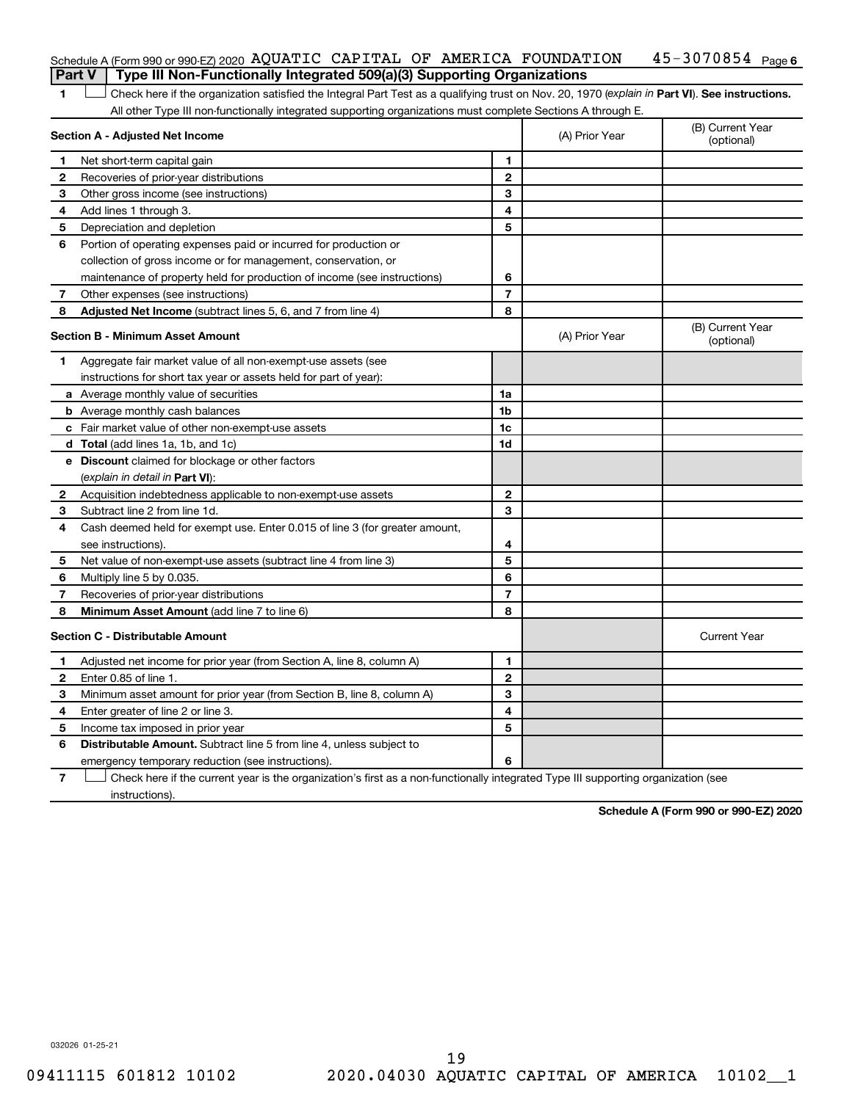|  | Schedule A (Form 990 or 990-EZ) 2020 AQUATIC CAPITAL OF AMERICA FOUNDATION<br><b>Part V</b> Type III Non-Functionally Integrated 509(a)(3) Supporting Organizations |  |  | 45-3070854 <sub>Page 6</sub> |  |
|--|---------------------------------------------------------------------------------------------------------------------------------------------------------------------|--|--|------------------------------|--|
|  |                                                                                                                                                                     |  |  |                              |  |

1 **Letter See instructions.** Check here if the organization satisfied the Integral Part Test as a qualifying trust on Nov. 20, 1970 (*explain in* Part **VI**). See instructions. All other Type III non-functionally integrated supporting organizations must complete Sections A through E.

|    | Section A - Adjusted Net Income                                                                                                   |                | (A) Prior Year | (B) Current Year<br>(optional) |  |  |
|----|-----------------------------------------------------------------------------------------------------------------------------------|----------------|----------------|--------------------------------|--|--|
| 1  | Net short-term capital gain                                                                                                       | 1              |                |                                |  |  |
| 2  | Recoveries of prior-year distributions                                                                                            | $\mathbf{2}$   |                |                                |  |  |
| З  | Other gross income (see instructions)                                                                                             | 3              |                |                                |  |  |
| 4  | Add lines 1 through 3.                                                                                                            | 4              |                |                                |  |  |
| 5  | Depreciation and depletion                                                                                                        | 5              |                |                                |  |  |
| 6  | Portion of operating expenses paid or incurred for production or                                                                  |                |                |                                |  |  |
|    | collection of gross income or for management, conservation, or                                                                    |                |                |                                |  |  |
|    | maintenance of property held for production of income (see instructions)                                                          | 6              |                |                                |  |  |
| 7  | Other expenses (see instructions)                                                                                                 | $\overline{7}$ |                |                                |  |  |
| 8  | Adjusted Net Income (subtract lines 5, 6, and 7 from line 4)                                                                      | 8              |                |                                |  |  |
|    | Section B - Minimum Asset Amount                                                                                                  |                | (A) Prior Year | (B) Current Year<br>(optional) |  |  |
| 1. | Aggregate fair market value of all non-exempt-use assets (see                                                                     |                |                |                                |  |  |
|    | instructions for short tax year or assets held for part of year):                                                                 |                |                |                                |  |  |
|    | a Average monthly value of securities                                                                                             | 1a             |                |                                |  |  |
|    | <b>b</b> Average monthly cash balances                                                                                            | 1 <sub>b</sub> |                |                                |  |  |
|    | c Fair market value of other non-exempt-use assets                                                                                | 1c             |                |                                |  |  |
|    | <b>d</b> Total (add lines 1a, 1b, and 1c)                                                                                         | 1d             |                |                                |  |  |
|    | e Discount claimed for blockage or other factors                                                                                  |                |                |                                |  |  |
|    | (explain in detail in Part VI):                                                                                                   |                |                |                                |  |  |
| 2  | Acquisition indebtedness applicable to non-exempt-use assets                                                                      | $\mathbf{2}$   |                |                                |  |  |
| З  | Subtract line 2 from line 1d.                                                                                                     | 3              |                |                                |  |  |
| 4  | Cash deemed held for exempt use. Enter 0.015 of line 3 (for greater amount,                                                       |                |                |                                |  |  |
|    | see instructions).                                                                                                                | 4              |                |                                |  |  |
| 5  | Net value of non-exempt-use assets (subtract line 4 from line 3)                                                                  | 5              |                |                                |  |  |
| 6  | Multiply line 5 by 0.035.                                                                                                         | 6              |                |                                |  |  |
| 7  | Recoveries of prior-year distributions                                                                                            | $\overline{7}$ |                |                                |  |  |
| 8  | Minimum Asset Amount (add line 7 to line 6)                                                                                       | 8              |                |                                |  |  |
|    | <b>Section C - Distributable Amount</b>                                                                                           |                |                | <b>Current Year</b>            |  |  |
| 1  | Adjusted net income for prior year (from Section A, line 8, column A)                                                             | 1              |                |                                |  |  |
| 2  | Enter 0.85 of line 1.                                                                                                             | $\overline{2}$ |                |                                |  |  |
| 3  | Minimum asset amount for prior year (from Section B, line 8, column A)                                                            | 3              |                |                                |  |  |
| 4  | Enter greater of line 2 or line 3.                                                                                                | 4              |                |                                |  |  |
| 5  | Income tax imposed in prior year                                                                                                  | 5              |                |                                |  |  |
| 6  | <b>Distributable Amount.</b> Subtract line 5 from line 4, unless subject to                                                       |                |                |                                |  |  |
|    | emergency temporary reduction (see instructions).                                                                                 | 6              |                |                                |  |  |
| 7  | Check here if the current year is the organization's first as a non-functionally integrated Type III supporting organization (see |                |                |                                |  |  |

instructions).

**Schedule A (Form 990 or 990-EZ) 2020**

032026 01-25-21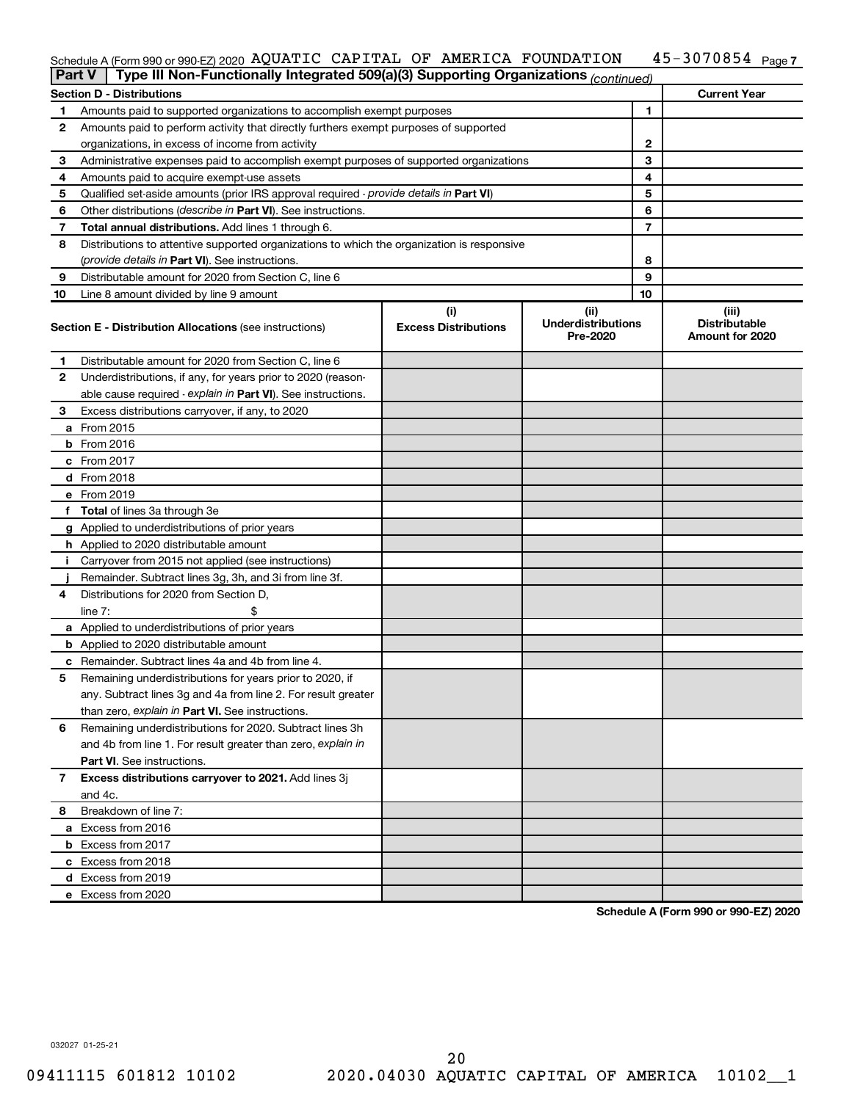#### 45-3070854 Page 7 Schedule A (Form 990 or 990-EZ) 2020 AQUATIC CAPITAL OF AMERICA FOUNDATION  $\,$  45-3070854  $\,$   $_{\rm Page}$

| <b>Part V</b> | Type III Non-Functionally Integrated 509(a)(3) Supporting Organizations (continued)        |                             |                                       |              |                                         |
|---------------|--------------------------------------------------------------------------------------------|-----------------------------|---------------------------------------|--------------|-----------------------------------------|
|               | <b>Section D - Distributions</b>                                                           |                             |                                       |              | <b>Current Year</b>                     |
| 1             | Amounts paid to supported organizations to accomplish exempt purposes                      |                             |                                       | 1            |                                         |
| 2             | Amounts paid to perform activity that directly furthers exempt purposes of supported       |                             |                                       |              |                                         |
|               | organizations, in excess of income from activity                                           |                             |                                       | $\mathbf{2}$ |                                         |
| 3             | Administrative expenses paid to accomplish exempt purposes of supported organizations      |                             |                                       | 3            |                                         |
| 4             | Amounts paid to acquire exempt-use assets                                                  |                             |                                       | 4            |                                         |
| 5             | Qualified set-aside amounts (prior IRS approval required - provide details in Part VI)     |                             | 5                                     |              |                                         |
| 6             | Other distributions ( <i>describe in Part VI</i> ). See instructions.                      | 6                           |                                       |              |                                         |
| 7             | Total annual distributions. Add lines 1 through 6.                                         |                             |                                       | 7            |                                         |
| 8             | Distributions to attentive supported organizations to which the organization is responsive |                             |                                       |              |                                         |
|               | ( <i>provide details in Part VI</i> ). See instructions.                                   |                             |                                       | 8            |                                         |
| 9             | Distributable amount for 2020 from Section C, line 6                                       |                             |                                       | 9            |                                         |
| 10            | Line 8 amount divided by line 9 amount                                                     |                             |                                       | 10           |                                         |
|               |                                                                                            | (i)                         | (iii)                                 |              | (iii)                                   |
|               | <b>Section E - Distribution Allocations (see instructions)</b>                             | <b>Excess Distributions</b> | <b>Underdistributions</b><br>Pre-2020 |              | <b>Distributable</b><br>Amount for 2020 |
| 1             | Distributable amount for 2020 from Section C, line 6                                       |                             |                                       |              |                                         |
| 2             | Underdistributions, if any, for years prior to 2020 (reason-                               |                             |                                       |              |                                         |
|               | able cause required - explain in Part VI). See instructions.                               |                             |                                       |              |                                         |
| 3             | Excess distributions carryover, if any, to 2020                                            |                             |                                       |              |                                         |
|               | a From 2015                                                                                |                             |                                       |              |                                         |
|               | <b>b</b> From 2016                                                                         |                             |                                       |              |                                         |
|               | c From 2017                                                                                |                             |                                       |              |                                         |
|               | d From 2018                                                                                |                             |                                       |              |                                         |
|               | e From 2019                                                                                |                             |                                       |              |                                         |
|               | f Total of lines 3a through 3e                                                             |                             |                                       |              |                                         |
|               | g Applied to underdistributions of prior years                                             |                             |                                       |              |                                         |
|               | h Applied to 2020 distributable amount                                                     |                             |                                       |              |                                         |
| Ť.            | Carryover from 2015 not applied (see instructions)                                         |                             |                                       |              |                                         |
|               | Remainder. Subtract lines 3g, 3h, and 3i from line 3f.                                     |                             |                                       |              |                                         |
| 4             | Distributions for 2020 from Section D,                                                     |                             |                                       |              |                                         |
|               | line $7:$                                                                                  |                             |                                       |              |                                         |
|               | a Applied to underdistributions of prior years                                             |                             |                                       |              |                                         |
|               | <b>b</b> Applied to 2020 distributable amount                                              |                             |                                       |              |                                         |
|               | c Remainder. Subtract lines 4a and 4b from line 4.                                         |                             |                                       |              |                                         |
| 5             | Remaining underdistributions for years prior to 2020, if                                   |                             |                                       |              |                                         |
|               | any. Subtract lines 3g and 4a from line 2. For result greater                              |                             |                                       |              |                                         |
|               | than zero, explain in Part VI. See instructions.                                           |                             |                                       |              |                                         |
| 6             | Remaining underdistributions for 2020. Subtract lines 3h                                   |                             |                                       |              |                                         |
|               | and 4b from line 1. For result greater than zero, explain in                               |                             |                                       |              |                                         |
|               | <b>Part VI.</b> See instructions.                                                          |                             |                                       |              |                                         |
| 7             | Excess distributions carryover to 2021. Add lines 3j                                       |                             |                                       |              |                                         |
|               | and 4c.                                                                                    |                             |                                       |              |                                         |
| 8             | Breakdown of line 7:                                                                       |                             |                                       |              |                                         |
|               | a Excess from 2016                                                                         |                             |                                       |              |                                         |
|               | <b>b</b> Excess from 2017                                                                  |                             |                                       |              |                                         |
|               | c Excess from 2018                                                                         |                             |                                       |              |                                         |
|               | d Excess from 2019                                                                         |                             |                                       |              |                                         |
|               | e Excess from 2020                                                                         |                             |                                       |              |                                         |

**Schedule A (Form 990 or 990-EZ) 2020**

032027 01-25-21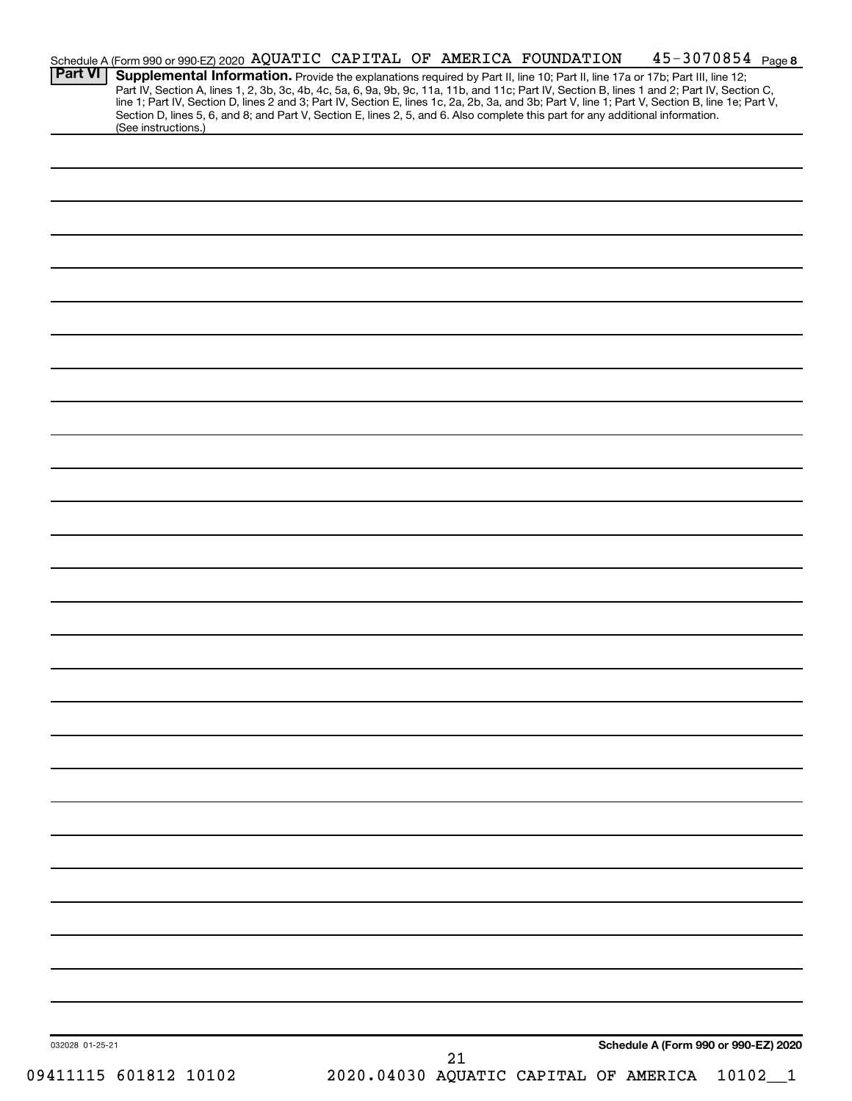| Section D, lines 5, 6, and 8; and Part V, Section E, lines 2, 5, and 6. Also complete this part for any additional information.<br>(See instructions.)<br>Schedule A (Form 990 or 990-EZ) 2020<br>032028 01-25-21<br>21                                                                                                                                                          |  |
|----------------------------------------------------------------------------------------------------------------------------------------------------------------------------------------------------------------------------------------------------------------------------------------------------------------------------------------------------------------------------------|--|
|                                                                                                                                                                                                                                                                                                                                                                                  |  |
|                                                                                                                                                                                                                                                                                                                                                                                  |  |
|                                                                                                                                                                                                                                                                                                                                                                                  |  |
|                                                                                                                                                                                                                                                                                                                                                                                  |  |
|                                                                                                                                                                                                                                                                                                                                                                                  |  |
|                                                                                                                                                                                                                                                                                                                                                                                  |  |
|                                                                                                                                                                                                                                                                                                                                                                                  |  |
|                                                                                                                                                                                                                                                                                                                                                                                  |  |
|                                                                                                                                                                                                                                                                                                                                                                                  |  |
|                                                                                                                                                                                                                                                                                                                                                                                  |  |
|                                                                                                                                                                                                                                                                                                                                                                                  |  |
|                                                                                                                                                                                                                                                                                                                                                                                  |  |
|                                                                                                                                                                                                                                                                                                                                                                                  |  |
|                                                                                                                                                                                                                                                                                                                                                                                  |  |
|                                                                                                                                                                                                                                                                                                                                                                                  |  |
|                                                                                                                                                                                                                                                                                                                                                                                  |  |
|                                                                                                                                                                                                                                                                                                                                                                                  |  |
|                                                                                                                                                                                                                                                                                                                                                                                  |  |
|                                                                                                                                                                                                                                                                                                                                                                                  |  |
|                                                                                                                                                                                                                                                                                                                                                                                  |  |
|                                                                                                                                                                                                                                                                                                                                                                                  |  |
|                                                                                                                                                                                                                                                                                                                                                                                  |  |
|                                                                                                                                                                                                                                                                                                                                                                                  |  |
|                                                                                                                                                                                                                                                                                                                                                                                  |  |
|                                                                                                                                                                                                                                                                                                                                                                                  |  |
|                                                                                                                                                                                                                                                                                                                                                                                  |  |
|                                                                                                                                                                                                                                                                                                                                                                                  |  |
|                                                                                                                                                                                                                                                                                                                                                                                  |  |
|                                                                                                                                                                                                                                                                                                                                                                                  |  |
|                                                                                                                                                                                                                                                                                                                                                                                  |  |
|                                                                                                                                                                                                                                                                                                                                                                                  |  |
|                                                                                                                                                                                                                                                                                                                                                                                  |  |
|                                                                                                                                                                                                                                                                                                                                                                                  |  |
|                                                                                                                                                                                                                                                                                                                                                                                  |  |
|                                                                                                                                                                                                                                                                                                                                                                                  |  |
| <b>Part VI</b><br>Supplemental Information. Provide the explanations required by Part II, line 10; Part II, line 17a or 17b; Part III, line 12;<br>Part IV, Section A, lines 1, 2, 3b, 3c, 4b, 4c, 5a, 6, 9a, 9b, 9c, 11a, 11b, and 11c; Part IV, Section B, lines 1 and 2; Part IV, Section C, line 1; Part IV, Section D, lines 2 and 3; Part IV, Section E, lines 1c, 2a, 2b, |  |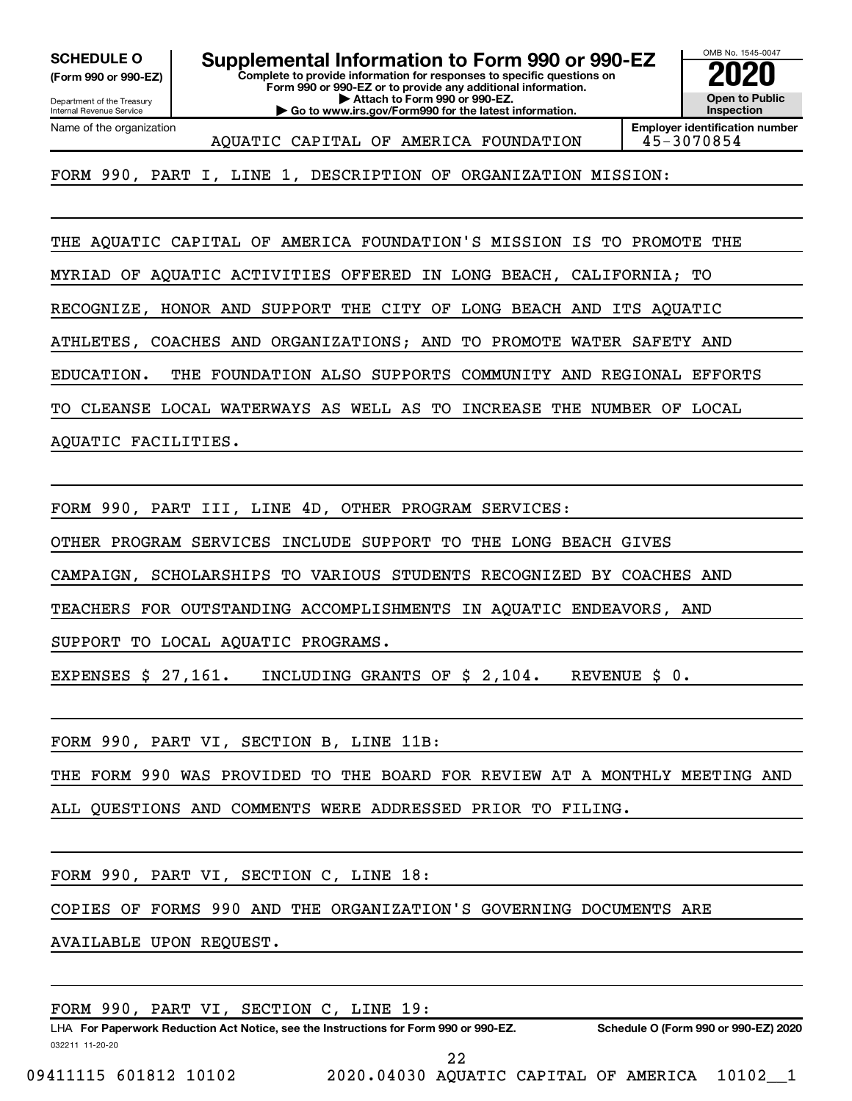Department of the Treasury **(Form 990 or 990-EZ)**

Internal Revenue Service

**Complete to provide information for responses to specific questions on SCHEDULE O Supplemental Information to Form 990 or 990-EZ 2020**<br>(Form 990 or 990-EZ) Complete to provide information for responses to specific questions on

**Form 990 or 990-EZ or to provide any additional information. | Attach to Form 990 or 990-EZ.**

**| Go to www.irs.gov/Form990 for the latest information.**

OMB No. 1545-0047 **Open to Public Inspection**

Name of the organization

AQUATIC CAPITAL OF AMERICA FOUNDATION 45-3070854

**Employer identification number**

FORM 990, PART I, LINE 1, DESCRIPTION OF ORGANIZATION MISSION:

THE AQUATIC CAPITAL OF AMERICA FOUNDATION'S MISSION IS TO PROMOTE THE

MYRIAD OF AQUATIC ACTIVITIES OFFERED IN LONG BEACH, CALIFORNIA; TO

RECOGNIZE, HONOR AND SUPPORT THE CITY OF LONG BEACH AND ITS AQUATIC

ATHLETES, COACHES AND ORGANIZATIONS; AND TO PROMOTE WATER SAFETY AND

EDUCATION. THE FOUNDATION ALSO SUPPORTS COMMUNITY AND REGIONAL EFFORTS

TO CLEANSE LOCAL WATERWAYS AS WELL AS TO INCREASE THE NUMBER OF LOCAL

AQUATIC FACILITIES.

FORM 990, PART III, LINE 4D, OTHER PROGRAM SERVICES:

OTHER PROGRAM SERVICES INCLUDE SUPPORT TO THE LONG BEACH GIVES

CAMPAIGN, SCHOLARSHIPS TO VARIOUS STUDENTS RECOGNIZED BY COACHES AND

TEACHERS FOR OUTSTANDING ACCOMPLISHMENTS IN AQUATIC ENDEAVORS, AND

SUPPORT TO LOCAL AQUATIC PROGRAMS.

EXPENSES \$ 27,161. INCLUDING GRANTS OF \$ 2,104. REVENUE \$ 0.

FORM 990, PART VI, SECTION B, LINE 11B:

THE FORM 990 WAS PROVIDED TO THE BOARD FOR REVIEW AT A MONTHLY MEETING AND

ALL QUESTIONS AND COMMENTS WERE ADDRESSED PRIOR TO FILING.

FORM 990, PART VI, SECTION C, LINE 18:

COPIES OF FORMS 990 AND THE ORGANIZATION'S GOVERNING DOCUMENTS ARE

AVAILABLE UPON REQUEST.

| FORM 990, PART VI, SECTION C, LINE 19: |  |
|----------------------------------------|--|
|----------------------------------------|--|

032211 11-20-20 **For Paperwork Reduction Act Notice, see the Instructions for Form 990 or 990-EZ. Schedule O (Form 990 or 990-EZ) 2020** LHA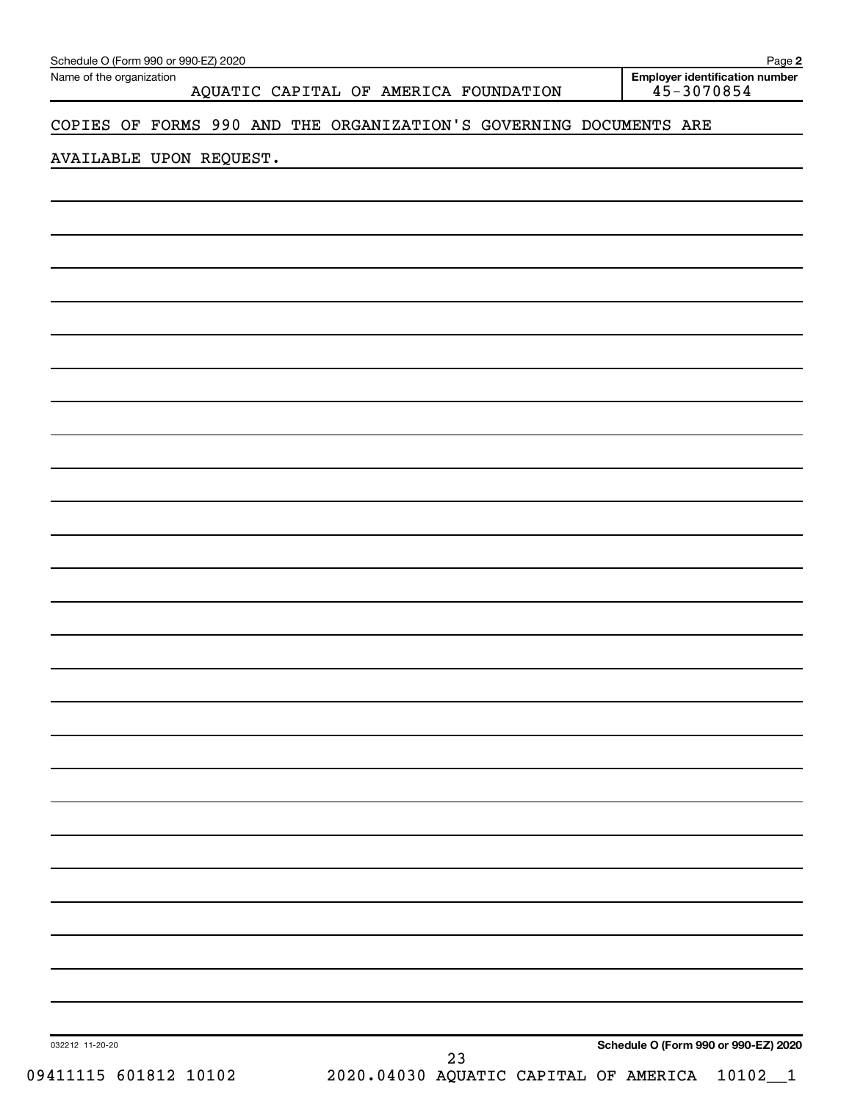| Schedule O (Form 990 or 990-EZ) 2020<br>Name of the organization |                                                                    | Page 2<br><b>Employer identification number</b> |
|------------------------------------------------------------------|--------------------------------------------------------------------|-------------------------------------------------|
|                                                                  | AQUATIC CAPITAL OF AMERICA FOUNDATION                              | $45 - 3070854$                                  |
|                                                                  | COPIES OF FORMS 990 AND THE ORGANIZATION'S GOVERNING DOCUMENTS ARE |                                                 |
| AVAILABLE UPON REQUEST.                                          |                                                                    |                                                 |
|                                                                  |                                                                    |                                                 |
|                                                                  |                                                                    |                                                 |
|                                                                  |                                                                    |                                                 |
|                                                                  |                                                                    |                                                 |
|                                                                  |                                                                    |                                                 |
|                                                                  |                                                                    |                                                 |
|                                                                  |                                                                    |                                                 |
|                                                                  |                                                                    |                                                 |
|                                                                  |                                                                    |                                                 |
|                                                                  |                                                                    |                                                 |
|                                                                  |                                                                    |                                                 |
|                                                                  |                                                                    |                                                 |
|                                                                  |                                                                    |                                                 |
|                                                                  |                                                                    |                                                 |
|                                                                  |                                                                    |                                                 |
|                                                                  |                                                                    |                                                 |
|                                                                  |                                                                    |                                                 |
|                                                                  |                                                                    |                                                 |
|                                                                  |                                                                    |                                                 |
|                                                                  |                                                                    |                                                 |
|                                                                  |                                                                    |                                                 |
|                                                                  |                                                                    |                                                 |
|                                                                  |                                                                    |                                                 |
|                                                                  |                                                                    |                                                 |
|                                                                  |                                                                    |                                                 |
|                                                                  |                                                                    |                                                 |
|                                                                  |                                                                    |                                                 |
|                                                                  |                                                                    |                                                 |
| 032212 11-20-20                                                  |                                                                    | Schedule O (Form 990 or 990-EZ) 2020            |
| 09411115 601812 10102                                            | 23<br>2020.04030 AQUATIC CAPITAL OF AMERICA 10102_1                |                                                 |
|                                                                  |                                                                    |                                                 |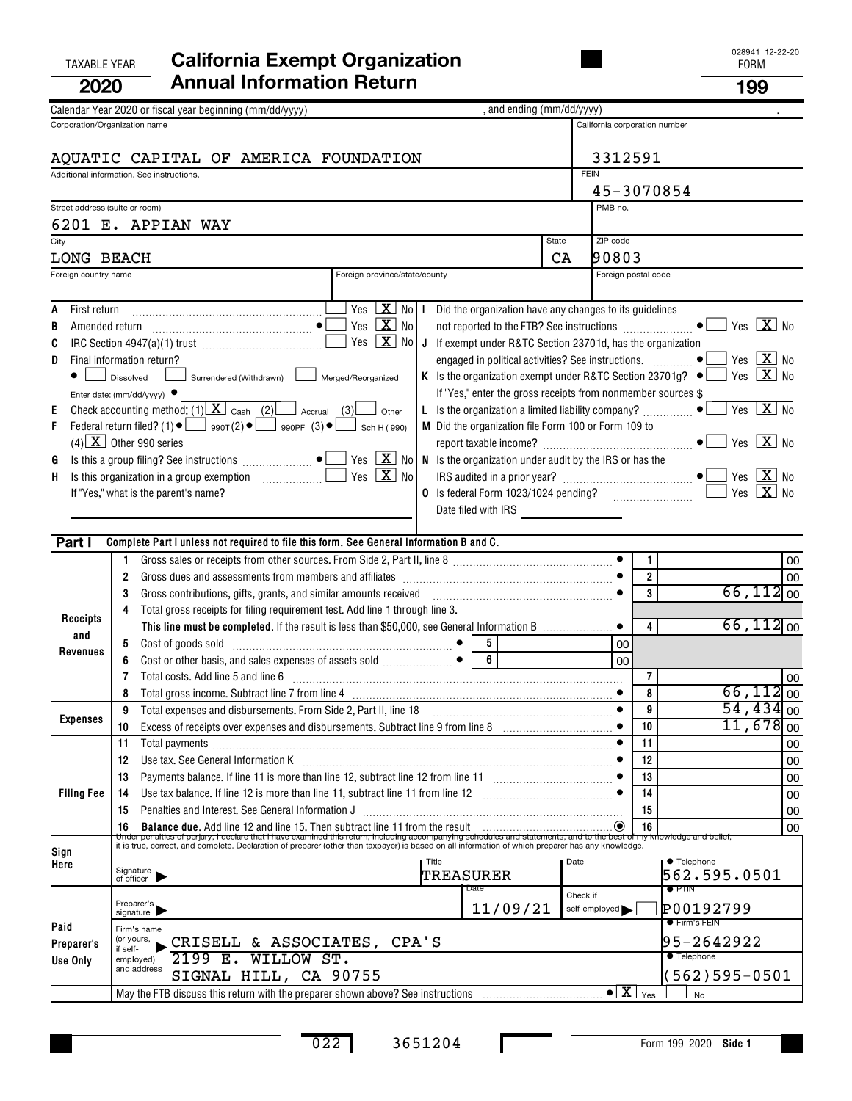| <b>TAXABLE YEAR</b>                       |                           | <b>California Exempt Organization</b>                                                                                                                                                                                             |                               |           |                     |                                                                   |             |                                                     |                         |                                                      | 028941 12-22-20<br><b>FORM</b>        |    |
|-------------------------------------------|---------------------------|-----------------------------------------------------------------------------------------------------------------------------------------------------------------------------------------------------------------------------------|-------------------------------|-----------|---------------------|-------------------------------------------------------------------|-------------|-----------------------------------------------------|-------------------------|------------------------------------------------------|---------------------------------------|----|
| 2020                                      |                           | <b>Annual Information Return</b>                                                                                                                                                                                                  |                               |           |                     |                                                                   |             |                                                     |                         |                                                      | 199                                   |    |
|                                           |                           | Calendar Year 2020 or fiscal year beginning (mm/dd/yyyy)                                                                                                                                                                          |                               |           |                     | , and ending (mm/dd/yyyy)                                         |             |                                                     |                         |                                                      |                                       |    |
| Corporation/Organization name             |                           |                                                                                                                                                                                                                                   |                               |           |                     |                                                                   |             | California corporation number                       |                         |                                                      |                                       |    |
|                                           |                           | AQUATIC CAPITAL OF AMERICA FOUNDATION                                                                                                                                                                                             |                               |           |                     |                                                                   |             | 3312591                                             |                         |                                                      |                                       |    |
| Additional information. See instructions. |                           |                                                                                                                                                                                                                                   |                               |           |                     |                                                                   | <b>FEIN</b> | 45-3070854                                          |                         |                                                      |                                       |    |
| Street address (suite or room)            |                           |                                                                                                                                                                                                                                   |                               |           |                     |                                                                   |             | PMB no.                                             |                         |                                                      |                                       |    |
|                                           |                           | 6201 E. APPIAN WAY                                                                                                                                                                                                                |                               |           |                     |                                                                   |             |                                                     |                         |                                                      |                                       |    |
| City                                      |                           |                                                                                                                                                                                                                                   |                               |           |                     | State                                                             |             | ZIP code                                            |                         |                                                      |                                       |    |
| LONG BEACH                                |                           |                                                                                                                                                                                                                                   |                               |           |                     |                                                                   | CA          | 90803                                               |                         |                                                      |                                       |    |
| Foreign country name                      |                           |                                                                                                                                                                                                                                   | Foreign province/state/county |           |                     |                                                                   |             | Foreign postal code                                 |                         |                                                      |                                       |    |
| A<br>First return                         |                           |                                                                                                                                                                                                                                   | Yes $X$ No I                  |           |                     | Did the organization have any changes to its guidelines           |             |                                                     |                         |                                                      |                                       |    |
| B                                         | Amended return            |                                                                                                                                                                                                                                   | Yes $X$ No                    |           |                     |                                                                   |             |                                                     |                         | $\bullet$ $\blacksquare$ Yes $\boxed{\mathbf{X}}$ No |                                       |    |
| C                                         |                           |                                                                                                                                                                                                                                   | Yes $X$ No                    |           |                     | J If exempt under R&TC Section 23701d, has the organization       |             |                                                     |                         |                                                      |                                       |    |
| D                                         | Final information return? |                                                                                                                                                                                                                                   |                               |           |                     | engaged in political activities? See instructions.                |             |                                                     |                         | $\bullet$                                            | Yes $\boxed{\mathbf{X}}$ No           |    |
| $\bullet$                                 | <b>Dissolved</b>          | Surrendered (Withdrawn)                                                                                                                                                                                                           | Merged/Reorganized            |           |                     | K Is the organization exempt under R&TC Section 23701g? $\bullet$ |             |                                                     |                         |                                                      | $\sqrt{}$ Yes $\boxed{\mathbf{X}}$ No |    |
|                                           | Enter date: (mm/dd/yyyy)  |                                                                                                                                                                                                                                   |                               |           |                     | If "Yes," enter the gross receipts from nonmember sources \$      |             |                                                     |                         |                                                      |                                       |    |
| Е                                         |                           | Check accounting method: (1) $X$ cash (2) $\Box$ Accrual (3) $\Box$ Other                                                                                                                                                         |                               |           |                     | L Is the organization a limited liability company?                |             |                                                     |                         | $\bullet$                                            | $\sqrt{1 + 2 \times 1}$ No            |    |
| F                                         |                           | Federal return filed? (1) $\bullet$ $\Box$ 990T(2) $\bullet$ $\Box$ 990PF (3) $\bullet$ $\Box$ Sch H(990)                                                                                                                         |                               |           |                     | M Did the organization file Form 100 or Form 109 to               |             |                                                     |                         |                                                      |                                       |    |
| G                                         | $(4)$ X Other 990 series  | Is this a group filing? See instructions $\overline{\mathcal{L}}$ $\bullet$ $\overline{\mathbf{X}}$ Yes $\overline{\mathbf{X}}$ No   N Is the organization under audit by the IRS or has the                                      |                               |           |                     |                                                                   |             |                                                     |                         |                                                      |                                       |    |
| H.                                        |                           |                                                                                                                                                                                                                                   | Yes $\boxed{\mathbf{X}}$ No   |           |                     |                                                                   |             |                                                     |                         |                                                      | Yes $\boxed{\mathbf{X}}$ No           |    |
|                                           |                           | If "Yes," what is the parent's name?                                                                                                                                                                                              |                               |           |                     | O Is federal Form 1023/1024 pending?                              |             |                                                     |                         |                                                      | Yes $X$ No                            |    |
|                                           |                           |                                                                                                                                                                                                                                   |                               |           | Date filed with IRS | <u> 1989 - Jan Barnett, fransk politiker</u>                      |             |                                                     |                         |                                                      |                                       |    |
|                                           |                           |                                                                                                                                                                                                                                   |                               |           |                     |                                                                   |             |                                                     |                         |                                                      |                                       |    |
| Part I                                    |                           | Complete Part I unless not required to file this form. See General Information B and C.                                                                                                                                           |                               |           |                     |                                                                   |             |                                                     |                         |                                                      |                                       |    |
|                                           | 1                         | Gross sales or receipts from other sources. From Side 2, Part II, line 8 [11] content to the setting of the Summann School and School and School and School and School and School and School and School and School and School     |                               |           |                     |                                                                   |             |                                                     | 1                       |                                                      |                                       | 00 |
|                                           | 2                         | Gross dues and assessments from members and affiliates                                                                                                                                                                            |                               |           |                     |                                                                   |             |                                                     | $\overline{2}$          |                                                      |                                       | 00 |
|                                           | 3                         | Gross contributions, gifts, grants, and similar amounts received                                                                                                                                                                  |                               |           |                     |                                                                   |             |                                                     | 3                       |                                                      | $66,112$ 00                           |    |
| Receipts                                  | 4                         | Total gross receipts for filing requirement test. Add line 1 through line 3.                                                                                                                                                      |                               |           |                     |                                                                   |             |                                                     |                         |                                                      | $66,112$ <sub>00</sub>                |    |
| and                                       |                           | This line must be completed. If the result is less than \$50,000, see General Information B<br>Cost of goods sold                                                                                                                 |                               |           |                     |                                                                   |             | 00                                                  | $\overline{\mathbf{4}}$ |                                                      |                                       |    |
| Revenues                                  | 5<br>6                    | Cost or other basis, and sales expenses of assets sold                                                                                                                                                                            |                               |           | 6                   |                                                                   |             | 00                                                  |                         |                                                      |                                       |    |
|                                           | 7                         | Total costs. Add line 5 and line 6                                                                                                                                                                                                |                               |           |                     |                                                                   |             |                                                     | 7                       |                                                      |                                       | 00 |
|                                           | 8                         |                                                                                                                                                                                                                                   |                               |           |                     |                                                                   |             |                                                     | 8                       |                                                      | 66,11                                 | 00 |
|                                           | 9                         | Total expenses and disbursements. From Side 2, Part II, line 18                                                                                                                                                                   |                               |           |                     |                                                                   |             |                                                     | 9                       |                                                      | $54,434$ <sub>00</sub>                |    |
| <b>Expenses</b>                           | 10                        |                                                                                                                                                                                                                                   |                               |           |                     |                                                                   |             |                                                     | 10                      |                                                      | $11,678$ <sub>00</sub>                |    |
|                                           | 11                        | <b>Total payments</b>                                                                                                                                                                                                             |                               |           |                     |                                                                   |             |                                                     | 11                      |                                                      |                                       | 00 |
|                                           | 12                        | Use tax. See General Information K <b>manufacture in the contract of the Contract A</b>                                                                                                                                           |                               |           |                     |                                                                   |             |                                                     | 12                      |                                                      |                                       | 00 |
|                                           | 13                        |                                                                                                                                                                                                                                   |                               |           |                     |                                                                   |             |                                                     | 13                      |                                                      |                                       | 00 |
| <b>Filing Fee</b>                         | 14                        |                                                                                                                                                                                                                                   |                               |           |                     |                                                                   |             |                                                     | 14                      |                                                      |                                       | 00 |
|                                           | 15                        | Penalties and Interest. See General Information J<br>Balance due. Add line 12 and line 15. Then subtract line 11 from the result [11] [12] [12] Dalance due. Add line 12 and line 15. Then subtract line 11 from the result       |                               |           |                     |                                                                   |             |                                                     | 15<br>16                |                                                      |                                       | 00 |
|                                           | 16                        | Under penalties of perjury, i declare that I have examined this return, including accompanying schedules and statements, and to the best of my knowledge and belief,<br>It is true, correct, and complete. Declaration of prepare |                               |           |                     |                                                                   |             |                                                     |                         |                                                      |                                       | 00 |
| Sign                                      |                           |                                                                                                                                                                                                                                   |                               | Title     |                     |                                                                   | Date        |                                                     |                         | ● Telephone                                          |                                       |    |
| Here                                      | Signature<br>of officer   |                                                                                                                                                                                                                                   |                               | TREASURER |                     |                                                                   |             |                                                     |                         | 562.595.0501                                         |                                       |    |
|                                           |                           |                                                                                                                                                                                                                                   |                               |           | Date                |                                                                   | Check if    |                                                     |                         | $\bullet$ PTIN                                       |                                       |    |
|                                           | Preparer's<br>signature   |                                                                                                                                                                                                                                   |                               |           |                     | 11/09/21                                                          |             | self-employed                                       |                         | P00192799                                            |                                       |    |
| Paid                                      | Firm's name               |                                                                                                                                                                                                                                   |                               |           |                     |                                                                   |             |                                                     |                         | ● Firm's FEIN                                        |                                       |    |
| Preparer's                                | (or yours,<br>if self-    | CRISELL & ASSOCIATES, CPA'S                                                                                                                                                                                                       |                               |           |                     |                                                                   |             |                                                     |                         | 95-2642922                                           |                                       |    |
| Use Only                                  | employed)<br>and address  | 2199 E.<br>WILLOW ST.                                                                                                                                                                                                             |                               |           |                     |                                                                   |             |                                                     |                         | <b>Telephone</b>                                     |                                       |    |
|                                           |                           | SIGNAL HILL, CA 90755                                                                                                                                                                                                             |                               |           |                     |                                                                   |             |                                                     |                         | (562)595-0501                                        |                                       |    |
|                                           |                           |                                                                                                                                                                                                                                   |                               |           |                     |                                                                   |             | $\overline{\bullet}$ $\overline{X}$ $_{\text{Yes}}$ |                         | No                                                   |                                       |    |

022 3651204

Г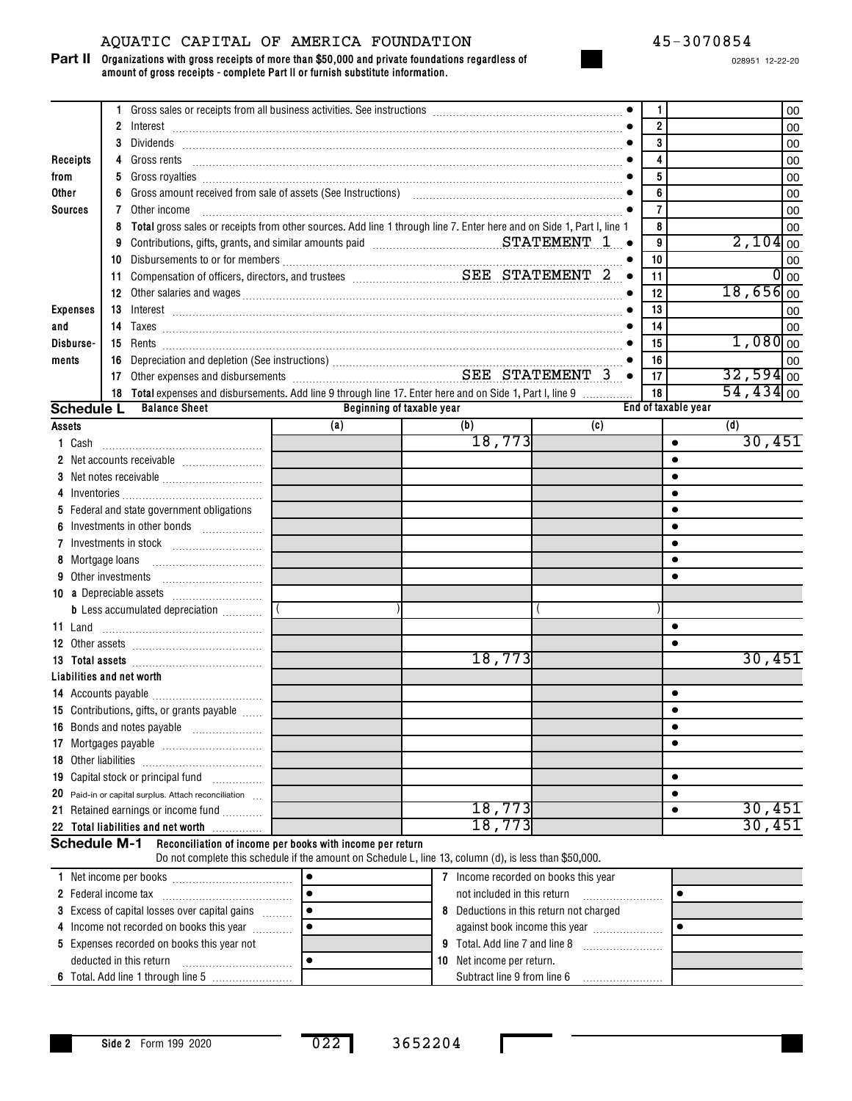## AQUATIC CAPITAL OF AMERICA FOUNDATION 45-3070854

#### **Organizations with gross receipts of more than \$50,000 and private foundations regardless of amount of gross receipts - complete Part II or furnish substitute information. Part II**

|                           |                            |                                                                                                                                                                                                                                      |           |                           |                                         |           | 1              |                     |                        | 00                |
|---------------------------|----------------------------|--------------------------------------------------------------------------------------------------------------------------------------------------------------------------------------------------------------------------------------|-----------|---------------------------|-----------------------------------------|-----------|----------------|---------------------|------------------------|-------------------|
|                           |                            |                                                                                                                                                                                                                                      |           |                           |                                         |           | $\overline{2}$ |                     |                        | 00                |
|                           |                            | 3 Dividends <b>2000 - 2000 - 2000 - 2000 - 2000 - 2000 - 2000 - 2000 - 2000 - 2000 - 2000 - 2000 - 2000 - 2000 - 2000 - 2000 - 2000 - 2000 - 2000 - 2000 - 2000 - 2000 - 2000 - 2000 - 2000 - 2000 - 2000 - 2000 - 2000 - 2000 -</b> |           |                           |                                         |           | 3              |                     |                        | 00                |
| Receipts                  |                            |                                                                                                                                                                                                                                      |           |                           |                                         |           | 4              |                     |                        | 00                |
| from                      |                            |                                                                                                                                                                                                                                      |           |                           |                                         |           | 5              |                     |                        | 00                |
| Other                     |                            | 6 Gross amount received from sale of assets (See Instructions) [10] [10] Content and Service and Service and S                                                                                                                       |           |                           |                                         |           | 6              |                     |                        | 00                |
| <b>Sources</b>            |                            | <b>7</b> Other income                                                                                                                                                                                                                |           |                           |                                         |           | $\overline{7}$ |                     |                        | 00                |
|                           |                            | 8 Total gross sales or receipts from other sources. Add line 1 through line 7. Enter here and on Side 1, Part I, line 1                                                                                                              |           |                           |                                         |           | 8              |                     |                        | 00                |
|                           |                            |                                                                                                                                                                                                                                      |           |                           |                                         |           | 9              |                     | $2,104$ <sub>00</sub>  |                   |
|                           |                            |                                                                                                                                                                                                                                      |           |                           |                                         |           | 10             |                     |                        | 00                |
|                           |                            |                                                                                                                                                                                                                                      |           |                           |                                         | $\bullet$ | 11             |                     |                        | $\overline{O}$ 00 |
|                           |                            |                                                                                                                                                                                                                                      |           |                           |                                         |           | 12             |                     | $18,656$ <sub>00</sub> |                   |
| <b>Expenses</b>           |                            |                                                                                                                                                                                                                                      |           |                           |                                         |           | 13             |                     |                        | 00                |
| and                       |                            |                                                                                                                                                                                                                                      |           |                           |                                         |           | 14             |                     |                        | 00                |
| Disburse-                 |                            |                                                                                                                                                                                                                                      |           |                           |                                         |           | 15             |                     | $1,080$ <sub>00</sub>  |                   |
| ments                     |                            |                                                                                                                                                                                                                                      |           |                           |                                         |           | 16             |                     |                        | 00                |
|                           |                            | 16 Depreciation and depletion (See instructions)<br>17 Other expenses and disbursements<br>2.17 Other expenses and disbursements                                                                                                     |           |                           |                                         | $\bullet$ | 17             |                     | $32,594$ <sub>00</sub> |                   |
|                           |                            | 18 Total expenses and disbursements. Add line 9 through line 17. Enter here and on Side 1, Part I, line 9                                                                                                                            |           |                           |                                         |           | 18             |                     | $54,434$ <sub>00</sub> |                   |
|                           |                            | <b>Schedule L</b> Balance Sheet                                                                                                                                                                                                      |           | Beginning of taxable year |                                         |           |                | End of taxable year |                        |                   |
| Assets                    |                            |                                                                                                                                                                                                                                      | (a)       |                           | (b)                                     | (c)       |                |                     | (d)                    |                   |
| 1 Cash                    |                            |                                                                                                                                                                                                                                      |           |                           | 18,773                                  |           |                | $\bullet$           |                        | 30,451            |
|                           |                            |                                                                                                                                                                                                                                      |           |                           |                                         |           |                |                     |                        |                   |
|                           |                            |                                                                                                                                                                                                                                      |           |                           |                                         |           |                |                     |                        |                   |
|                           |                            |                                                                                                                                                                                                                                      |           |                           |                                         |           |                |                     |                        |                   |
|                           |                            | 5 Federal and state government obligations                                                                                                                                                                                           |           |                           |                                         |           |                |                     |                        |                   |
|                           |                            | 6 Investments in other bonds                                                                                                                                                                                                         |           |                           |                                         |           |                |                     |                        |                   |
|                           |                            |                                                                                                                                                                                                                                      |           |                           |                                         |           |                |                     |                        |                   |
|                           | 8 Mortgage loans           |                                                                                                                                                                                                                                      |           |                           |                                         |           |                |                     |                        |                   |
|                           | <b>9</b> Other investments |                                                                                                                                                                                                                                      |           |                           |                                         |           |                |                     |                        |                   |
|                           |                            |                                                                                                                                                                                                                                      |           |                           |                                         |           |                |                     |                        |                   |
|                           |                            | <b>b</b> Less accumulated depreciation                                                                                                                                                                                               |           |                           |                                         |           |                |                     |                        |                   |
|                           |                            |                                                                                                                                                                                                                                      |           |                           |                                         |           |                | $\bullet$           |                        |                   |
|                           |                            |                                                                                                                                                                                                                                      |           |                           |                                         |           |                |                     |                        |                   |
|                           |                            |                                                                                                                                                                                                                                      |           |                           | 18,773                                  |           |                |                     |                        | 30,451            |
| Liabilities and net worth |                            |                                                                                                                                                                                                                                      |           |                           |                                         |           |                |                     |                        |                   |
|                           |                            |                                                                                                                                                                                                                                      |           |                           |                                         |           |                |                     |                        |                   |
|                           |                            | 15 Contributions, gifts, or grants payable                                                                                                                                                                                           |           |                           |                                         |           |                |                     |                        |                   |
|                           |                            | .<br>16 Bonds and notes payable                                                                                                                                                                                                      |           |                           |                                         |           |                | $\bullet$           |                        |                   |
|                           |                            |                                                                                                                                                                                                                                      |           |                           |                                         |           |                |                     |                        |                   |
| 18 Other liabilities      |                            |                                                                                                                                                                                                                                      |           |                           |                                         |           |                |                     |                        |                   |
|                           |                            | 19 Capital stock or principal fund                                                                                                                                                                                                   |           |                           |                                         |           |                | $\bullet$           |                        |                   |
|                           |                            |                                                                                                                                                                                                                                      |           |                           |                                         |           |                | $\bullet$           |                        |                   |
|                           |                            | 20 Paid-in or capital surplus. Attach reconciliation<br>21 Retained earnings or income fund                                                                                                                                          |           |                           | 18,773                                  |           |                | $\bullet$           |                        | 30,451            |
|                           |                            |                                                                                                                                                                                                                                      |           |                           | 18,773                                  |           |                |                     |                        | 30,451            |
|                           |                            | 22 Total liabilities and net worth                                                                                                                                                                                                   |           |                           |                                         |           |                |                     |                        |                   |
| <b>Schedule M-1</b>       |                            | Reconciliation of income per books with income per return<br>Do not complete this schedule if the amount on Schedule L, line 13, column (d), is less than \$50,000.                                                                  |           |                           |                                         |           |                |                     |                        |                   |
|                           |                            |                                                                                                                                                                                                                                      |           |                           | 7 Income recorded on books this year    |           |                |                     |                        |                   |
|                           |                            |                                                                                                                                                                                                                                      | $\bullet$ |                           | not included in this return             |           |                | $\bullet$           |                        |                   |
|                           |                            | 3 Excess of capital losses over capital gains                                                                                                                                                                                        | $\bullet$ |                           | 8 Deductions in this return not charged |           |                |                     |                        |                   |
|                           |                            | 4 Income not recorded on books this year                                                                                                                                                                                             | $\bullet$ |                           | against book income this year           |           |                | ٠                   |                        |                   |

| 4 Income not recorded on books this year   |  | against book income this year    |
|--------------------------------------------|--|----------------------------------|
| 5 Expenses recorded on books this year not |  | 9 Total, Add line 7 and line 8   |
| deducted in this return                    |  | <b>10</b> Net income per return. |
| 6 Total. Add line 1 through line 5         |  | Subtract line 9 from line 6      |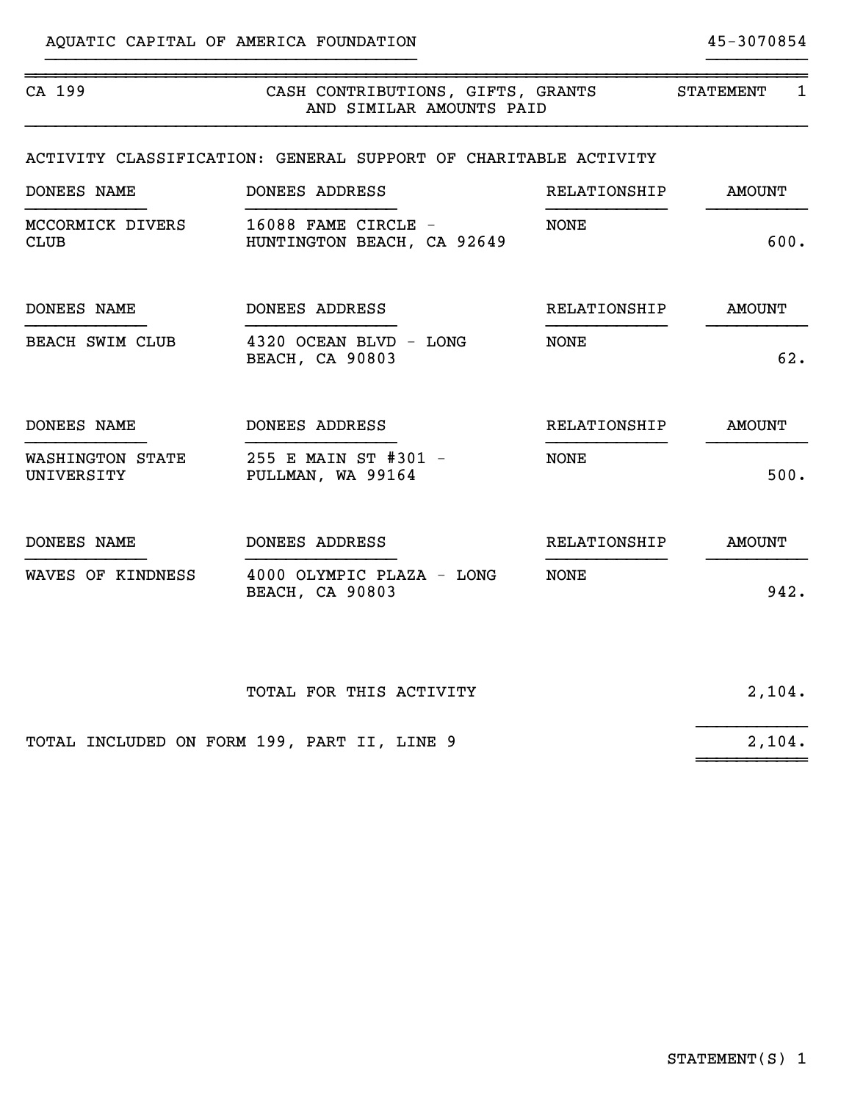| CA 199                          | CASH CONTRIBUTIONS, GIFTS, GRANTS<br>AND SIMILAR AMOUNTS PAID   |              | STATEMENT<br>1 |
|---------------------------------|-----------------------------------------------------------------|--------------|----------------|
|                                 | ACTIVITY CLASSIFICATION: GENERAL SUPPORT OF CHARITABLE ACTIVITY |              |                |
| DONEES NAME                     | DONEES ADDRESS                                                  | RELATIONSHIP | <b>AMOUNT</b>  |
| MCCORMICK DIVERS<br><b>CLUB</b> | 16088 FAME CIRCLE -<br>HUNTINGTON BEACH, CA 92649               | NONE         | 600.           |
| DONEES NAME                     | DONEES ADDRESS                                                  | RELATIONSHIP | <b>AMOUNT</b>  |
| BEACH SWIM CLUB                 | 4320 OCEAN BLVD - LONG<br><b>BEACH, CA 90803</b>                | NONE         | 62.            |
| DONEES NAME                     | DONEES ADDRESS                                                  | RELATIONSHIP | <b>AMOUNT</b>  |
| WASHINGTON STATE<br>UNIVERSITY  | 255 E MAIN ST #301 -<br>PULLMAN, WA 99164                       | <b>NONE</b>  | 500.           |
| DONEES NAME                     | DONEES ADDRESS                                                  | RELATIONSHIP | <b>AMOUNT</b>  |
| WAVES OF KINDNESS               | 4000 OLYMPIC PLAZA - LONG<br><b>BEACH, CA 90803</b>             | NONE         | 942.           |
|                                 | TOTAL FOR THIS ACTIVITY                                         |              | 2,104.         |

}}}}}}}}}}}}}}}}}}}}}}}}}}}}}}}}}}}}} }}}}}}}}}}

TOTAL INCLUDED ON FORM 199, PART II, LINE 9 2,104. ~~~~~~~~~~~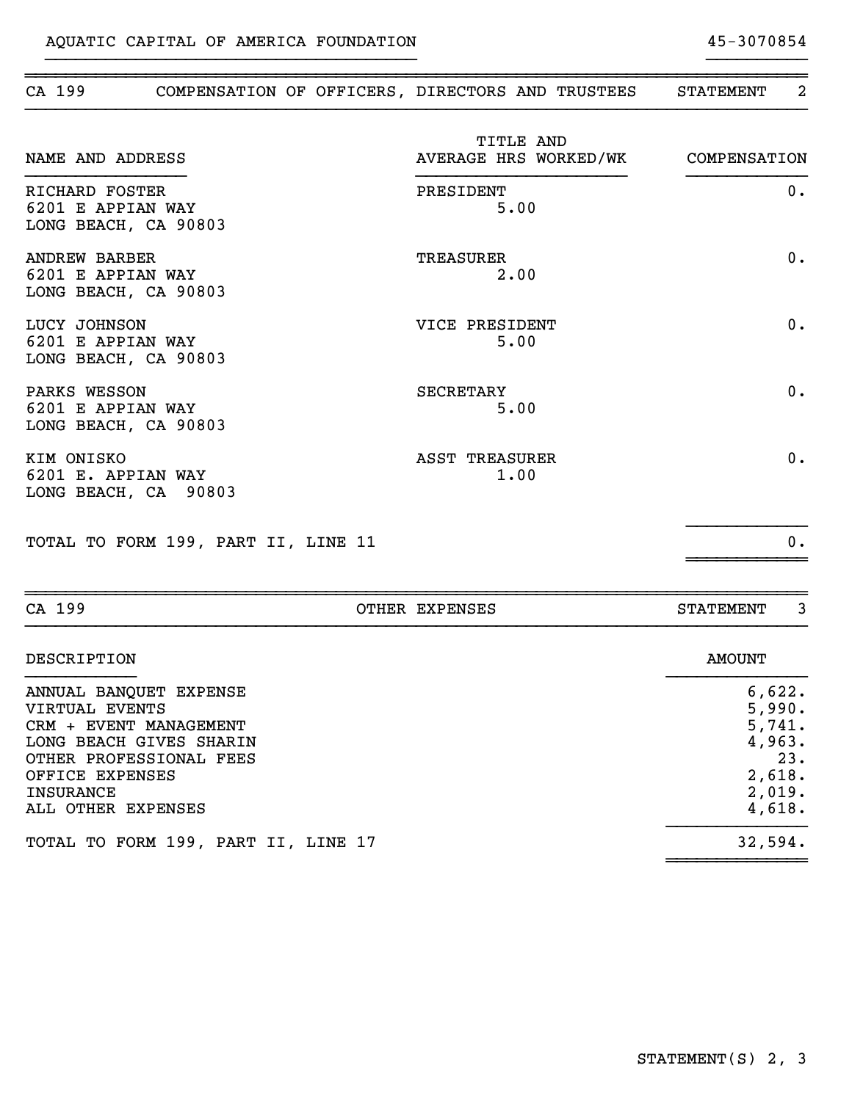~~~~~~~~~~~~~~

| CA 199                                                            | OTHER EXPENSES                | <b>STATEMENT</b>                      | 3     |
|-------------------------------------------------------------------|-------------------------------|---------------------------------------|-------|
| TOTAL TO FORM 199, PART II, LINE 11                               |                               |                                       | 0.    |
| KIM ONISKO<br>6201 E. APPIAN WAY<br>LONG BEACH, CA 90803          | <b>ASST TREASURER</b><br>1.00 |                                       | 0.    |
| PARKS WESSON<br>6201 E APPIAN WAY<br>LONG BEACH, CA 90803         | <b>SECRETARY</b><br>5.00      |                                       | 0.    |
| LUCY JOHNSON<br>6201 E APPIAN WAY<br>LONG BEACH, CA 90803         | VICE PRESIDENT<br>5.00        |                                       | 0.    |
| <b>ANDREW BARBER</b><br>6201 E APPIAN WAY<br>LONG BEACH, CA 90803 | <b>TREASURER</b><br>2.00      |                                       | 0.    |
| RICHARD FOSTER<br>6201 E APPIAN WAY<br>LONG BEACH, CA 90803       | PRESIDENT<br>5.00             |                                       | $0$ . |
| NAME AND ADDRESS                                                  | TITLE AND                     | AVERAGE HRS WORKED/WK<br>COMPENSATION |       |

~~~~~~~~~~~~~~~~~~~~~~~~~~~~~~~~~~~~~~~~~~~~~~~~~~~~~~~~~~~~~~~~~~~~~~~~~~~~~~ CA 199 COMPENSATION OF OFFICERS, DIRECTORS AND TRUSTEES STATEMENT 2

}}}}}}}}}}}}}}}}}}}}}}}}}}}}}}}}}}}}} }}}}}}}}}}

| DESCRIPTION                         | <b>AMOUNT</b> |
|-------------------------------------|---------------|
| ANNUAL BANQUET EXPENSE              | 6,622.        |
| VIRTUAL EVENTS                      | 5,990.        |
| CRM + EVENT MANAGEMENT              | 5,741.        |
| LONG BEACH GIVES SHARIN             | 4,963.        |
| OTHER PROFESSIONAL FEES             | 23.           |
| OFFICE EXPENSES                     | 2,618.        |
| INSURANCE                           | 2,019.        |
| ALL OTHER EXPENSES                  | 4,618.        |
| TOTAL TO FORM 199, PART II, LINE 17 | 32,594.       |